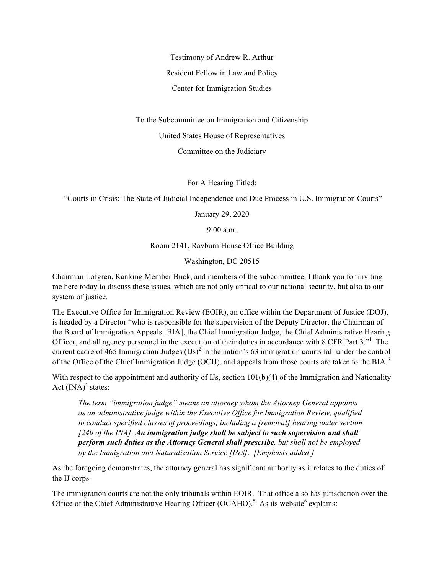Testimony of Andrew R. Arthur Resident Fellow in Law and Policy Center for Immigration Studies

To the Subcommittee on Immigration and Citizenship

United States House of Representatives

Committee on the Judiciary

For A Hearing Titled:

"Courts in Crisis: The State of Judicial Independence and Due Process in U.S. Immigration Courts"

January 29, 2020

 $9.00 a m$ 

Room 2141, Rayburn House Office Building

Washington, DC 20515

Chairman Lofgren, Ranking Member Buck, and members of the subcommittee, I thank you for inviting me here today to discuss these issues, which are not only critical to our national security, but also to our system of justice.

The Executive Office for Immigration Review (EOIR), an office within the Department of Justice (DOJ), is headed by a Director "who is responsible for the supervision of the Deputy Director, the Chairman of the Board of Immigration Appeals [BIA], the Chief Immigration Judge, the Chief Administrative Hearing Officer, and all agency personnel in the execution of their duties in accordance with 8 CFR Part 3.<sup>"1</sup> The current cadre of 465 Immigration Judges  $(IIs)^2$  in the nation's 63 immigration courts fall under the control of the Office of the Chief Immigration Judge (OCIJ), and appeals from those courts are taken to the BIA.<sup>3</sup>

With respect to the appointment and authority of IJs, section 101(b)(4) of the Immigration and Nationality Act  $(INA)^4$  states:

*The term "immigration judge" means an attorney whom the Attorney General appoints as an administrative judge within the Executive Office for Immigration Review, qualified to conduct specified classes of proceedings, including a [removal] hearing under section [240 of the INA]. An immigration judge shall be subject to such supervision and shall perform such duties as the Attorney General shall prescribe, but shall not be employed by the Immigration and Naturalization Service [INS]. [Emphasis added.]*

As the foregoing demonstrates, the attorney general has significant authority as it relates to the duties of the IJ corps.

The immigration courts are not the only tribunals within EOIR. That office also has jurisdiction over the Office of the Chief Administrative Hearing Officer (OCAHO).<sup>5</sup> As its website <sup>6</sup> explains: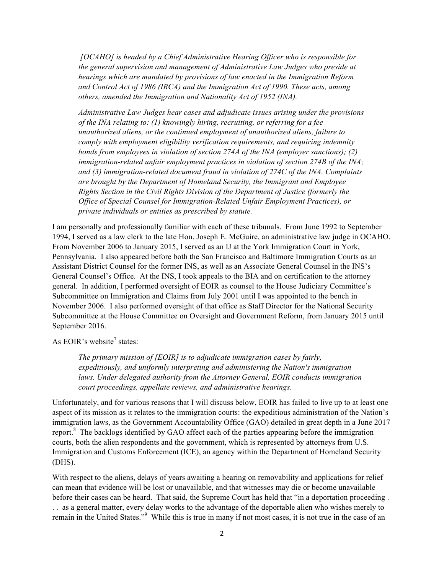*[OCAHO] is headed by a Chief Administrative Hearing Officer who is responsible for the general supervision and management of Administrative Law Judges who preside at hearings which are mandated by provisions of law enacted in the Immigration Reform and Control Act of 1986 (IRCA) and the Immigration Act of 1990. These acts, among others, amended the Immigration and Nationality Act of 1952 (INA).*

*Administrative Law Judges hear cases and adjudicate issues arising under the provisions of the INA relating to: (1) knowingly hiring, recruiting, or referring for a fee unauthorized aliens, or the continued employment of unauthorized aliens, failure to comply with employment eligibility verification requirements, and requiring indemnity bonds from employees in violation of section 274A of the INA (employer sanctions); (2) immigration-related unfair employment practices in violation of section 274B of the INA; and (3) immigration-related document fraud in violation of 274C of the INA. Complaints are brought by the Department of Homeland Security, the Immigrant and Employee Rights Section in the Civil Rights Division of the Department of Justice (formerly the Office of Special Counsel for Immigration-Related Unfair Employment Practices), or private individuals or entities as prescribed by statute.*

I am personally and professionally familiar with each of these tribunals. From June 1992 to September 1994, I served as a law clerk to the late Hon. Joseph E. McGuire, an administrative law judge in OCAHO. From November 2006 to January 2015, I served as an IJ at the York Immigration Court in York, Pennsylvania. I also appeared before both the San Francisco and Baltimore Immigration Courts as an Assistant District Counsel for the former INS, as well as an Associate General Counsel in the INS's General Counsel's Office. At the INS, I took appeals to the BIA and on certification to the attorney general. In addition, I performed oversight of EOIR as counsel to the House Judiciary Committee's Subcommittee on Immigration and Claims from July 2001 until I was appointed to the bench in November 2006. I also performed oversight of that office as Staff Director for the National Security Subcommittee at the House Committee on Oversight and Government Reform, from January 2015 until September 2016.

## As EOIR's website<sup>7</sup> states:

*The primary mission of [EOIR] is to adjudicate immigration cases by fairly, expeditiously, and uniformly interpreting and administering the Nation's immigration laws. Under delegated authority from the Attorney General, EOIR conducts immigration court proceedings, appellate reviews, and administrative hearings.*

Unfortunately, and for various reasons that I will discuss below, EOIR has failed to live up to at least one aspect of its mission as it relates to the immigration courts: the expeditious administration of the Nation's immigration laws, as the Government Accountability Office (GAO) detailed in great depth in a June 2017 report.<sup>8</sup> The backlogs identified by GAO affect each of the parties appearing before the immigration courts, both the alien respondents and the government, which is represented by attorneys from U.S. Immigration and Customs Enforcement (ICE), an agency within the Department of Homeland Security (DHS).

With respect to the aliens, delays of years awaiting a hearing on removability and applications for relief can mean that evidence will be lost or unavailable, and that witnesses may die or become unavailable before their cases can be heard. That said, the Supreme Court has held that "in a deportation proceeding . . . as a general matter, every delay works to the advantage of the deportable alien who wishes merely to remain in the United States."<sup>9</sup> While this is true in many if not most cases, it is not true in the case of an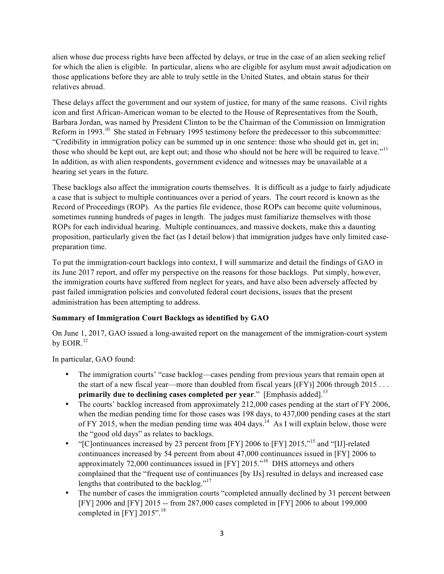alien whose due process rights have been affected by delays, or true in the case of an alien seeking relief for which the alien is eligible. In particular, aliens who are eligible for asylum must await adjudication on those applications before they are able to truly settle in the United States, and obtain status for their relatives abroad.

These delays affect the government and our system of justice, for many of the same reasons. Civil rights icon and first African-American woman to be elected to the House of Representatives from the South, Barbara Jordan, was named by President Clinton to be the Chairman of the Commission on Immigration Reform in 1993.<sup>10</sup> She stated in February 1995 testimony before the predecessor to this subcommittee: "Credibility in immigration policy can be summed up in one sentence: those who should get in, get in; those who should be kept out, are kept out; and those who should not be here will be required to leave."<sup>11</sup> In addition, as with alien respondents, government evidence and witnesses may be unavailable at a hearing set years in the future.

These backlogs also affect the immigration courts themselves. It is difficult as a judge to fairly adjudicate a case that is subject to multiple continuances over a period of years. The court record is known as the Record of Proceedings (ROP). As the parties file evidence, those ROPs can become quite voluminous, sometimes running hundreds of pages in length. The judges must familiarize themselves with those ROPs for each individual hearing. Multiple continuances, and massive dockets, make this a daunting proposition, particularly given the fact (as I detail below) that immigration judges have only limited casepreparation time.

To put the immigration-court backlogs into context, I will summarize and detail the findings of GAO in its June 2017 report, and offer my perspective on the reasons for those backlogs. Put simply, however, the immigration courts have suffered from neglect for years, and have also been adversely affected by past failed immigration policies and convoluted federal court decisions, issues that the present administration has been attempting to address.

# **Summary of Immigration Court Backlogs as identified by GAO**

On June 1, 2017, GAO issued a long-awaited report on the management of the immigration-court system by EOIR. $^{12}$ 

In particular, GAO found:

- The immigration courts' "case backlog—cases pending from previous years that remain open at the start of a new fiscal year—more than doubled from fiscal years  $[(FY)]$  2006 through 2015 ... **primarily due to declining cases completed per year.**" [Emphasis added].<sup>13</sup>
- The courts' backlog increased from approximately 212,000 cases pending at the start of FY 2006, when the median pending time for those cases was 198 days, to 437,000 pending cases at the start of FY 2015, when the median pending time was 404 days.<sup>14</sup> As I will explain below, those were the "good old days" as relates to backlogs.
- "[C]ontinuances increased by 23 percent from [FY] 2006 to [FY] 2015,"15 and "[IJ]-related continuances increased by 54 percent from about 47,000 continuances issued in [FY] 2006 to approximately 72,000 continuances issued in [FY]  $2015.^{16}$  DHS attorneys and others complained that the "frequent use of continuances [by IJs] resulted in delays and increased case lengths that contributed to the backlog."<sup>17</sup>
- The number of cases the immigration courts "completed annually declined by 31 percent between [FY] 2006 and [FY] 2015 -- from 287,000 cases completed in [FY] 2006 to about 199,000 completed in [FY]  $2015$ ".<sup>18</sup>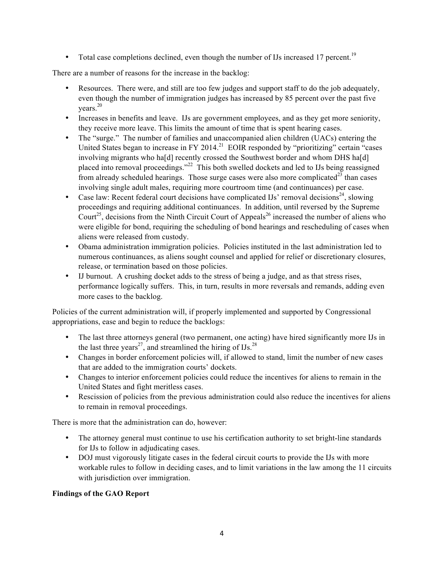• Total case completions declined, even though the number of IJs increased 17 percent.<sup>19</sup>

There are a number of reasons for the increase in the backlog:

- Resources. There were, and still are too few judges and support staff to do the job adequately, even though the number of immigration judges has increased by 85 percent over the past five years. 20
- Increases in benefits and leave. IJs are government employees, and as they get more seniority, they receive more leave. This limits the amount of time that is spent hearing cases.
- The "surge." The number of families and unaccompanied alien children (UACs) entering the United States began to increase in FY 2014.<sup>21</sup> EOIR responded by "prioritizing" certain "cases" involving migrants who ha[d] recently crossed the Southwest border and whom DHS ha[d] placed into removal proceedings."<sup>22</sup> This both swelled dockets and led to IJs being reassigned from already scheduled hearings. Those surge cases were also more complicated<sup>23</sup> than cases involving single adult males, requiring more courtroom time (and continuances) per case.
- Case law: Recent federal court decisions have complicated IJs' removal decisions<sup>24</sup>, slowing proceedings and requiring additional continuances. In addition, until reversed by the Supreme Court<sup>25</sup>, decisions from the Ninth Circuit Court of Appeals<sup>26</sup> increased the number of aliens who were eligible for bond, requiring the scheduling of bond hearings and rescheduling of cases when aliens were released from custody.
- Obama administration immigration policies. Policies instituted in the last administration led to numerous continuances, as aliens sought counsel and applied for relief or discretionary closures, release, or termination based on those policies.
- IJ burnout. A crushing docket adds to the stress of being a judge, and as that stress rises, performance logically suffers. This, in turn, results in more reversals and remands, adding even more cases to the backlog.

Policies of the current administration will, if properly implemented and supported by Congressional appropriations, ease and begin to reduce the backlogs:

- The last three attorneys general (two permanent, one acting) have hired significantly more IJs in the last three years<sup>27</sup>, and streamlined the hiring of IJs.<sup>28</sup>
- Changes in border enforcement policies will, if allowed to stand, limit the number of new cases that are added to the immigration courts' dockets.
- Changes to interior enforcement policies could reduce the incentives for aliens to remain in the United States and fight meritless cases.
- Rescission of policies from the previous administration could also reduce the incentives for aliens to remain in removal proceedings.

There is more that the administration can do, however:

- The attorney general must continue to use his certification authority to set bright-line standards for IJs to follow in adjudicating cases.
- DOJ must vigorously litigate cases in the federal circuit courts to provide the IJs with more workable rules to follow in deciding cases, and to limit variations in the law among the 11 circuits with jurisdiction over immigration.

## **Findings of the GAO Report**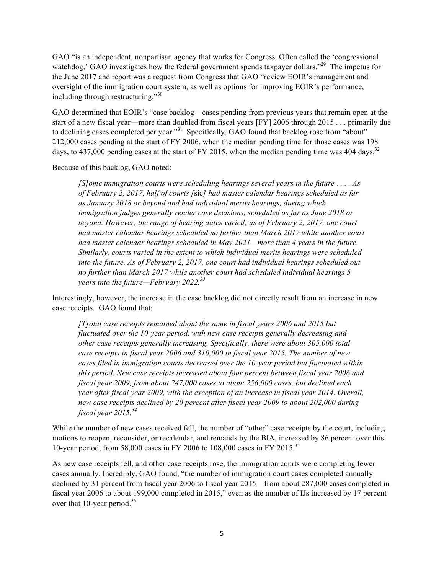GAO "is an independent, nonpartisan agency that works for Congress. Often called the 'congressional watchdog,' GAO investigates how the federal government spends taxpayer dollars."<sup>29</sup> The impetus for the June 2017 and report was a request from Congress that GAO "review EOIR's management and oversight of the immigration court system, as well as options for improving EOIR's performance, including through restructuring."<sup>30</sup>

GAO determined that EOIR's "case backlog—cases pending from previous years that remain open at the start of a new fiscal year—more than doubled from fiscal years [FY] 2006 through 2015 . . . primarily due to declining cases completed per year."<sup>31</sup> Specifically, GAO found that backlog rose from "about" 212,000 cases pending at the start of FY 2006, when the median pending time for those cases was 198 days, to 437,000 pending cases at the start of FY 2015, when the median pending time was 404 days.<sup>32</sup>

Because of this backlog, GAO noted:

*[S]ome immigration courts were scheduling hearings several years in the future . . . . As of February 2, 2017, half of courts [*sic*] had master calendar hearings scheduled as far as January 2018 or beyond and had individual merits hearings, during which immigration judges generally render case decisions, scheduled as far as June 2018 or beyond. However, the range of hearing dates varied; as of February 2, 2017, one court had master calendar hearings scheduled no further than March 2017 while another court had master calendar hearings scheduled in May 2021—more than 4 years in the future. Similarly, courts varied in the extent to which individual merits hearings were scheduled into the future. As of February 2, 2017, one court had individual hearings scheduled out no further than March 2017 while another court had scheduled individual hearings 5 years into the future—February 2022. 33*

Interestingly, however, the increase in the case backlog did not directly result from an increase in new case receipts. GAO found that:

*[T]otal case receipts remained about the same in fiscal years 2006 and 2015 but fluctuated over the 10-year period, with new case receipts generally decreasing and other case receipts generally increasing. Specifically, there were about 305,000 total case receipts in fiscal year 2006 and 310,000 in fiscal year 2015. The number of new cases filed in immigration courts decreased over the 10-year period but fluctuated within this period. New case receipts increased about four percent between fiscal year 2006 and fiscal year 2009, from about 247,000 cases to about 256,000 cases, but declined each year after fiscal year 2009, with the exception of an increase in fiscal year 2014. Overall, new case receipts declined by 20 percent after fiscal year 2009 to about 202,000 during fiscal year 2015. 34*

While the number of new cases received fell, the number of "other" case receipts by the court, including motions to reopen, reconsider, or recalendar, and remands by the BIA, increased by 86 percent over this 10-year period, from 58,000 cases in FY 2006 to 108,000 cases in FY 2015.35

As new case receipts fell, and other case receipts rose, the immigration courts were completing fewer cases annually. Incredibly, GAO found, "the number of immigration court cases completed annually declined by 31 percent from fiscal year 2006 to fiscal year 2015—from about 287,000 cases completed in fiscal year 2006 to about 199,000 completed in 2015," even as the number of IJs increased by 17 percent over that 10-year period.<sup>36</sup>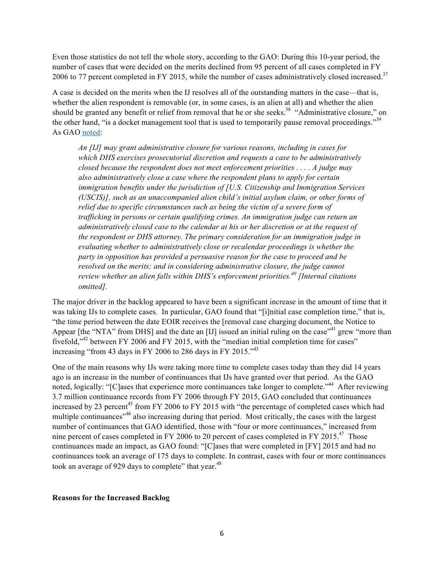Even those statistics do not tell the whole story, according to the GAO: During this 10-year period, the number of cases that were decided on the merits declined from 95 percent of all cases completed in FY 2006 to 77 percent completed in FY 2015, while the number of cases administratively closed increased.<sup>37</sup>

A case is decided on the merits when the IJ resolves all of the outstanding matters in the case—that is, whether the alien respondent is removable (or, in some cases, is an alien at all) and whether the alien should be granted any benefit or relief from removal that he or she seeks.<sup>38</sup> "Administrative closure," on the other hand, "is a docket management tool that is used to temporarily pause removal proceedings."<sup>39</sup> As GAO noted:

*An [IJ] may grant administrative closure for various reasons, including in cases for which DHS exercises prosecutorial discretion and requests a case to be administratively closed because the respondent does not meet enforcement priorities . . . . A judge may also administratively close a case where the respondent plans to apply for certain immigration benefits under the jurisdiction of [U.S. Citizenship and Immigration Services (USCIS)], such as an unaccompanied alien child's initial asylum claim, or other forms of*  relief due to specific circumstances such as being the victim of a severe form of *trafficking in persons or certain qualifying crimes. An immigration judge can return an administratively closed case to the calendar at his or her discretion or at the request of the respondent or DHS attorney. The primary consideration for an immigration judge in evaluating whether to administratively close or recalendar proceedings is whether the party in opposition has provided a persuasive reason for the case to proceed and be resolved on the merits; and in considering administrative closure, the judge cannot review whether an alien falls within DHS's enforcement priorities. <sup>40</sup> [Internal citations omitted].* 

The major driver in the backlog appeared to have been a significant increase in the amount of time that it was taking IJs to complete cases. In particular, GAO found that "[i]nitial case completion time," that is, "the time period between the date EOIR receives the [removal case charging document, the Notice to Appear [the "NTA" from DHS] and the date an [IJ] issued an initial ruling on the case"<sup>41</sup> grew "more than fivefold,"<sup>42</sup> between FY 2006 and FY 2015, with the "median initial completion time for cases" increasing "from 43 days in FY 2006 to 286 days in FY 2015." $43$ 

One of the main reasons why IJs were taking more time to complete cases today than they did 14 years ago is an increase in the number of continuances that IJs have granted over that period. As the GAO noted, logically: "[C]ases that experience more continuances take longer to complete."<sup>44</sup> After reviewing 3.7 million continuance records from FY 2006 through FY 2015, GAO concluded that continuances increased by 23 percent<sup>45</sup> from FY 2006 to FY 2015 with "the percentage of completed cases which had multiple continuances<sup>346</sup> also increasing during that period. Most critically, the cases with the largest number of continuances that GAO identified, those with "four or more continuances," increased from nine percent of cases completed in FY 2006 to 20 percent of cases completed in FY 2015.<sup>47</sup> Those continuances made an impact, as GAO found: "[C]ases that were completed in [FY] 2015 and had no continuances took an average of 175 days to complete. In contrast, cases with four or more continuances took an average of 929 days to complete" that year.<sup>48</sup>

#### **Reasons for the Increased Backlog**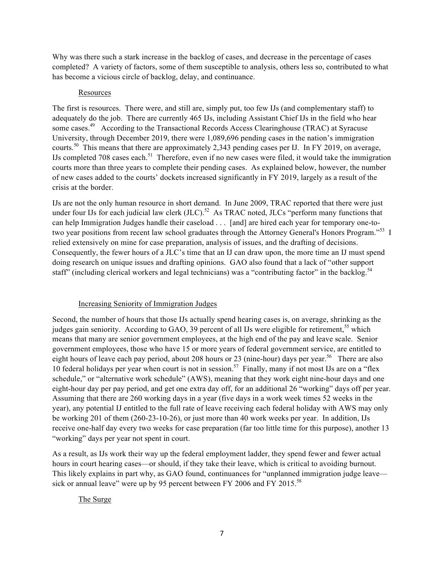Why was there such a stark increase in the backlog of cases, and decrease in the percentage of cases completed? A variety of factors, some of them susceptible to analysis, others less so, contributed to what has become a vicious circle of backlog, delay, and continuance.

#### Resources

The first is resources. There were, and still are, simply put, too few IJs (and complementary staff) to adequately do the job. There are currently 465 IJs, including Assistant Chief IJs in the field who hear some cases.<sup>49</sup> According to the Transactional Records Access Clearinghouse (TRAC) at Syracuse University, through December 2019, there were 1,089,696 pending cases in the nation's immigration courts.<sup>50</sup> This means that there are approximately 2,343 pending cases per IJ. In FY 2019, on average, IJs completed 708 cases each.<sup>51</sup> Therefore, even if no new cases were filed, it would take the immigration courts more than three years to complete their pending cases. As explained below, however, the number of new cases added to the courts' dockets increased significantly in FY 2019, largely as a result of the crisis at the border.

IJs are not the only human resource in short demand. In June 2009, TRAC reported that there were just under four IJs for each judicial law clerk  ${(JLC)}$ .<sup>52</sup> As TRAC noted, JLCs "perform many functions that can help Immigration Judges handle their caseload . . . [and] are hired each year for temporary one-totwo year positions from recent law school graduates through the Attorney General's Honors Program."<sup>53</sup> I relied extensively on mine for case preparation, analysis of issues, and the drafting of decisions. Consequently, the fewer hours of a JLC's time that an IJ can draw upon, the more time an IJ must spend doing research on unique issues and drafting opinions. GAO also found that a lack of "other support staff" (including clerical workers and legal technicians) was a "contributing factor" in the backlog.<sup>54</sup>

## Increasing Seniority of Immigration Judges

Second, the number of hours that those IJs actually spend hearing cases is, on average, shrinking as the judges gain seniority. According to GAO, 39 percent of all IJs were eligible for retirement,<sup>55</sup> which means that many are senior government employees, at the high end of the pay and leave scale. Senior government employees, those who have 15 or more years of federal government service, are entitled to eight hours of leave each pay period, about 208 hours or 23 (nine-hour) days per year.<sup>56</sup> There are also 10 federal holidays per year when court is not in session.<sup>57</sup> Finally, many if not most IJs are on a "flex" schedule," or "alternative work schedule" (AWS), meaning that they work eight nine-hour days and one eight-hour day per pay period, and get one extra day off, for an additional 26 "working" days off per year. Assuming that there are 260 working days in a year (five days in a work week times 52 weeks in the year), any potential IJ entitled to the full rate of leave receiving each federal holiday with AWS may only be working 201 of them (260-23-10-26), or just more than 40 work weeks per year. In addition, IJs receive one-half day every two weeks for case preparation (far too little time for this purpose), another 13 "working" days per year not spent in court.

As a result, as IJs work their way up the federal employment ladder, they spend fewer and fewer actual hours in court hearing cases—or should, if they take their leave, which is critical to avoiding burnout. This likely explains in part why, as GAO found, continuances for "unplanned immigration judge leave sick or annual leave" were up by 95 percent between FY 2006 and FY 2015.<sup>58</sup>

# The Surge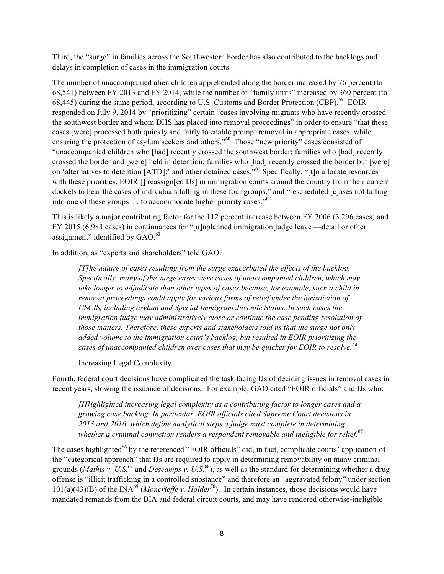Third, the "surge" in families across the Southwestern border has also contributed to the backlogs and delays in completion of cases in the immigration courts.

The number of unaccompanied alien children apprehended along the border increased by 76 percent (to 68,541) between FY 2013 and FY 2014, while the number of "family units" increased by 360 percent (to 68,445) during the same period, according to U.S. Customs and Border Protection (CBP).<sup>59</sup> EOIR responded on July 9, 2014 by "prioritizing" certain "cases involving migrants who have recently crossed the southwest border and whom DHS has placed into removal proceedings" in order to ensure "that these cases [were] processed both quickly and fairly to enable prompt removal in appropriate cases, while ensuring the protection of asylum seekers and others."<sup>60</sup> Those "new priority" cases consisted of "unaccompanied children who [had] recently crossed the southwest border; families who [had] recently crossed the border and [were] held in detention; families who [had] recently crossed the border but [were] on 'alternatives to detention [ATD];' and other detained cases."<sup>61</sup> Specifically, "[t]o allocate resources with these priorities, EOIR [] reassign[ed IJs] in immigration courts around the country from their current dockets to hear the cases of individuals falling in these four groups," and "rescheduled [c]ases not falling into one of these groups  $\ldots$  to accommodate higher priority cases."<sup>62</sup>

This is likely a major contributing factor for the 112 percent increase between FY 2006 (3,296 cases) and FY 2015 (6,983 cases) in continuances for "[u]nplanned immigration judge leave —detail or other assignment" identified by GAO.<sup>63</sup>

In addition, as "experts and shareholders" told GAO:

*[T]he nature of cases resulting from the surge exacerbated the effects of the backlog. Specifically, many of the surge cases were cases of unaccompanied children, which may take longer to adjudicate than other types of cases because, for example, such a child in removal proceedings could apply for various forms of relief under the jurisdiction of USCIS, including asylum and Special Immigrant Juvenile Status. In such cases the immigration judge may administratively close or continue the case pending resolution of those matters. Therefore, these experts and stakeholders told us that the surge not only added volume to the immigration court's backlog, but resulted in EOIR prioritizing the cases of unaccompanied children over cases that may be quicker for EOIR to resolve. 64*

## Increasing Legal Complexity

Fourth, federal court decisions have complicated the task facing IJs of deciding issues in removal cases in recent years, slowing the issuance of decisions. For example, GAO cited "EOIR officials" and IJs who:

*[H]ighlighted increasing legal complexity as a contributing factor to longer cases and a growing case backlog. In particular, EOIR officials cited Supreme Court decisions in 2013 and 2016, which define analytical steps a judge must complete in determining*  whether a criminal conviction renders a respondent removable and ineligible for relief.<sup>65</sup>

The cases highlighted<sup>66</sup> by the referenced "EOIR officials" did, in fact, complicate courts' application of the "categorical approach" that IJs are required to apply in determining removability on many criminal grounds (*Mathis v. U.S.* 67 and *Descamps v. U.S.* 68), as well as the standard for determining whether a drug offense is "illicit trafficking in a controlled substance" and therefore an "aggravated felony" under section  $101(a)(43)(B)$  of the INA<sup>69</sup> (*Moncrieffe v. Holder*<sup>70</sup>). In certain instances, those decisions would have mandated remands from the BIA and federal circuit courts, and may have rendered otherwise-ineligible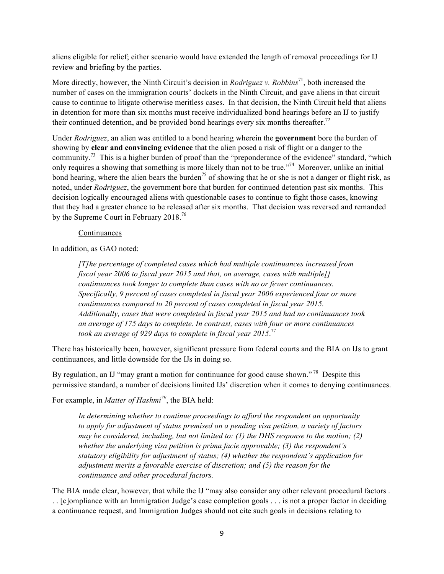aliens eligible for relief; either scenario would have extended the length of removal proceedings for IJ review and briefing by the parties.

More directly, however, the Ninth Circuit's decision in *Rodriguez v. Robbins* 71, both increased the number of cases on the immigration courts' dockets in the Ninth Circuit, and gave aliens in that circuit cause to continue to litigate otherwise meritless cases. In that decision, the Ninth Circuit held that aliens in detention for more than six months must receive individualized bond hearings before an IJ to justify their continued detention, and be provided bond hearings every six months thereafter.<sup>72</sup>

Under *Rodriguez*, an alien was entitled to a bond hearing wherein the **government** bore the burden of showing by **clear and convincing evidence** that the alien posed a risk of flight or a danger to the community.<sup>73</sup> This is a higher burden of proof than the "preponderance of the evidence" standard, "which only requires a showing that something is more likely than not to be true."<sup>74</sup> Moreover, unlike an initial bond hearing, where the alien bears the burden<sup>75</sup> of showing that he or she is not a danger or flight risk, as noted, under *Rodriguez*, the government bore that burden for continued detention past six months. This decision logically encouraged aliens with questionable cases to continue to fight those cases, knowing that they had a greater chance to be released after six months. That decision was reversed and remanded by the Supreme Court in February 2018.<sup>76</sup>

## **Continuances**

In addition, as GAO noted:

*[T]he percentage of completed cases which had multiple continuances increased from fiscal year 2006 to fiscal year 2015 and that, on average, cases with multiple[] continuances took longer to complete than cases with no or fewer continuances. Specifically, 9 percent of cases completed in fiscal year 2006 experienced four or more continuances compared to 20 percent of cases completed in fiscal year 2015. Additionally, cases that were completed in fiscal year 2015 and had no continuances took an average of 175 days to complete. In contrast, cases with four or more continuances took an average of 929 days to complete in fiscal year 2015*. 77

There has historically been, however, significant pressure from federal courts and the BIA on IJs to grant continuances, and little downside for the IJs in doing so.

By regulation, an IJ "may grant a motion for continuance for good cause shown."<sup>78</sup> Despite this permissive standard, a number of decisions limited IJs' discretion when it comes to denying continuances.

For example, in *Matter of Hashmi <sup>79</sup>*, the BIA held:

*In determining whether to continue proceedings to afford the respondent an opportunity to apply for adjustment of status premised on a pending visa petition, a variety of factors may be considered, including, but not limited to: (1) the DHS response to the motion; (2) whether the underlying visa petition is prima facie approvable; (3) the respondent's statutory eligibility for adjustment of status; (4) whether the respondent's application for adjustment merits a favorable exercise of discretion; and (5) the reason for the continuance and other procedural factors.*

The BIA made clear, however, that while the IJ "may also consider any other relevant procedural factors . . . [c]ompliance with an Immigration Judge's case completion goals . . . is not a proper factor in deciding a continuance request, and Immigration Judges should not cite such goals in decisions relating to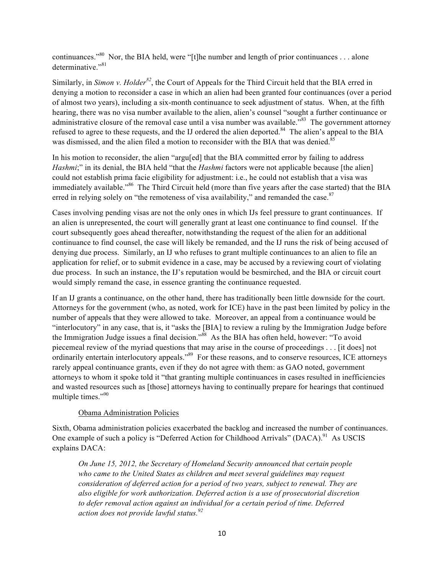continuances.<sup>80</sup> Nor, the BIA held, were "[t]he number and length of prior continuances . . . alone determinative."<sup>81</sup>

Similarly, in *Simon v. Holder*<sup>82</sup>, the Court of Appeals for the Third Circuit held that the BIA erred in denying a motion to reconsider a case in which an alien had been granted four continuances (over a period of almost two years), including a six-month continuance to seek adjustment of status. When, at the fifth hearing, there was no visa number available to the alien, alien's counsel "sought a further continuance or administrative closure of the removal case until a visa number was available."<sup>83</sup> The government attorney refused to agree to these requests, and the IJ ordered the alien deported.<sup>84</sup> The alien's appeal to the BIA was dismissed, and the alien filed a motion to reconsider with the BIA that was denied.<sup>85</sup>

In his motion to reconsider, the alien "argu[ed] that the BIA committed error by failing to address *Hashmi*;" in its denial, the BIA held "that the *Hashmi* factors were not applicable because [the alien] could not establish prima facie eligibility for adjustment: i.e., he could not establish that a visa was immediately available."<sup>86</sup> The Third Circuit held (more than five years after the case started) that the BIA erred in relying solely on "the remoteness of visa availability," and remanded the case.<sup>87</sup>

Cases involving pending visas are not the only ones in which IJs feel pressure to grant continuances. If an alien is unrepresented, the court will generally grant at least one continuance to find counsel. If the court subsequently goes ahead thereafter, notwithstanding the request of the alien for an additional continuance to find counsel, the case will likely be remanded, and the IJ runs the risk of being accused of denying due process. Similarly, an IJ who refuses to grant multiple continuances to an alien to file an application for relief, or to submit evidence in a case, may be accused by a reviewing court of violating due process. In such an instance, the IJ's reputation would be besmirched, and the BIA or circuit court would simply remand the case, in essence granting the continuance requested.

If an IJ grants a continuance, on the other hand, there has traditionally been little downside for the court. Attorneys for the government (who, as noted, work for ICE) have in the past been limited by policy in the number of appeals that they were allowed to take. Moreover, an appeal from a continuance would be "interlocutory" in any case, that is, it "asks the [BIA] to review a ruling by the Immigration Judge before the Immigration Judge issues a final decision."<sup>88</sup> As the BIA has often held, however: "To avoid piecemeal review of the myriad questions that may arise in the course of proceedings . . . [it does] not ordinarily entertain interlocutory appeals."<sup>89</sup> For these reasons, and to conserve resources, ICE attorneys rarely appeal continuance grants, even if they do not agree with them: as GAO noted, government attorneys to whom it spoke told it "that granting multiple continuances in cases resulted in inefficiencies and wasted resources such as [those] attorneys having to continually prepare for hearings that continued multiple times."<sup>90</sup>

## Obama Administration Policies

Sixth, Obama administration policies exacerbated the backlog and increased the number of continuances. One example of such a policy is "Deferred Action for Childhood Arrivals" (DACA).<sup>91</sup> As USCIS explains DACA:

*On June 15, 2012, the Secretary of Homeland Security announced that certain people who came to the United States as children and meet several guidelines may request consideration of deferred action for a period of two years, subject to renewal. They are also eligible for work authorization. Deferred action is a use of prosecutorial discretion to defer removal action against an individual for a certain period of time. Deferred action does not provide lawful status. 92*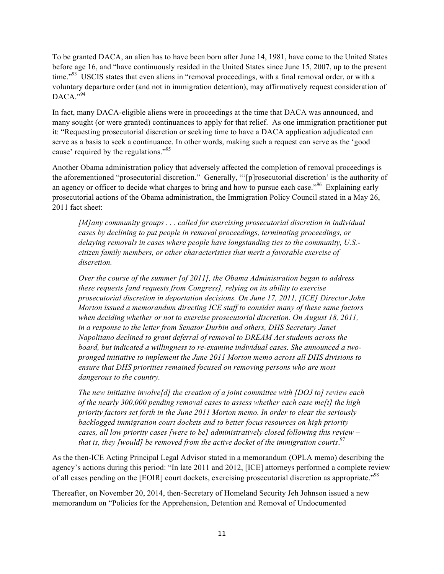To be granted DACA, an alien has to have been born after June 14, 1981, have come to the United States before age 16, and "have continuously resided in the United States since June 15, 2007, up to the present time."<sup>93</sup> USCIS states that even aliens in "removal proceedings, with a final removal order, or with a voluntary departure order (and not in immigration detention), may affirmatively request consideration of  $\mathsf{DACA.}^{^{94}}$ 

In fact, many DACA-eligible aliens were in proceedings at the time that DACA was announced, and many sought (or were granted) continuances to apply for that relief. As one immigration practitioner put it: "Requesting prosecutorial discretion or seeking time to have a DACA application adjudicated can serve as a basis to seek a continuance. In other words, making such a request can serve as the 'good cause' required by the regulations."<sup>95</sup>

Another Obama administration policy that adversely affected the completion of removal proceedings is the aforementioned "prosecutorial discretion." Generally, "'[p]rosecutorial discretion' is the authority of an agency or officer to decide what charges to bring and how to pursue each case."<sup>96</sup> Explaining early prosecutorial actions of the Obama administration, the Immigration Policy Council stated in a May 26, 2011 fact sheet:

*[M]any community groups . . . called for exercising prosecutorial discretion in individual cases by declining to put people in removal proceedings, terminating proceedings, or delaying removals in cases where people have longstanding ties to the community, U.S. citizen family members, or other characteristics that merit a favorable exercise of discretion.*

*Over the course of the summer [of 2011], the Obama Administration began to address these requests [and requests from Congress], relying on its ability to exercise prosecutorial discretion in deportation decisions. On June 17, 2011, [ICE] Director John Morton issued a memorandum directing ICE staff to consider many of these same factors when deciding whether or not to exercise prosecutorial discretion. On August 18, 2011, in a response to the letter from Senator Durbin and others, DHS Secretary Janet Napolitano declined to grant deferral of removal to DREAM Act students across the board, but indicated a willingness to re-examine individual cases. She announced a twopronged initiative to implement the June 2011 Morton memo across all DHS divisions to ensure that DHS priorities remained focused on removing persons who are most dangerous to the country.*

*The new initiative involve[d] the creation of a joint committee with [DOJ to] review each of the nearly 300,000 pending removal cases to assess whether each case me[t] the high priority factors set forth in the June 2011 Morton memo. In order to clear the seriously backlogged immigration court dockets and to better focus resources on high priority cases, all low priority cases [were to be] administratively closed following this review –* that is, they [would] be removed from the active docket of the immigration courts.<sup>97</sup>

As the then-ICE Acting Principal Legal Advisor stated in a memorandum (OPLA memo) describing the agency's actions during this period: "In late 2011 and 2012, [ICE] attorneys performed a complete review of all cases pending on the [EOIR] court dockets, exercising prosecutorial discretion as appropriate."<sup>98</sup>

Thereafter, on November 20, 2014, then-Secretary of Homeland Security Jeh Johnson issued a new memorandum on "Policies for the Apprehension, Detention and Removal of Undocumented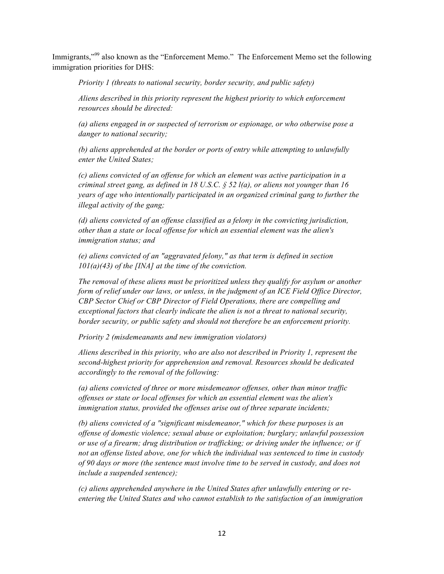Immigrants,"<sup>99</sup> also known as the "Enforcement Memo." The Enforcement Memo set the following immigration priorities for DHS:

*Priority 1 (threats to national security, border security, and public safety)*

*Aliens described in this priority represent the highest priority to which enforcement resources should be directed:*

*(a) aliens engaged in or suspected of terrorism or espionage, or who otherwise pose a danger to national security;*

*(b) aliens apprehended at the border or ports of entry while attempting to unlawfully enter the United States;*

*(c) aliens convicted of an offense for which an element was active participation in a criminal street gang, as defined in 18 U.S.C. § 52 l(a), or aliens not younger than 16 years of age who intentionally participated in an organized criminal gang to further the illegal activity of the gang;*

*(d) aliens convicted of an offense classified as a felony in the convicting jurisdiction, other than a state or local offense for which an essential element was the alien's immigration status; and*

*(e) aliens convicted of an "aggravated felony," as that term is defined in section 101(a)(43) of the [INA] at the time of the conviction.*

*The removal of these aliens must be prioritized unless they qualify for asylum or another form of relief under our laws, or unless, in the judgment of an ICE Field Office Director, CBP Sector Chief or CBP Director of Field Operations, there are compelling and exceptional factors that clearly indicate the alien is not a threat to national security, border security, or public safety and should not therefore be an enforcement priority.*

*Priority 2 (misdemeanants and new immigration violators)*

*Aliens described in this priority, who are also not described in Priority 1, represent the second-highest priority for apprehension and removal. Resources should be dedicated accordingly to the removal of the following:* 

*(a) aliens convicted of three or more misdemeanor offenses, other than minor traffic offenses or state or local offenses for which an essential element was the alien's immigration status, provided the offenses arise out of three separate incidents;*

*(b) aliens convicted of a "significant misdemeanor," which for these purposes is an offense of domestic violence; sexual abuse or exploitation; burglary; unlawful possession or use of a firearm; drug distribution or trafficking; or driving under the influence; or if not an offense listed above, one for which the individual was sentenced to time in custody of 90 days or more (the sentence must involve time to be served in custody, and does not include a suspended sentence);*

*(c) aliens apprehended anywhere in the United States after unlawfully entering or reentering the United States and who cannot establish to the satisfaction of an immigration*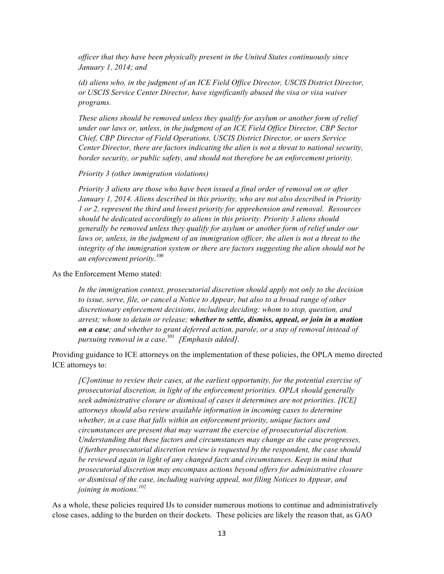*officer that they have been physically present in the United States continuously since January 1, 2014; and*

*(d) aliens who, in the judgment of an ICE Field Office Director, USCIS District Director, or USCIS Service Center Director, have significantly abused the visa or visa waiver programs.*

*These aliens should be removed unless they qualify for asylum or another form of relief under our laws or, unless, in the judgment of an ICE Field Office Director, CBP Sector Chief, CBP Director of Field Operations, USCIS District Director, or users Service Center Director, there are factors indicating the alien is not a threat to national security, border security, or public safety, and should not therefore be an enforcement priority.*

#### *Priority 3 (other immigration violations)*

*Priority 3 aliens are those who have been issued a final order of removal on or after January 1, 2014. Aliens described in this priority, who are not also described in Priority 1 or 2, represent the third and lowest priority for apprehension and removal. Resources should be dedicated accordingly to aliens in this priority. Priority 3 aliens should generally be removed unless they qualify for asylum or another form of relief under our laws or, unless, in the judgment of an immigration officer, the alien is not a threat to the integrity of the immigration system or there are factors suggesting the alien should not be an enforcement priority*. 100

As the Enforcement Memo stated:

*In the immigration context, prosecutorial discretion should apply not only to the decision to issue, serve, file, or cancel a Notice to Appear, but also to a broad range of other discretionary enforcement decisions, including deciding: whom to stop, question, and arrest; whom to detain or release; whether to settle, dismiss, appeal, or join in a motion on a case; and whether to grant deferred action, parole, or a stay of removal instead of pursuing removal in a case*. 101 *[Emphasis added]*.

Providing guidance to ICE attorneys on the implementation of these policies, the OPLA memo directed ICE attorneys to:

*[C]ontinue to review their cases, at the earliest opportunity, for the potential exercise of prosecutorial discretion, in light of the enforcement priorities. OPLA should generally seek administrative closure or dismissal of cases it determines are not priorities. [ICE] attorneys should also review available information in incoming cases to determine whether, in a case that falls within an enforcement priority, unique factors and circumstances are present that may warrant the exercise of prosecutorial discretion. Understanding that these factors and circumstances may change as the case progresses, if further prosecutorial discretion review is requested by the respondent, the case should be reviewed again in light of any changed facts and circumstances. Keep in mind that prosecutorial discretion may encompass actions beyond offers for administrative closure or dismissal of the case, including waiving appeal, not filing Notices to Appear, and joining in motions. 102*

As a whole, these policies required IJs to consider numerous motions to continue and administratively close cases, adding to the burden on their dockets. These policies are likely the reason that, as GAO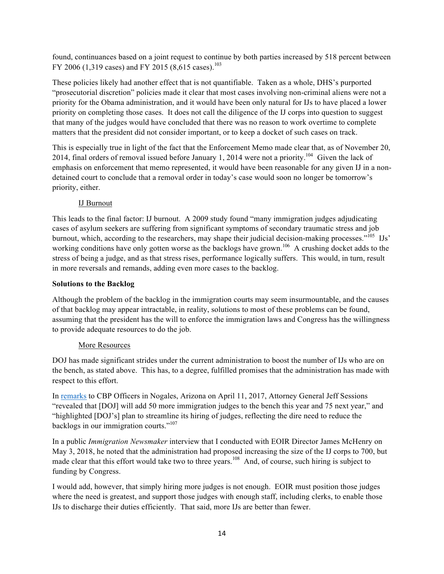found, continuances based on a joint request to continue by both parties increased by 518 percent between FY 2006 (1,319 cases) and FY 2015 (8,615 cases).<sup>103</sup>

These policies likely had another effect that is not quantifiable. Taken as a whole, DHS's purported "prosecutorial discretion" policies made it clear that most cases involving non-criminal aliens were not a priority for the Obama administration, and it would have been only natural for IJs to have placed a lower priority on completing those cases. It does not call the diligence of the IJ corps into question to suggest that many of the judges would have concluded that there was no reason to work overtime to complete matters that the president did not consider important, or to keep a docket of such cases on track.

This is especially true in light of the fact that the Enforcement Memo made clear that, as of November 20, 2014, final orders of removal issued before January 1, 2014 were not a priority.<sup>104</sup> Given the lack of emphasis on enforcement that memo represented, it would have been reasonable for any given IJ in a nondetained court to conclude that a removal order in today's case would soon no longer be tomorrow's priority, either.

# IJ Burnout

This leads to the final factor: IJ burnout. A 2009 study found "many immigration judges adjudicating cases of asylum seekers are suffering from significant symptoms of secondary traumatic stress and job burnout, which, according to the researchers, may shape their judicial decision-making processes."<sup>105</sup> IJs' working conditions have only gotten worse as the backlogs have grown.<sup>106</sup> A crushing docket adds to the stress of being a judge, and as that stress rises, performance logically suffers. This would, in turn, result in more reversals and remands, adding even more cases to the backlog.

## **Solutions to the Backlog**

Although the problem of the backlog in the immigration courts may seem insurmountable, and the causes of that backlog may appear intractable, in reality, solutions to most of these problems can be found, assuming that the president has the will to enforce the immigration laws and Congress has the willingness to provide adequate resources to do the job.

# More Resources

DOJ has made significant strides under the current administration to boost the number of IJs who are on the bench, as stated above. This has, to a degree, fulfilled promises that the administration has made with respect to this effort.

In remarks to CBP Officers in Nogales, Arizona on April 11, 2017, Attorney General Jeff Sessions "revealed that [DOJ] will add 50 more immigration judges to the bench this year and 75 next year," and "highlighted [DOJ's] plan to streamline its hiring of judges, reflecting the dire need to reduce the backlogs in our immigration courts."<sup>107</sup>

In a public *Immigration Newsmaker* interview that I conducted with EOIR Director James McHenry on May 3, 2018, he noted that the administration had proposed increasing the size of the IJ corps to 700, but made clear that this effort would take two to three years.<sup>108</sup> And, of course, such hiring is subject to funding by Congress.

I would add, however, that simply hiring more judges is not enough. EOIR must position those judges where the need is greatest, and support those judges with enough staff, including clerks, to enable those IJs to discharge their duties efficiently. That said, more IJs are better than fewer.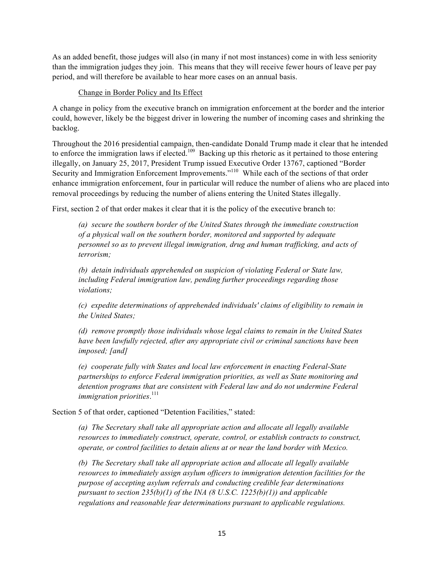As an added benefit, those judges will also (in many if not most instances) come in with less seniority than the immigration judges they join. This means that they will receive fewer hours of leave per pay period, and will therefore be available to hear more cases on an annual basis.

Change in Border Policy and Its Effect

A change in policy from the executive branch on immigration enforcement at the border and the interior could, however, likely be the biggest driver in lowering the number of incoming cases and shrinking the backlog.

Throughout the 2016 presidential campaign, then-candidate Donald Trump made it clear that he intended to enforce the immigration laws if elected.<sup>109</sup> Backing up this rhetoric as it pertained to those entering illegally, on January 25, 2017, President Trump issued Executive Order 13767, captioned "Border Security and Immigration Enforcement Improvements."<sup>110</sup> While each of the sections of that order enhance immigration enforcement, four in particular will reduce the number of aliens who are placed into removal proceedings by reducing the number of aliens entering the United States illegally.

First, section 2 of that order makes it clear that it is the policy of the executive branch to:

*(a) secure the southern border of the United States through the immediate construction of a physical wall on the southern border, monitored and supported by adequate personnel so as to prevent illegal immigration, drug and human trafficking, and acts of terrorism;*

*(b) detain individuals apprehended on suspicion of violating Federal or State law, including Federal immigration law, pending further proceedings regarding those violations;*

*(c) expedite determinations of apprehended individuals' claims of eligibility to remain in the United States;*

*(d) remove promptly those individuals whose legal claims to remain in the United States have been lawfully rejected, after any appropriate civil or criminal sanctions have been imposed; [and]*

*(e) cooperate fully with States and local law enforcement in enacting Federal-State partnerships to enforce Federal immigration priorities, as well as State monitoring and detention programs that are consistent with Federal law and do not undermine Federal immigration priorities*. 111

Section 5 of that order, captioned "Detention Facilities," stated:

*(a) The Secretary shall take all appropriate action and allocate all legally available resources to immediately construct, operate, control, or establish contracts to construct, operate, or control facilities to detain aliens at or near the land border with Mexico.*

*(b) The Secretary shall take all appropriate action and allocate all legally available resources to immediately assign asylum officers to immigration detention facilities for the purpose of accepting asylum referrals and conducting credible fear determinations pursuant to section 235(b)(1) of the INA (8 U.S.C. 1225(b)(1)) and applicable regulations and reasonable fear determinations pursuant to applicable regulations.*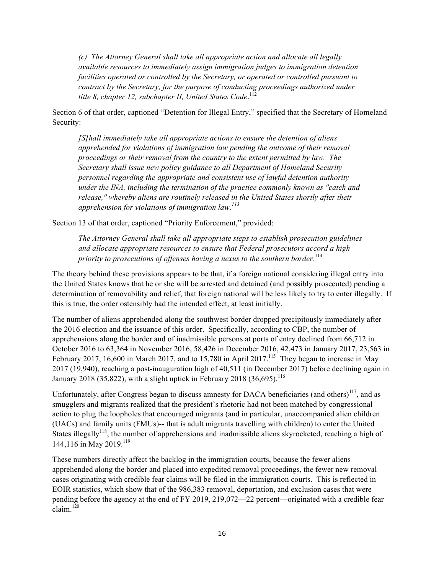*(c) The Attorney General shall take all appropriate action and allocate all legally available resources to immediately assign immigration judges to immigration detention facilities operated or controlled by the Secretary, or operated or controlled pursuant to contract by the Secretary, for the purpose of conducting proceedings authorized under title 8, chapter 12, subchapter II, United States Code*. 112

Section 6 of that order, captioned "Detention for Illegal Entry," specified that the Secretary of Homeland Security:

*[S]hall immediately take all appropriate actions to ensure the detention of aliens apprehended for violations of immigration law pending the outcome of their removal proceedings or their removal from the country to the extent permitted by law. The Secretary shall issue new policy guidance to all Department of Homeland Security personnel regarding the appropriate and consistent use of lawful detention authority under the INA, including the termination of the practice commonly known as "catch and release," whereby aliens are routinely released in the United States shortly after their apprehension for violations of immigration law. 113*

Section 13 of that order, captioned "Priority Enforcement," provided:

*The Attorney General shall take all appropriate steps to establish prosecution guidelines and allocate appropriate resources to ensure that Federal prosecutors accord a high priority to prosecutions of offenses having a nexus to the southern border*. 114

The theory behind these provisions appears to be that, if a foreign national considering illegal entry into the United States knows that he or she will be arrested and detained (and possibly prosecuted) pending a determination of removability and relief, that foreign national will be less likely to try to enter illegally. If this is true, the order ostensibly had the intended effect, at least initially.

The number of aliens apprehended along the southwest border dropped precipitously immediately after the 2016 election and the issuance of this order. Specifically, according to CBP, the number of apprehensions along the border and of inadmissible persons at ports of entry declined from 66,712 in October 2016 to 63,364 in November 2016, 58,426 in December 2016, 42,473 in January 2017, 23,563 in February 2017, 16,600 in March 2017, and to 15,780 in April 2017.<sup>115</sup> They began to increase in May 2017 (19,940), reaching a post-inauguration high of 40,511 (in December 2017) before declining again in January 2018 (35,822), with a slight uptick in February 2018 (36,695).<sup>116</sup>

Unfortunately, after Congress began to discuss amnesty for DACA beneficiaries (and others)<sup>117</sup>, and as smugglers and migrants realized that the president's rhetoric had not been matched by congressional action to plug the loopholes that encouraged migrants (and in particular, unaccompanied alien children (UACs) and family units (FMUs)-- that is adult migrants travelling with children) to enter the United States illegally<sup>118</sup>, the number of apprehensions and inadmissible aliens skyrocketed, reaching a high of 144,116 in May 2019.<sup>119</sup>

These numbers directly affect the backlog in the immigration courts, because the fewer aliens apprehended along the border and placed into expedited removal proceedings, the fewer new removal cases originating with credible fear claims will be filed in the immigration courts. This is reflected in EOIR statistics, which show that of the 986,383 removal, deportation, and exclusion cases that were pending before the agency at the end of FY 2019, 219,072—22 percent—originated with a credible fear claim. 120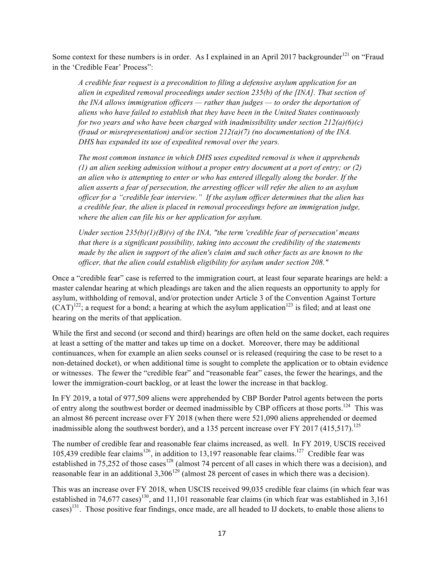Some context for these numbers is in order. As I explained in an April 2017 backgrounder<sup>121</sup> on "Fraud in the 'Credible Fear' Process":

*A credible fear request is a precondition to filing a defensive asylum application for an alien in expedited removal proceedings under section 235(b) of the [INA]. That section of the INA allows immigration officers — rather than judges — to order the deportation of aliens who have failed to establish that they have been in the United States continuously for two years and who have been charged with inadmissibility under section 212(a)(6)(c) (fraud or misrepresentation) and/or section 212(a)(7) (no documentation) of the INA. DHS has expanded its use of expedited removal over the years.*

*The most common instance in which DHS uses expedited removal is when it apprehends (1) an alien seeking admission without a proper entry document at a port of entry; or (2) an alien who is attempting to enter or who has entered illegally along the border. If the alien asserts a fear of persecution, the arresting officer will refer the alien to an asylum officer for a "credible fear interview." If the asylum officer determines that the alien has a credible fear, the alien is placed in removal proceedings before an immigration judge, where the alien can file his or her application for asylum.*

*Under section 235(b)(1)(B)(v) of the INA, "the term 'credible fear of persecution' means that there is a significant possibility, taking into account the credibility of the statements made by the alien in support of the alien's claim and such other facts as are known to the officer, that the alien could establish eligibility for asylum under section 208."*

Once a "credible fear" case is referred to the immigration court, at least four separate hearings are held: a master calendar hearing at which pleadings are taken and the alien requests an opportunity to apply for asylum, withholding of removal, and/or protection under Article 3 of the Convention Against Torture  $(CAT)^{122}$ ; a request for a bond; a hearing at which the asylum application<sup>123</sup> is filed; and at least one hearing on the merits of that application.

While the first and second (or second and third) hearings are often held on the same docket, each requires at least a setting of the matter and takes up time on a docket. Moreover, there may be additional continuances, when for example an alien seeks counsel or is released (requiring the case to be reset to a non-detained docket), or when additional time is sought to complete the application or to obtain evidence or witnesses. The fewer the "credible fear" and "reasonable fear" cases, the fewer the hearings, and the lower the immigration-court backlog, or at least the lower the increase in that backlog.

In FY 2019, a total of 977,509 aliens were apprehended by CBP Border Patrol agents between the ports of entry along the southwest border or deemed inadmissible by CBP officers at those ports.<sup>124</sup> This was an almost 86 percent increase over FY 2018 (when there were 521,090 aliens apprehended or deemed inadmissible along the southwest border), and a 135 percent increase over FY 2017 (415,517).<sup>125</sup>

The number of credible fear and reasonable fear claims increased, as well. In FY 2019, USCIS received 105,439 credible fear claims<sup>126</sup>, in addition to 13,197 reasonable fear claims.<sup>127</sup> Credible fear was established in 75,252 of those cases<sup>128</sup> (almost 74 percent of all cases in which there was a decision), and reasonable fear in an additional  $3,306^{129}$  (almost 28 percent of cases in which there was a decision).

This was an increase over FY 2018, when USCIS received 99,035 credible fear claims (in which fear was established in 74,677 cases)<sup>130</sup>, and 11,101 reasonable fear claims (in which fear was established in 3,161 cases)<sup>131</sup>. Those positive fear findings, once made, are all headed to IJ dockets, to enable those aliens to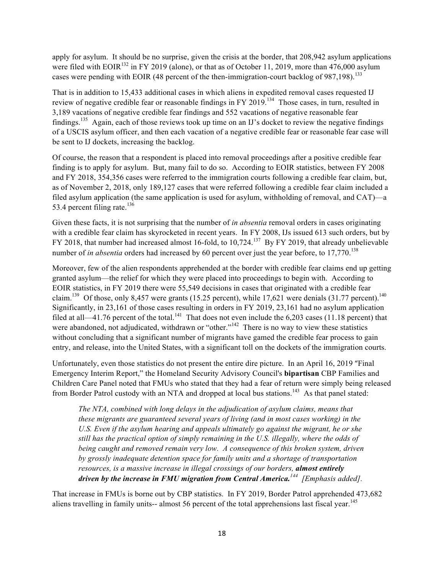apply for asylum. It should be no surprise, given the crisis at the border, that 208,942 asylum applications were filed with EOIR<sup>132</sup> in FY 2019 (alone), or that as of October 11, 2019, more than 476,000 asylum cases were pending with EOIR (48 percent of the then-immigration-court backlog of 987,198).<sup>133</sup>

That is in addition to 15,433 additional cases in which aliens in expedited removal cases requested IJ review of negative credible fear or reasonable findings in FY 2019.<sup>134</sup> Those cases, in turn, resulted in 3,189 vacations of negative credible fear findings and 552 vacations of negative reasonable fear findings.<sup>135</sup> Again, each of those reviews took up time on an IJ's docket to review the negative findings of a USCIS asylum officer, and then each vacation of a negative credible fear or reasonable fear case will be sent to IJ dockets, increasing the backlog.

Of course, the reason that a respondent is placed into removal proceedings after a positive credible fear finding is to apply for asylum. But, many fail to do so. According to EOIR statistics, between FY 2008 and FY 2018, 354,356 cases were referred to the immigration courts following a credible fear claim, but, as of November 2, 2018, only 189,127 cases that were referred following a credible fear claim included a filed asylum application (the same application is used for asylum, withholding of removal, and CAT)—a 53.4 percent filing rate.<sup>136</sup>

Given these facts, it is not surprising that the number of *in absentia* removal orders in cases originating with a credible fear claim has skyrocketed in recent years. In FY 2008, IJs issued 613 such orders, but by FY 2018, that number had increased almost 16-fold, to 10,724.<sup>137</sup> By FY 2019, that already unbelievable number of *in absentia* orders had increased by 60 percent over just the year before, to 17,770.<sup>138</sup>

Moreover, few of the alien respondents apprehended at the border with credible fear claims end up getting granted asylum—the relief for which they were placed into proceedings to begin with. According to EOIR statistics, in FY 2019 there were 55,549 decisions in cases that originated with a credible fear claim.<sup>139</sup> Of those, only 8,457 were grants (15.25 percent), while 17,621 were denials (31.77 percent).<sup>140</sup> Significantly, in 23,161 of those cases resulting in orders in FY 2019, 23,161 had no asylum application filed at all—41.76 percent of the total.<sup>141</sup> That does not even include the 6,203 cases (11.18 percent) that were abandoned, not adjudicated, withdrawn or "other."<sup>142</sup> There is no way to view these statistics without concluding that a significant number of migrants have gamed the credible fear process to gain entry, and release, into the United States, with a significant toll on the dockets of the immigration courts.

Unfortunately, even those statistics do not present the entire dire picture. In an April 16, 2019 "Final Emergency Interim Report," the Homeland Security Advisory Council's **bipartisan** CBP Families and Children Care Panel noted that FMUs who stated that they had a fear of return were simply being released from Border Patrol custody with an NTA and dropped at local bus stations.<sup>143</sup> As that panel stated:

*The NTA, combined with long delays in the adjudication of asylum claims, means that these migrants are guaranteed several years of living (and in most cases working) in the U.S. Even if the asylum hearing and appeals ultimately go against the migrant, he or she still has the practical option of simply remaining in the U.S. illegally, where the odds of being caught and removed remain very low. A consequence of this broken system, driven by grossly inadequate detention space for family units and a shortage of transportation resources, is a massive increase in illegal crossings of our borders, almost entirely driven by the increase in FMU migration from Central America. 144 [Emphasis added].*

That increase in FMUs is borne out by CBP statistics. In FY 2019, Border Patrol apprehended 473,682 aliens travelling in family units-- almost 56 percent of the total apprehensions last fiscal year.<sup>145</sup>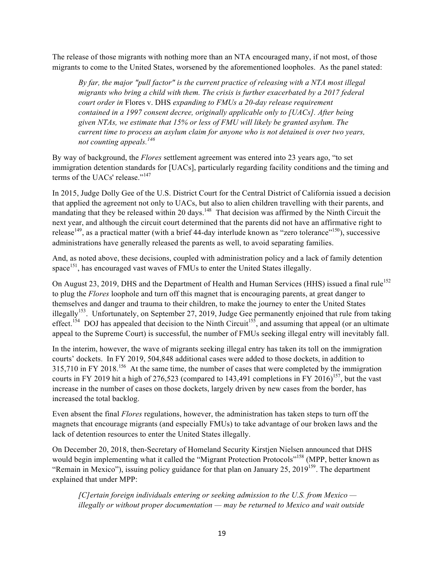The release of those migrants with nothing more than an NTA encouraged many, if not most, of those migrants to come to the United States, worsened by the aforementioned loopholes. As the panel stated:

*By far, the major "pull factor" is the current practice of releasing with a NTA most illegal migrants who bring a child with them. The crisis is further exacerbated by a 2017 federal court order in* Flores v. DHS *expanding to FMUs a 20-day release requirement contained in a 1997 consent decree, originally applicable only to [UACs]. After being given NTAs, we estimate that 15% or less of FMU will likely be granted asylum. The current time to process an asylum claim for anyone who is not detained is over two years, not counting appeals. 146*

By way of background, the *Flores* settlement agreement was entered into 23 years ago, "to set immigration detention standards for [UACs], particularly regarding facility conditions and the timing and terms of the UACs' release."<sup>147</sup>

In 2015, Judge Dolly Gee of the U.S. District Court for the Central District of California issued a decision that applied the agreement not only to UACs, but also to alien children travelling with their parents, and mandating that they be released within 20 days.<sup>148</sup> That decision was affirmed by the Ninth Circuit the next year, and although the circuit court determined that the parents did not have an affirmative right to release<sup>149</sup>, as a practical matter (with a brief 44-day interlude known as "zero tolerance"<sup>150</sup>), successive administrations have generally released the parents as well, to avoid separating families.

And, as noted above, these decisions, coupled with administration policy and a lack of family detention space<sup>151</sup>, has encouraged vast waves of FMUs to enter the United States illegally.

On August 23, 2019, DHS and the Department of Health and Human Services (HHS) issued a final rule<sup>152</sup> to plug the *Flores* loophole and turn off this magnet that is encouraging parents, at great danger to themselves and danger and trauma to their children, to make the journey to enter the United States illegally<sup>153</sup>. Unfortunately, on September 27, 2019, Judge Gee permanently enjoined that rule from taking effect.<sup>154</sup> DOJ has appealed that decision to the Ninth Circuit<sup>155</sup>, and assuming that appeal (or an ultimate appeal to the Supreme Court) is successful, the number of FMUs seeking illegal entry will inevitably fall.

In the interim, however, the wave of migrants seeking illegal entry has taken its toll on the immigration courts' dockets. In FY 2019, 504,848 additional cases were added to those dockets, in addition to  $315,710$  in FY 2018.<sup>156</sup> At the same time, the number of cases that were completed by the immigration courts in FY 2019 hit a high of 276,523 (compared to 143,491 completions in FY 2016)<sup>157</sup>, but the vast increase in the number of cases on those dockets, largely driven by new cases from the border, has increased the total backlog.

Even absent the final *Flores* regulations, however, the administration has taken steps to turn off the magnets that encourage migrants (and especially FMUs) to take advantage of our broken laws and the lack of detention resources to enter the United States illegally.

On December 20, 2018, then-Secretary of Homeland Security Kirstjen Nielsen announced that DHS would begin implementing what it called the "Migrant Protection Protocols"<sup>158</sup> (MPP, better known as "Remain in Mexico"), issuing policy guidance for that plan on January 25, 2019<sup>159</sup>. The department explained that under MPP:

*[C]ertain foreign individuals entering or seeking admission to the U.S. from Mexico illegally or without proper documentation — may be returned to Mexico and wait outside*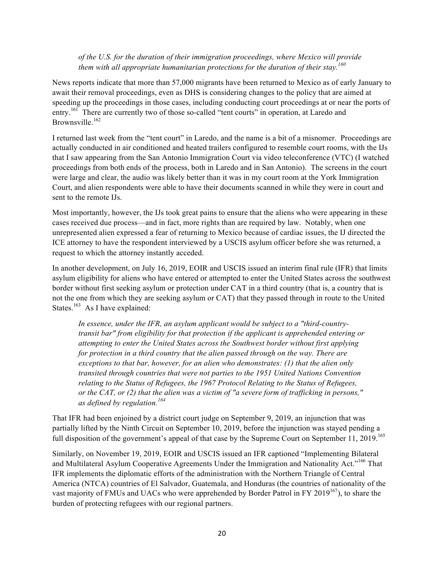## *of the U.S. for the duration of their immigration proceedings, where Mexico will provide them with all appropriate humanitarian protections for the duration of their stay. 160*

News reports indicate that more than 57,000 migrants have been returned to Mexico as of early January to await their removal proceedings, even as DHS is considering changes to the policy that are aimed at speeding up the proceedings in those cases, including conducting court proceedings at or near the ports of entry.<sup>161</sup> There are currently two of those so-called "tent courts" in operation, at Laredo and Brownsville.<sup>162</sup>

I returned last week from the "tent court" in Laredo, and the name is a bit of a misnomer. Proceedings are actually conducted in air conditioned and heated trailers configured to resemble court rooms, with the IJs that I saw appearing from the San Antonio Immigration Court via video teleconference (VTC) (I watched proceedings from both ends of the process, both in Laredo and in San Antonio). The screens in the court were large and clear, the audio was likely better than it was in my court room at the York Immigration Court, and alien respondents were able to have their documents scanned in while they were in court and sent to the remote IJs.

Most importantly, however, the IJs took great pains to ensure that the aliens who were appearing in these cases received due process—and in fact, more rights than are required by law. Notably, when one unrepresented alien expressed a fear of returning to Mexico because of cardiac issues, the IJ directed the ICE attorney to have the respondent interviewed by a USCIS asylum officer before she was returned, a request to which the attorney instantly acceded.

In another development, on July 16, 2019, EOIR and USCIS issued an interim final rule (IFR) that limits asylum eligibility for aliens who have entered or attempted to enter the United States across the southwest border without first seeking asylum or protection under CAT in a third country (that is, a country that is not the one from which they are seeking asylum or CAT) that they passed through in route to the United States.<sup>163</sup> As I have explained:

*In essence, under the IFR, an asylum applicant would be subject to a "third-countrytransit bar" from eligibility for that protection if the applicant is apprehended entering or attempting to enter the United States across the Southwest border without first applying for protection in a third country that the alien passed through on the way. There are exceptions to that bar, however, for an alien who demonstrates: (1) that the alien only transited through countries that were not parties to the 1951 United Nations Convention relating to the Status of Refugees, the 1967 Protocol Relating to the Status of Refugees, or the CAT, or (2) that the alien was a victim of "a severe form of trafficking in persons," as defined by regulation. 164*

That IFR had been enjoined by a district court judge on September 9, 2019, an injunction that was partially lifted by the Ninth Circuit on September 10, 2019, before the injunction was stayed pending a full disposition of the government's appeal of that case by the Supreme Court on September 11, 2019.<sup>165</sup>

Similarly, on November 19, 2019, EOIR and USCIS issued an IFR captioned "Implementing Bilateral and Multilateral Asylum Cooperative Agreements Under the Immigration and Nationality Act."<sup>166</sup> That IFR implements the diplomatic efforts of the administration with the Northern Triangle of Central America (NTCA) countries of El Salvador, Guatemala, and Honduras (the countries of nationality of the vast majority of FMUs and UACs who were apprehended by Border Patrol in FY 2019<sup>167</sup>), to share the burden of protecting refugees with our regional partners.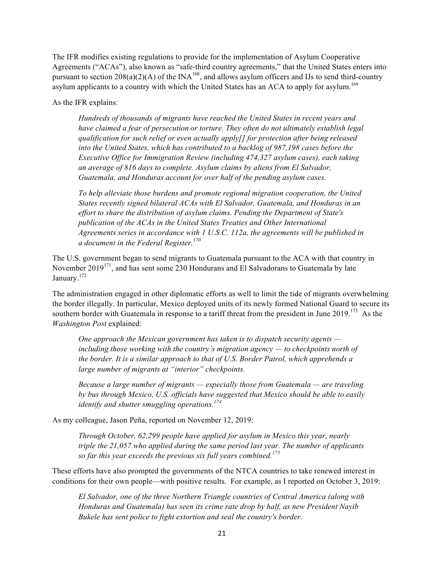The IFR modifies existing regulations to provide for the implementation of Asylum Cooperative Agreements ("ACAs"), also known as "safe-third country agreements," that the United States enters into pursuant to section  $208(a)(2)(A)$  of the INA<sup>168</sup>, and allows asylum officers and IJs to send third-country asylum applicants to a country with which the United States has an ACA to apply for asylum.<sup>169</sup>

As the IFR explains:

*Hundreds of thousands of migrants have reached the United States in recent years and have claimed a fear of persecution or torture. They often do not ultimately establish legal qualification for such relief or even actually apply[] for protection after being released into the United States, which has contributed to a backlog of 987,198 cases before the Executive Office for Immigration Review (including 474,327 asylum cases), each taking an average of 816 days to complete. Asylum claims by aliens from El Salvador, Guatemala, and Honduras account for over half of the pending asylum cases.*

*To help alleviate those burdens and promote regional migration cooperation, the United States recently signed bilateral ACAs with El Salvador, Guatemala, and Honduras in an effort to share the distribution of asylum claims. Pending the Department of State's publication of the ACAs in the United States Treaties and Other International Agreements series in accordance with 1 U.S.C. 112a, the agreements will be published in a document in the Federal Register. <sup>170</sup>*

The U.S. government began to send migrants to Guatemala pursuant to the ACA with that country in November 2019<sup>171</sup>, and has sent some 230 Hondurans and El Salvadorans to Guatemala by late January.<sup>172</sup>

The administration engaged in other diplomatic efforts as well to limit the tide of migrants overwhelming the border illegally. In particular, Mexico deployed units of its newly formed National Guard to secure its southern border with Guatemala in response to a tariff threat from the president in June  $2019$ .<sup>173</sup> As the *Washington Post* explained:

*One approach the Mexican government has taken is to dispatch security agents including those working with the country's migration agency — to checkpoints north of the border. It is a similar approach to that of U.S. Border Patrol, which apprehends a large number of migrants at "interior" checkpoints.*

*Because a large number of migrants — especially those from Guatemala — are traveling by bus through Mexico, U.S. officials have suggested that Mexico should be able to easily identify and shutter smuggling operations. 174*

As my colleague, Jason Peña, reported on November 12, 2019:

*Through October, 62,299 people have applied for asylum in Mexico this year, nearly triple the 21,057 who applied during the same period last year. The number of applicants so far this year exceeds the previous six full years combined. 175*

These efforts have also prompted the governments of the NTCA countries to take renewed interest in conditions for their own people—with positive results. For example, as I reported on October 3, 2019:

*El Salvador, one of the three Northern Triangle countries of Central America (along with Honduras and Guatemala) has seen its crime rate drop by half, as new President Nayib Bukele has sent police to fight extortion and seal the country's border.*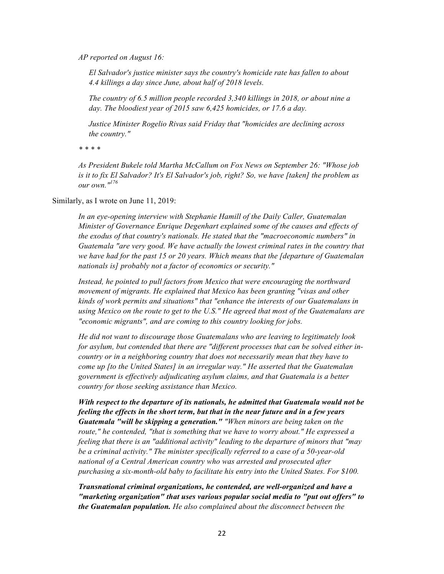*AP reported on August 16:*

*El Salvador's justice minister says the country's homicide rate has fallen to about 4.4 killings a day since June, about half of 2018 levels.*

*The country of 6.5 million people recorded 3,340 killings in 2018, or about nine a day. The bloodiest year of 2015 saw 6,425 homicides, or 17.6 a day.*

*Justice Minister Rogelio Rivas said Friday that "homicides are declining across the country."* 

*\* \* \* \** 

*As President Bukele told Martha McCallum on Fox News on September 26: "Whose job is it to fix El Salvador? It's El Salvador's job, right? So, we have [taken] the problem as our own." 176*

Similarly, as I wrote on June 11, 2019:

*In an eye-opening interview with Stephanie Hamill of the Daily Caller, Guatemalan Minister of Governance Enrique Degenhart explained some of the causes and effects of the exodus of that country's nationals. He stated that the "macroeconomic numbers" in Guatemala "are very good. We have actually the lowest criminal rates in the country that we have had for the past 15 or 20 years. Which means that the [departure of Guatemalan nationals is] probably not a factor of economics or security."*

*Instead, he pointed to pull factors from Mexico that were encouraging the northward movement of migrants. He explained that Mexico has been granting "visas and other kinds of work permits and situations" that "enhance the interests of our Guatemalans in using Mexico on the route to get to the U.S." He agreed that most of the Guatemalans are "economic migrants", and are coming to this country looking for jobs.*

*He did not want to discourage those Guatemalans who are leaving to legitimately look for asylum, but contended that there are "different processes that can be solved either incountry or in a neighboring country that does not necessarily mean that they have to come up [to the United States] in an irregular way." He asserted that the Guatemalan government is effectively adjudicating asylum claims, and that Guatemala is a better country for those seeking assistance than Mexico.*

*With respect to the departure of its nationals, he admitted that Guatemala would not be feeling the effects in the short term, but that in the near future and in a few years Guatemala "will be skipping a generation." "When minors are being taken on the route," he contended, "that is something that we have to worry about." He expressed a feeling that there is an "additional activity" leading to the departure of minors that "may be a criminal activity." The minister specifically referred to a case of a 50-year-old national of a Central American country who was arrested and prosecuted after purchasing a six-month-old baby to facilitate his entry into the United States. For \$100.*

*Transnational criminal organizations, he contended, are well-organized and have a "marketing organization" that uses various popular social media to "put out offers" to the Guatemalan population. He also complained about the disconnect between the*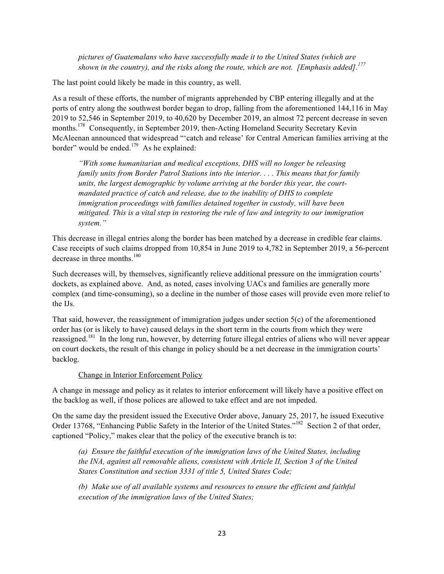*pictures of Guatemalans who have successfully made it to the United States (which are*  shown in the country), and the risks along the route, which are not. [Emphasis added].<sup>177</sup>

The last point could likely be made in this country, as well.

As a result of these efforts, the number of migrants apprehended by CBP entering illegally and at the ports of entry along the southwest border began to drop, falling from the aforementioned 144,116 in May 2019 to 52,546 in September 2019, to 40,620 by December 2019, an almost 72 percent decrease in seven months.<sup>178</sup> Consequently, in September 2019, then-Acting Homeland Security Secretary Kevin McAleenan announced that widespread "'catch and release' for Central American families arriving at the border" would be ended. $179$  As he explained:

*"With some humanitarian and medical exceptions, DHS will no longer be releasing family units from Border Patrol Stations into the interior. . . . This means that for family units, the largest demographic by volume arriving at the border this year, the courtmandated practice of catch and release, due to the inability of DHS to complete immigration proceedings with families detained together in custody, will have been mitigated. This is a vital step in restoring the rule of law and integrity to our immigration system."* 

This decrease in illegal entries along the border has been matched by a decrease in credible fear claims. Case receipts of such claims dropped from 10,854 in June 2019 to 4,782 in September 2019, a 56-percent decrease in three months.<sup>180</sup>

Such decreases will, by themselves, significantly relieve additional pressure on the immigration courts' dockets, as explained above. And, as noted, cases involving UACs and families are generally more complex (and time-consuming), so a decline in the number of those cases will provide even more relief to the IJs.

That said, however, the reassignment of immigration judges under section 5(c) of the aforementioned order has (or is likely to have) caused delays in the short term in the courts from which they were reassigned.<sup>181</sup> In the long run, however, by deterring future illegal entries of aliens who will never appear on court dockets, the result of this change in policy should be a net decrease in the immigration courts' backlog.

# Change in Interior Enforcement Policy

A change in message and policy as it relates to interior enforcement will likely have a positive effect on the backlog as well, if those polices are allowed to take effect and are not impeded.

On the same day the president issued the Executive Order above, January 25, 2017, he issued Executive Order 13768, "Enhancing Public Safety in the Interior of the United States."<sup>182</sup> Section 2 of that order, captioned "Policy," makes clear that the policy of the executive branch is to:

*(a) Ensure the faithful execution of the immigration laws of the United States, including the INA, against all removable aliens, consistent with Article II, Section 3 of the United States Constitution and section 3331 of title 5, United States Code;*

*(b) Make use of all available systems and resources to ensure the efficient and faithful execution of the immigration laws of the United States;*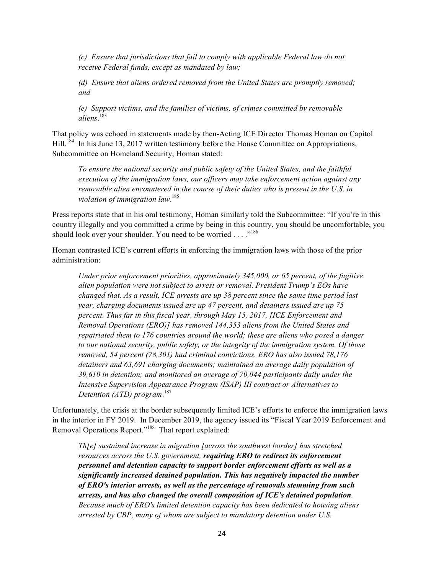*(c) Ensure that jurisdictions that fail to comply with applicable Federal law do not receive Federal funds, except as mandated by law;* 

*(d) Ensure that aliens ordered removed from the United States are promptly removed; and*

*(e) Support victims, and the families of victims, of crimes committed by removable aliens*. 183

That policy was echoed in statements made by then-Acting ICE Director Thomas Homan on Capitol Hill.<sup>184</sup> In his June 13, 2017 written testimony before the House Committee on Appropriations, Subcommittee on Homeland Security, Homan stated:

*To ensure the national security and public safety of the United States, and the faithful execution of the immigration laws, our officers may take enforcement action against any removable alien encountered in the course of their duties who is present in the U.S. in violation of immigration law*. 185

Press reports state that in his oral testimony, Homan similarly told the Subcommittee: "If you're in this country illegally and you committed a crime by being in this country, you should be uncomfortable, you should look over your shoulder. You need to be worried  $\ldots$ ."<sup>186</sup>

Homan contrasted ICE's current efforts in enforcing the immigration laws with those of the prior administration:

*Under prior enforcement priorities, approximately 345,000, or 65 percent, of the fugitive alien population were not subject to arrest or removal. President Trump's EOs have changed that. As a result, ICE arrests are up 38 percent since the same time period last year, charging documents issued are up 47 percent, and detainers issued are up 75 percent. Thus far in this fiscal year, through May 15, 2017, [ICE Enforcement and Removal Operations (ERO)] has removed 144,353 aliens from the United States and repatriated them to 176 countries around the world; these are aliens who posed a danger to our national security, public safety, or the integrity of the immigration system. Of those removed, 54 percent (78,301) had criminal convictions. ERO has also issued 78,176 detainers and 63,691 charging documents; maintained an average daily population of 39,610 in detention; and monitored an average of 70,044 participants daily under the Intensive Supervision Appearance Program (ISAP) III contract or Alternatives to Detention (ATD) program*. 187

Unfortunately, the crisis at the border subsequently limited ICE's efforts to enforce the immigration laws in the interior in FY 2019. In December 2019, the agency issued its "Fiscal Year 2019 Enforcement and Removal Operations Report."<sup>188</sup> That report explained:

*Th[e] sustained increase in migration [across the southwest border] has stretched resources across the U.S. government, requiring ERO to redirect its enforcement personnel and detention capacity to support border enforcement efforts as well as a significantly increased detained population. This has negatively impacted the number of ERO's interior arrests, as well as the percentage of removals stemming from such arrests, and has also changed the overall composition of ICE's detained population. Because much of ERO's limited detention capacity has been dedicated to housing aliens arrested by CBP, many of whom are subject to mandatory detention under U.S.*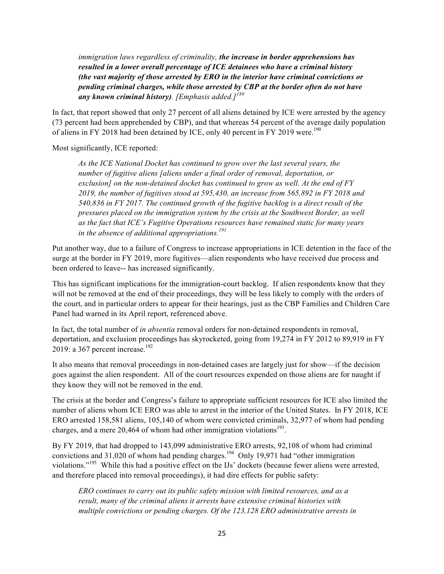*immigration laws regardless of criminality, the increase in border apprehensions has resulted in a lower overall percentage of ICE detainees who have a criminal history (the vast majority of those arrested by ERO in the interior have criminal convictions or pending criminal charges, while those arrested by CBP at the border often do not have any known criminal history). [Emphasis added.] 189*

In fact, that report showed that only 27 percent of all aliens detained by ICE were arrested by the agency (73 percent had been apprehended by CBP), and that whereas 54 percent of the average daily population of aliens in FY 2018 had been detained by ICE, only 40 percent in FY 2019 were.<sup>190</sup>

Most significantly, ICE reported:

*As the ICE National Docket has continued to grow over the last several years, the number of fugitive aliens [aliens under a final order of removal, deportation, or exclusion] on the non-detained docket has continued to grow as well. At the end of FY 2019, the number of fugitives stood at 595,430, an increase from 565,892 in FY 2018 and 540,836 in FY 2017. The continued growth of the fugitive backlog is a direct result of the pressures placed on the immigration system by the crisis at the Southwest Border, as well as the fact that ICE's Fugitive Operations resources have remained static for many years in the absence of additional appropriations. 191*

Put another way, due to a failure of Congress to increase appropriations in ICE detention in the face of the surge at the border in FY 2019, more fugitives—alien respondents who have received due process and been ordered to leave-- has increased significantly.

This has significant implications for the immigration-court backlog. If alien respondents know that they will not be removed at the end of their proceedings, they will be less likely to comply with the orders of the court, and in particular orders to appear for their hearings, just as the CBP Families and Children Care Panel had warned in its April report, referenced above.

In fact, the total number of *in absentia* removal orders for non-detained respondents in removal, deportation, and exclusion proceedings has skyrocketed, going from 19,274 in FY 2012 to 89,919 in FY 2019: a 367 percent increase. $192$ 

It also means that removal proceedings in non-detained cases are largely just for show—if the decision goes against the alien respondent. All of the court resources expended on those aliens are for naught if they know they will not be removed in the end.

The crisis at the border and Congress's failure to appropriate sufficient resources for ICE also limited the number of aliens whom ICE ERO was able to arrest in the interior of the United States. In FY 2018, ICE ERO arrested 158,581 aliens, 105,140 of whom were convicted criminals, 32,977 of whom had pending charges, and a mere 20,464 of whom had other immigration violations<sup>193</sup>.

By FY 2019, that had dropped to 143,099 administrative ERO arrests, 92,108 of whom had criminal convictions and 31,020 of whom had pending charges.<sup>194</sup> Only 19,971 had "other immigration violations."<sup>195</sup> While this had a positive effect on the IJs' dockets (because fewer aliens were arrested, and therefore placed into removal proceedings), it had dire effects for public safety:

*ERO continues to carry out its public safety mission with limited resources, and as a result, many of the criminal aliens it arrests have extensive criminal histories with multiple convictions or pending charges. Of the 123,128 ERO administrative arrests in*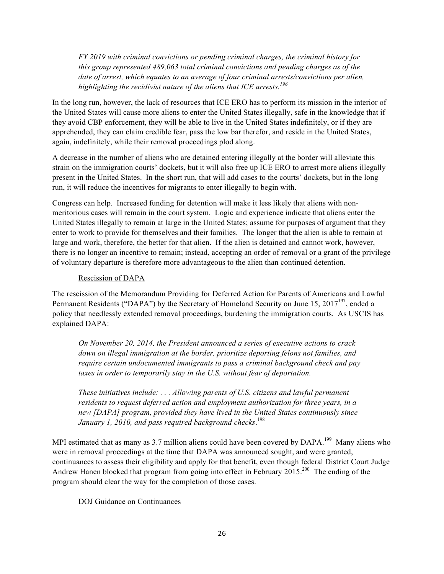*FY 2019 with criminal convictions or pending criminal charges, the criminal history for this group represented 489,063 total criminal convictions and pending charges as of the date of arrest, which equates to an average of four criminal arrests/convictions per alien, highlighting the recidivist nature of the aliens that ICE arrests. 196*

In the long run, however, the lack of resources that ICE ERO has to perform its mission in the interior of the United States will cause more aliens to enter the United States illegally, safe in the knowledge that if they avoid CBP enforcement, they will be able to live in the United States indefinitely, or if they are apprehended, they can claim credible fear, pass the low bar therefor, and reside in the United States, again, indefinitely, while their removal proceedings plod along.

A decrease in the number of aliens who are detained entering illegally at the border will alleviate this strain on the immigration courts' dockets, but it will also free up ICE ERO to arrest more aliens illegally present in the United States. In the short run, that will add cases to the courts' dockets, but in the long run, it will reduce the incentives for migrants to enter illegally to begin with.

Congress can help. Increased funding for detention will make it less likely that aliens with nonmeritorious cases will remain in the court system. Logic and experience indicate that aliens enter the United States illegally to remain at large in the United States; assume for purposes of argument that they enter to work to provide for themselves and their families. The longer that the alien is able to remain at large and work, therefore, the better for that alien. If the alien is detained and cannot work, however, there is no longer an incentive to remain; instead, accepting an order of removal or a grant of the privilege of voluntary departure is therefore more advantageous to the alien than continued detention.

## Rescission of DAPA

The rescission of the Memorandum Providing for Deferred Action for Parents of Americans and Lawful Permanent Residents ("DAPA") by the Secretary of Homeland Security on June 15,  $2017^{197}$ , ended a policy that needlessly extended removal proceedings, burdening the immigration courts. As USCIS has explained DAPA:

*On November 20, 2014, the President announced a series of executive actions to crack down on illegal immigration at the border, prioritize deporting felons not families, and require certain undocumented immigrants to pass a criminal background check and pay taxes in order to temporarily stay in the U.S. without fear of deportation.*

*These initiatives include: . . . Allowing parents of U.S. citizens and lawful permanent residents to request deferred action and employment authorization for three years, in a new [DAPA] program, provided they have lived in the United States continuously since January 1, 2010, and pass required background checks*. 198

MPI estimated that as many as 3.7 million aliens could have been covered by DAPA.<sup>199</sup> Many aliens who were in removal proceedings at the time that DAPA was announced sought, and were granted, continuances to assess their eligibility and apply for that benefit, even though federal District Court Judge Andrew Hanen blocked that program from going into effect in February 2015.<sup>200</sup> The ending of the program should clear the way for the completion of those cases.

## DOJ Guidance on Continuances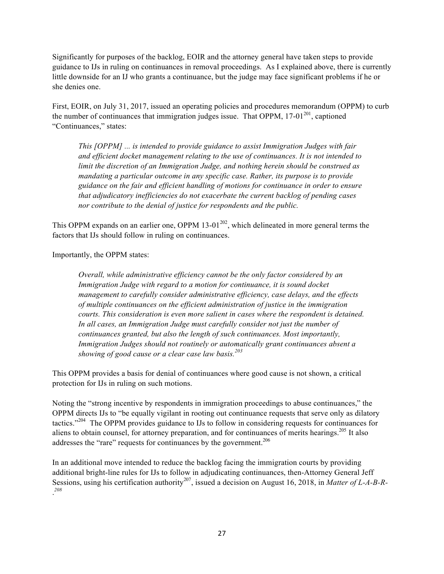Significantly for purposes of the backlog, EOIR and the attorney general have taken steps to provide guidance to IJs in ruling on continuances in removal proceedings. As I explained above, there is currently little downside for an IJ who grants a continuance, but the judge may face significant problems if he or she denies one.

First, EOIR, on July 31, 2017, issued an operating policies and procedures memorandum (OPPM) to curb the number of continuances that immigration judges issue. That OPPM,  $17-01^{201}$ , captioned "Continuances," states:

*This [OPPM] ... is intended to provide guidance to assist Immigration Judges with fair and efficient docket management relating to the use of continuances. It is not intended to limit the discretion of an Immigration Judge, and nothing herein should be construed as mandating a particular outcome in any specific case. Rather, its purpose is to provide guidance on the fair and efficient handling of motions for continuance in order to ensure that adjudicatory inefficiencies do not exacerbate the current backlog of pending cases nor contribute to the denial of justice for respondents and the public.*

This OPPM expands on an earlier one, OPPM  $13-01^{202}$ , which delineated in more general terms the factors that IJs should follow in ruling on continuances.

Importantly, the OPPM states:

*Overall, while administrative efficiency cannot be the only factor considered by an Immigration Judge with regard to a motion for continuance, it is sound docket management to carefully consider administrative efficiency, case delays, and the effects of multiple continuances on the efficient administration of justice in the immigration courts. This consideration is even more salient in cases where the respondent is detained. In all cases, an Immigration Judge must carefully consider not just the number of continuances granted, but also the length of such continuances. Most importantly, Immigration Judges should not routinely or automatically grant continuances absent a showing of good cause or a clear case law basis. 203*

This OPPM provides a basis for denial of continuances where good cause is not shown, a critical protection for IJs in ruling on such motions.

Noting the "strong incentive by respondents in immigration proceedings to abuse continuances," the OPPM directs IJs to "be equally vigilant in rooting out continuance requests that serve only as dilatory tactics."<sup>204</sup> The OPPM provides guidance to IJs to follow in considering requests for continuances for aliens to obtain counsel, for attorney preparation, and for continuances of merits hearings. 205 It also addresses the "rare" requests for continuances by the government.<sup>206</sup>

In an additional move intended to reduce the backlog facing the immigration courts by providing additional bright-line rules for IJs to follow in adjudicating continuances, then-Attorney General Jeff Sessions, using his certification authority 207, issued a decision on August 16, 2018, in *Matter of L-A-B-R-* . *208*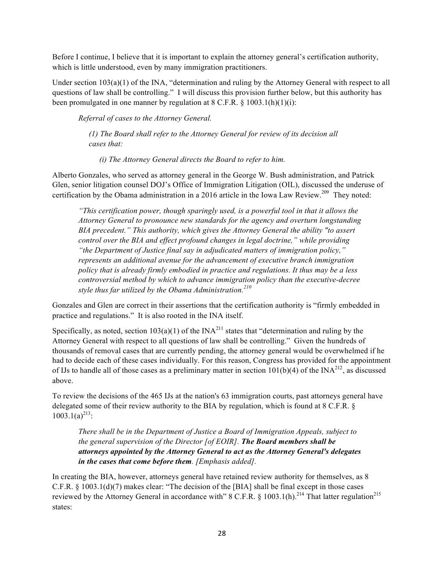Before I continue, I believe that it is important to explain the attorney general's certification authority, which is little understood, even by many immigration practitioners.

Under section  $103(a)(1)$  of the INA, "determination and ruling by the Attorney General with respect to all questions of law shall be controlling." I will discuss this provision further below, but this authority has been promulgated in one manner by regulation at  $8 \text{ C.F.R. } \S 1003.1(h)(1)(i)$ :

*Referral of cases to the Attorney General.*

*(1) The Board shall refer to the Attorney General for review of its decision all cases that:*

*(i) The Attorney General directs the Board to refer to him.*

Alberto Gonzales, who served as attorney general in the George W. Bush administration, and Patrick Glen, senior litigation counsel DOJ's Office of Immigration Litigation (OIL), discussed the underuse of certification by the Obama administration in a 2016 article in the Iowa Law Review.<sup>209</sup> They noted:

*"This certification power, though sparingly used, is a powerful tool in that it allows the Attorney General to pronounce new standards for the agency and overturn longstanding BIA precedent." This authority, which gives the Attorney General the ability "to assert control over the BIA and effect profound changes in legal doctrine," while providing "the Department of Justice final say in adjudicated matters of immigration policy," represents an additional avenue for the advancement of executive branch immigration policy that is already firmly embodied in practice and regulations. It thus may be a less controversial method by which to advance immigration policy than the executive-decree style thus far utilized by the Obama Administration. 210*

Gonzales and Glen are correct in their assertions that the certification authority is "firmly embedded in practice and regulations." It is also rooted in the INA itself.

Specifically, as noted, section  $103(a)(1)$  of the INA<sup>211</sup> states that "determination and ruling by the Attorney General with respect to all questions of law shall be controlling." Given the hundreds of thousands of removal cases that are currently pending, the attorney general would be overwhelmed if he had to decide each of these cases individually. For this reason, Congress has provided for the appointment of IJs to handle all of those cases as a preliminary matter in section  $101(b)(4)$  of the INA<sup>212</sup>, as discussed above.

To review the decisions of the 465 IJs at the nation's 63 immigration courts, past attorneys general have delegated some of their review authority to the BIA by regulation, which is found at 8 C.F.R. §  $1003.1(a)^{213}$ :

*There shall be in the Department of Justice a Board of Immigration Appeals, subject to the general supervision of the Director [of EOIR]. The Board members shall be attorneys appointed by the Attorney General to act as the Attorney General's delegates in the cases that come before them. [Emphasis added].*

In creating the BIA, however, attorneys general have retained review authority for themselves, as 8 C.F.R. § 1003.1(d)(7) makes clear: "The decision of the [BIA] shall be final except in those cases reviewed by the Attorney General in accordance with" 8 C.F.R. § 1003.1(h).<sup>214</sup> That latter regulation<sup>215</sup> states: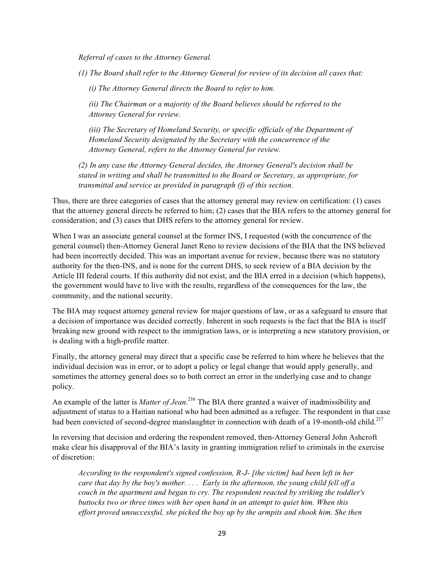*Referral of cases to the Attorney General.*

*(1) The Board shall refer to the Attorney General for review of its decision all cases that:*

*(i) The Attorney General directs the Board to refer to him.*

*(ii) The Chairman or a majority of the Board believes should be referred to the Attorney General for review.*

*(iii) The Secretary of Homeland Security, or specific officials of the Department of Homeland Security designated by the Secretary with the concurrence of the Attorney General, refers to the Attorney General for review.*

*(2) In any case the Attorney General decides, the Attorney General's decision shall be stated in writing and shall be transmitted to the Board or Secretary, as appropriate, for transmittal and service as provided in paragraph (f) of this section.*

Thus, there are three categories of cases that the attorney general may review on certification: (1) cases that the attorney general directs be referred to him; (2) cases that the BIA refers to the attorney general for consideration; and (3) cases that DHS refers to the attorney general for review.

When I was an associate general counsel at the former INS, I requested (with the concurrence of the general counsel) then-Attorney General Janet Reno to review decisions of the BIA that the INS believed had been incorrectly decided. This was an important avenue for review, because there was no statutory authority for the then-INS, and is none for the current DHS, to seek review of a BIA decision by the Article III federal courts. If this authority did not exist, and the BIA erred in a decision (which happens), the government would have to live with the results, regardless of the consequences for the law, the community, and the national security.

The BIA may request attorney general review for major questions of law, or as a safeguard to ensure that a decision of importance was decided correctly. Inherent in such requests is the fact that the BIA is itself breaking new ground with respect to the immigration laws, or is interpreting a new statutory provision, or is dealing with a high-profile matter.

Finally, the attorney general may direct that a specific case be referred to him where he believes that the individual decision was in error, or to adopt a policy or legal change that would apply generally, and sometimes the attorney general does so to both correct an error in the underlying case and to change policy.

An example of the latter is *Matter of Jean*. 216 The BIA there granted a waiver of inadmissibility and adjustment of status to a Haitian national who had been admitted as a refugee. The respondent in that case had been convicted of second-degree manslaughter in connection with death of a 19-month-old child.<sup>217</sup>

In reversing that decision and ordering the respondent removed, then-Attorney General John Ashcroft make clear his disapproval of the BIA's laxity in granting immigration relief to criminals in the exercise of discretion:

*According to the respondent's signed confession, R-J- [the victim] had been left in her care that day by the boy's mother. . . . Early in the afternoon, the young child fell off a couch in the apartment and began to cry. The respondent reacted by striking the toddler's buttocks two or three times with her open hand in an attempt to quiet him. When this effort proved unsuccessful, she picked the boy up by the armpits and shook him. She then*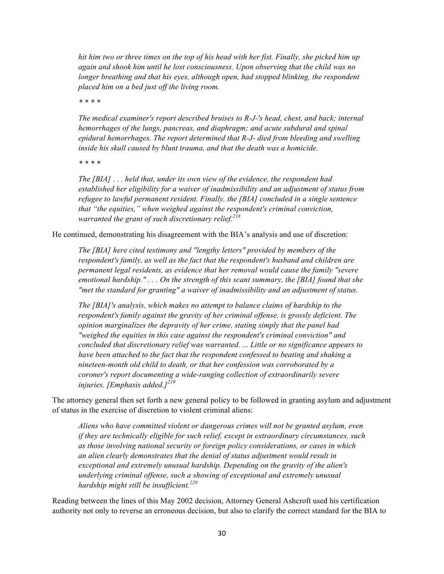hit him two or three times on the top of his head with her fist. Finally, she picked him up *again and shook him until he lost consciousness. Upon observing that the child was no longer breathing and that his eyes, although open, had stopped blinking, the respondent placed him on a bed just off the living room.*

*\* \* \* \** 

*The medical examiner's report described bruises to R-J-'s head, chest, and back; internal hemorrhages of the lungs, pancreas, and diaphragm; and acute subdural and spinal epidural hemorrhages. The report determined that R-J- died from bleeding and swelling inside his skull caused by blunt trauma, and that the death was a homicide.*

*\* \* \* \**

*The [BIA] . . . held that, under its own view of the evidence, the respondent had established her eligibility for a waiver of inadmissibility and an adjustment of status from refugee to lawful permanent resident. Finally, the [BIA] concluded in a single sentence that "the equities," when weighed against the respondent's criminal conviction, warranted the grant of such discretionary relief. 218*

He continued, demonstrating his disagreement with the BIA's analysis and use of discretion:

*The [BIA] here cited testimony and "lengthy letters" provided by members of the respondent's family, as well as the fact that the respondent's husband and children are permanent legal residents, as evidence that her removal would cause the family "severe emotional hardship." . . . On the strength of this scant summary, the [BIA] found that she "met the standard for granting" a waiver of inadmissibility and an adjustment of status.*

*The [BIA]'s analysis, which makes no attempt to balance claims of hardship to the respondent's family against the gravity of her criminal offense, is grossly deficient. The opinion marginalizes the depravity of her crime, stating simply that the panel had "weighed the equities in this case against the respondent's criminal conviction" and concluded that discretionary relief was warranted. ... Little or no significance appears to have been attached to the fact that the respondent confessed to beating and shaking a nineteen-month old child to death, or that her confession was corroborated by a coroner's report documenting a wide-ranging collection of extraordinarily severe injuries. [Emphasis added.] 219*

The attorney general then set forth a new general policy to be followed in granting asylum and adjustment of status in the exercise of discretion to violent criminal aliens:

*Aliens who have committed violent or dangerous crimes will not be granted asylum, even if they are technically eligible for such relief, except in extraordinary circumstances, such as those involving national security or foreign policy considerations, or cases in which an alien clearly demonstrates that the denial of status adjustment would result in exceptional and extremely unusual hardship. Depending on the gravity of the alien's underlying criminal offense, such a showing of exceptional and extremely unusual hardship might still be insufficient. 220*

Reading between the lines of this May 2002 decision, Attorney General Ashcroft used his certification authority not only to reverse an erroneous decision, but also to clarify the correct standard for the BIA to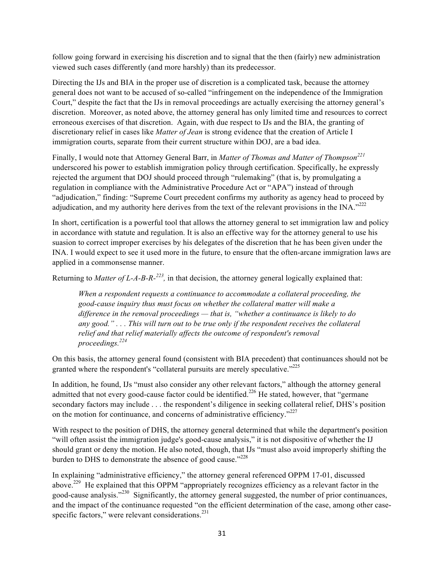follow going forward in exercising his discretion and to signal that the then (fairly) new administration viewed such cases differently (and more harshly) than its predecessor.

Directing the IJs and BIA in the proper use of discretion is a complicated task, because the attorney general does not want to be accused of so-called "infringement on the independence of the Immigration Court," despite the fact that the IJs in removal proceedings are actually exercising the attorney general's discretion. Moreover, as noted above, the attorney general has only limited time and resources to correct erroneous exercises of that discretion. Again, with due respect to IJs and the BIA, the granting of discretionary relief in cases like *Matter of Jean* is strong evidence that the creation of Article I immigration courts, separate from their current structure within DOJ, are a bad idea.

Finally, I would note that Attorney General Barr, in *Matter of Thomas and Matter of Thompson 221* underscored his power to establish immigration policy through certification. Specifically, he expressly rejected the argument that DOJ should proceed through "rulemaking" (that is, by promulgating a regulation in compliance with the Administrative Procedure Act or "APA") instead of through "adjudication," finding: "Supreme Court precedent confirms my authority as agency head to proceed by adjudication, and my authority here derives from the text of the relevant provisions in the INA." $^{222}$ 

In short, certification is a powerful tool that allows the attorney general to set immigration law and policy in accordance with statute and regulation. It is also an effective way for the attorney general to use his suasion to correct improper exercises by his delegates of the discretion that he has been given under the INA. I would expect to see it used more in the future, to ensure that the often-arcane immigration laws are applied in a commonsense manner.

Returning to *Matter of L-A-B-R-<sup>223</sup>*, in that decision, the attorney general logically explained that:

*When a respondent requests a continuance to accommodate a collateral proceeding, the good-cause inquiry thus must focus on whether the collateral matter will make a difference in the removal proceedings — that is, "whether a continuance is likely to do any good." . . . This will turn out to be true only if the respondent receives the collateral relief and that relief materially affects the outcome of respondent's removal proceedings. 224*

On this basis, the attorney general found (consistent with BIA precedent) that continuances should not be granted where the respondent's "collateral pursuits are merely speculative."<sup>225</sup>

In addition, he found, IJs "must also consider any other relevant factors," although the attorney general admitted that not every good-cause factor could be identified.<sup>226</sup> He stated, however, that "germane" secondary factors may include . . . the respondent's diligence in seeking collateral relief, DHS's position on the motion for continuance, and concerns of administrative efficiency." $227$ 

With respect to the position of DHS, the attorney general determined that while the department's position "will often assist the immigration judge's good-cause analysis," it is not dispositive of whether the IJ should grant or deny the motion. He also noted, though, that IJs "must also avoid improperly shifting the burden to DHS to demonstrate the absence of good cause."<sup>228</sup>

In explaining "administrative efficiency," the attorney general referenced OPPM 17-01, discussed above.<sup>229</sup> He explained that this OPPM "appropriately recognizes efficiency as a relevant factor in the good-cause analysis."<sup>230</sup> Significantly, the attorney general suggested, the number of prior continuances, and the impact of the continuance requested "on the efficient determination of the case, among other casespecific factors," were relevant considerations.<sup>231</sup>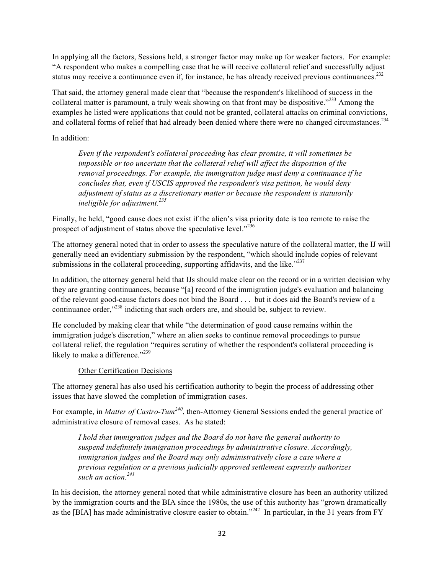In applying all the factors, Sessions held, a stronger factor may make up for weaker factors. For example: "A respondent who makes a compelling case that he will receive collateral relief and successfully adjust status may receive a continuance even if, for instance, he has already received previous continuances.<sup>232</sup>

That said, the attorney general made clear that "because the respondent's likelihood of success in the collateral matter is paramount, a truly weak showing on that front may be dispositive."<sup>233</sup> Among the examples he listed were applications that could not be granted, collateral attacks on criminal convictions, and collateral forms of relief that had already been denied where there were no changed circumstances.<sup>234</sup>

# In addition:

*Even if the respondent's collateral proceeding has clear promise, it will sometimes be impossible or too uncertain that the collateral relief will affect the disposition of the removal proceedings. For example, the immigration judge must deny a continuance if he concludes that, even if USCIS approved the respondent's visa petition, he would deny adjustment of status as a discretionary matter or because the respondent is statutorily ineligible for adjustment. 235*

Finally, he held, "good cause does not exist if the alien's visa priority date is too remote to raise the prospect of adjustment of status above the speculative level."<sup>236</sup>

The attorney general noted that in order to assess the speculative nature of the collateral matter, the IJ will generally need an evidentiary submission by the respondent, "which should include copies of relevant submissions in the collateral proceeding, supporting affidavits, and the like."<sup>237</sup>

In addition, the attorney general held that IJs should make clear on the record or in a written decision why they are granting continuances, because "[a] record of the immigration judge's evaluation and balancing of the relevant good-cause factors does not bind the Board . . . but it does aid the Board's review of a continuance order,"<sup>238</sup> indicting that such orders are, and should be, subject to review.

He concluded by making clear that while "the determination of good cause remains within the immigration judge's discretion," where an alien seeks to continue removal proceedings to pursue collateral relief, the regulation "requires scrutiny of whether the respondent's collateral proceeding is likely to make a difference."<sup>239</sup>

## Other Certification Decisions

The attorney general has also used his certification authority to begin the process of addressing other issues that have slowed the completion of immigration cases.

For example, in *Matter of Castro-Tum<sup>240</sup>*, then-Attorney General Sessions ended the general practice of administrative closure of removal cases. As he stated:

*I hold that immigration judges and the Board do not have the general authority to suspend indefinitely immigration proceedings by administrative closure. Accordingly, immigration judges and the Board may only administratively close a case where a previous regulation or a previous judicially approved settlement expressly authorizes such an action. 241*

In his decision, the attorney general noted that while administrative closure has been an authority utilized by the immigration courts and the BIA since the 1980s, the use of this authority has "grown dramatically as the [BIA] has made administrative closure easier to obtain."<sup>242</sup> In particular, in the 31 years from FY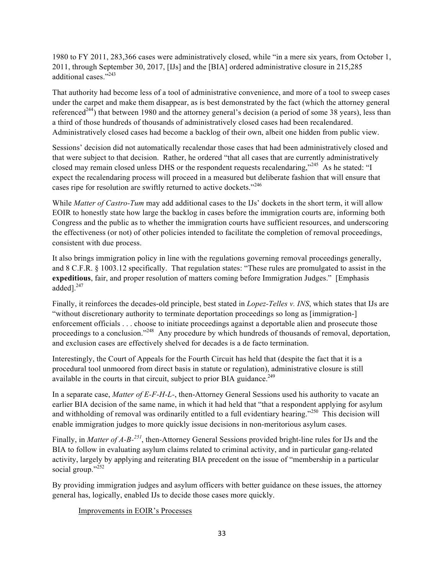1980 to FY 2011, 283,366 cases were administratively closed, while "in a mere six years, from October 1, 2011, through September 30, 2017, [IJs] and the [BIA] ordered administrative closure in 215,285 additional cases."<sup>243</sup>

That authority had become less of a tool of administrative convenience, and more of a tool to sweep cases under the carpet and make them disappear, as is best demonstrated by the fact (which the attorney general referenced<sup>244</sup>) that between 1980 and the attorney general's decision (a period of some 38 years), less than a third of those hundreds of thousands of administratively closed cases had been recalendared. Administratively closed cases had become a backlog of their own, albeit one hidden from public view.

Sessions' decision did not automatically recalendar those cases that had been administratively closed and that were subject to that decision. Rather, he ordered "that all cases that are currently administratively closed may remain closed unless DHS or the respondent requests recalendaring,"  $245$  As he stated: "I expect the recalendaring process will proceed in a measured but deliberate fashion that will ensure that cases ripe for resolution are swiftly returned to active dockets."<sup>246</sup>

While *Matter of Castro-Tum* may add additional cases to the IJs' dockets in the short term, it will allow EOIR to honestly state how large the backlog in cases before the immigration courts are, informing both Congress and the public as to whether the immigration courts have sufficient resources, and underscoring the effectiveness (or not) of other policies intended to facilitate the completion of removal proceedings, consistent with due process.

It also brings immigration policy in line with the regulations governing removal proceedings generally, and 8 C.F.R. § 1003.12 specifically. That regulation states: "These rules are promulgated to assist in the **expeditious**, fair, and proper resolution of matters coming before Immigration Judges." [Emphasis added]. $^{247}$ 

Finally, it reinforces the decades-old principle, best stated in *Lopez-Telles v. INS*, which states that IJs are "without discretionary authority to terminate deportation proceedings so long as [immigration-] enforcement officials . . . choose to initiate proceedings against a deportable alien and prosecute those proceedings to a conclusion."<sup>248</sup> Any procedure by which hundreds of thousands of removal, deportation, and exclusion cases are effectively shelved for decades is a de facto termination.

Interestingly, the Court of Appeals for the Fourth Circuit has held that (despite the fact that it is a procedural tool unmoored from direct basis in statute or regulation), administrative closure is still available in the courts in that circuit, subject to prior BIA guidance.<sup>249</sup>

In a separate case, *Matter of E-F-H-L-*, then-Attorney General Sessions used his authority to vacate an earlier BIA decision of the same name, in which it had held that "that a respondent applying for asylum and withholding of removal was ordinarily entitled to a full evidentiary hearing."<sup>250</sup> This decision will enable immigration judges to more quickly issue decisions in non-meritorious asylum cases.

Finally, in *Matter of A-B-<sup>251</sup>*, then-Attorney General Sessions provided bright-line rules for IJs and the BIA to follow in evaluating asylum claims related to criminal activity, and in particular gang-related activity, largely by applying and reiterating BIA precedent on the issue of "membership in a particular social group."252

By providing immigration judges and asylum officers with better guidance on these issues, the attorney general has, logically, enabled IJs to decide those cases more quickly.

Improvements in EOIR's Processes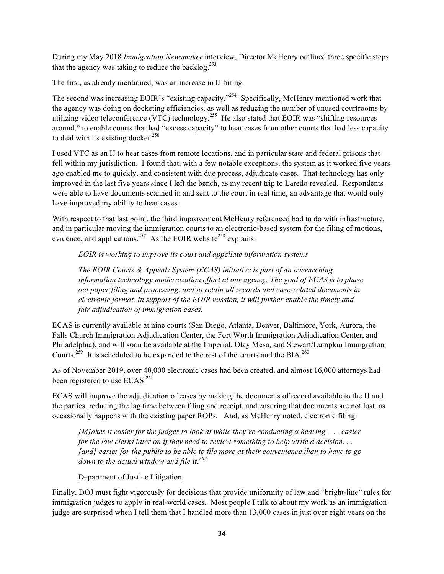During my May 2018 *Immigration Newsmaker* interview, Director McHenry outlined three specific steps that the agency was taking to reduce the backlog.<sup>253</sup>

The first, as already mentioned, was an increase in IJ hiring.

The second was increasing EOIR's "existing capacity."<sup>254</sup> Specifically, McHenry mentioned work that the agency was doing on docketing efficiencies, as well as reducing the number of unused courtrooms by utilizing video teleconference (VTC) technology.<sup>255</sup> He also stated that EOIR was "shifting resources around," to enable courts that had "excess capacity" to hear cases from other courts that had less capacity to deal with its existing docket.<sup>256</sup>

I used VTC as an IJ to hear cases from remote locations, and in particular state and federal prisons that fell within my jurisdiction. I found that, with a few notable exceptions, the system as it worked five years ago enabled me to quickly, and consistent with due process, adjudicate cases. That technology has only improved in the last five years since I left the bench, as my recent trip to Laredo revealed. Respondents were able to have documents scanned in and sent to the court in real time, an advantage that would only have improved my ability to hear cases.

With respect to that last point, the third improvement McHenry referenced had to do with infrastructure, and in particular moving the immigration courts to an electronic-based system for the filing of motions, evidence, and applications.<sup>257</sup> As the EOIR website<sup>258</sup> explains:

*EOIR is working to improve its court and appellate information systems.*

*The EOIR Courts & Appeals System (ECAS) initiative is part of an overarching information technology modernization effort at our agency. The goal of ECAS is to phase out paper filing and processing, and to retain all records and case-related documents in electronic format. In support of the EOIR mission, it will further enable the timely and fair adjudication of immigration cases.*

ECAS is currently available at nine courts (San Diego, Atlanta, Denver, Baltimore, York, Aurora, the Falls Church Immigration Adjudication Center, the Fort Worth Immigration Adjudication Center, and Philadelphia), and will soon be available at the Imperial, Otay Mesa, and Stewart/Lumpkin Immigration Courts.<sup>259</sup> It is scheduled to be expanded to the rest of the courts and the BIA.<sup>260</sup>

As of November 2019, over 40,000 electronic cases had been created, and almost 16,000 attorneys had been registered to use ECAS.<sup>261</sup>

ECAS will improve the adjudication of cases by making the documents of record available to the IJ and the parties, reducing the lag time between filing and receipt, and ensuring that documents are not lost, as occasionally happens with the existing paper ROPs. And, as McHenry noted, electronic filing:

*[M]akes it easier for the judges to look at while they're conducting a hearing. . . . easier for the law clerks later on if they need to review something to help write a decision. . .*  [and] easier for the public to be able to file more at their convenience than to have to go *down to the actual window and file it. 262*

# Department of Justice Litigation

Finally, DOJ must fight vigorously for decisions that provide uniformity of law and "bright-line" rules for immigration judges to apply in real-world cases. Most people I talk to about my work as an immigration judge are surprised when I tell them that I handled more than 13,000 cases in just over eight years on the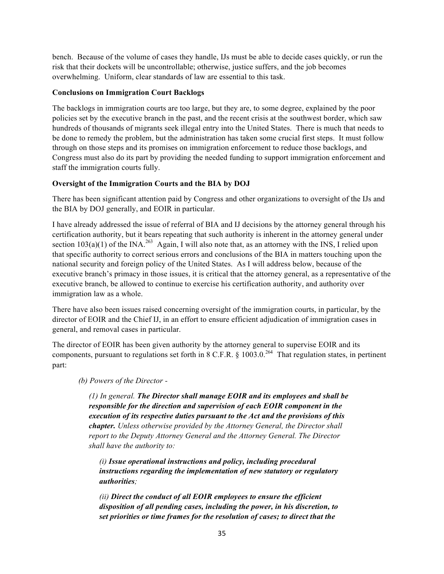bench. Because of the volume of cases they handle, IJs must be able to decide cases quickly, or run the risk that their dockets will be uncontrollable; otherwise, justice suffers, and the job becomes overwhelming. Uniform, clear standards of law are essential to this task.

## **Conclusions on Immigration Court Backlogs**

The backlogs in immigration courts are too large, but they are, to some degree, explained by the poor policies set by the executive branch in the past, and the recent crisis at the southwest border, which saw hundreds of thousands of migrants seek illegal entry into the United States. There is much that needs to be done to remedy the problem, but the administration has taken some crucial first steps. It must follow through on those steps and its promises on immigration enforcement to reduce those backlogs, and Congress must also do its part by providing the needed funding to support immigration enforcement and staff the immigration courts fully.

## **Oversight of the Immigration Courts and the BIA by DOJ**

There has been significant attention paid by Congress and other organizations to oversight of the IJs and the BIA by DOJ generally, and EOIR in particular.

I have already addressed the issue of referral of BIA and IJ decisions by the attorney general through his certification authority, but it bears repeating that such authority is inherent in the attorney general under section  $103(a)(1)$  of the INA.<sup>263</sup> Again, I will also note that, as an attorney with the INS, I relied upon that specific authority to correct serious errors and conclusions of the BIA in matters touching upon the national security and foreign policy of the United States. As I will address below, because of the executive branch's primacy in those issues, it is critical that the attorney general, as a representative of the executive branch, be allowed to continue to exercise his certification authority, and authority over immigration law as a whole.

There have also been issues raised concerning oversight of the immigration courts, in particular, by the director of EOIR and the Chief IJ, in an effort to ensure efficient adjudication of immigration cases in general, and removal cases in particular.

The director of EOIR has been given authority by the attorney general to supervise EOIR and its components, pursuant to regulations set forth in 8 C.F.R.  $\S$  1003.0.<sup>264</sup> That regulation states, in pertinent part:

*(b) Powers of the Director -*

*(1) In general. The Director shall manage EOIR and its employees and shall be responsible for the direction and supervision of each EOIR component in the execution of its respective duties pursuant to the Act and the provisions of this chapter. Unless otherwise provided by the Attorney General, the Director shall report to the Deputy Attorney General and the Attorney General. The Director shall have the authority to:*

*(i) Issue operational instructions and policy, including procedural instructions regarding the implementation of new statutory or regulatory authorities;*

*(ii) Direct the conduct of all EOIR employees to ensure the efficient disposition of all pending cases, including the power, in his discretion, to set priorities or time frames for the resolution of cases; to direct that the*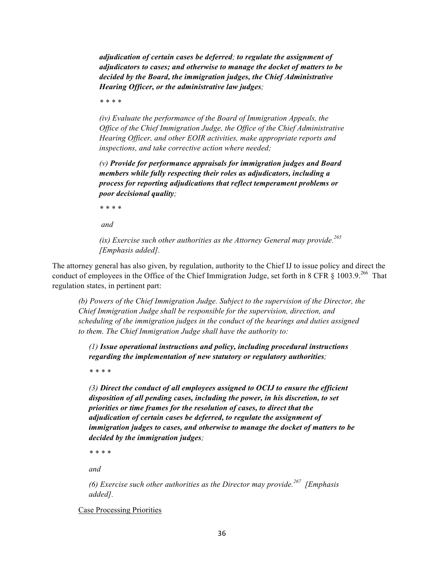*adjudication of certain cases be deferred; to regulate the assignment of adjudicators to cases; and otherwise to manage the docket of matters to be decided by the Board, the immigration judges, the Chief Administrative Hearing Officer, or the administrative law judges;*

*\* \* \* \** 

*(iv) Evaluate the performance of the Board of Immigration Appeals, the Office of the Chief Immigration Judge, the Office of the Chief Administrative Hearing Officer, and other EOIR activities, make appropriate reports and inspections, and take corrective action where needed;*

*(v) Provide for performance appraisals for immigration judges and Board members while fully respecting their roles as adjudicators, including a process for reporting adjudications that reflect temperament problems or poor decisional quality;*

*\* \* \* \** 

 *and*

*(ix) Exercise such other authorities as the Attorney General may provide. 265 [Emphasis added].*

The attorney general has also given, by regulation, authority to the Chief IJ to issue policy and direct the conduct of employees in the Office of the Chief Immigration Judge, set forth in 8 CFR  $\S$  1003.9.<sup>266</sup> That regulation states, in pertinent part:

*(b) Powers of the Chief Immigration Judge. Subject to the supervision of the Director, the Chief Immigration Judge shall be responsible for the supervision, direction, and scheduling of the immigration judges in the conduct of the hearings and duties assigned to them. The Chief Immigration Judge shall have the authority to:*

*(1) Issue operational instructions and policy, including procedural instructions regarding the implementation of new statutory or regulatory authorities;*

*\* \* \* \** 

*(3) Direct the conduct of all employees assigned to OCIJ to ensure the efficient disposition of all pending cases, including the power, in his discretion, to set priorities or time frames for the resolution of cases, to direct that the adjudication of certain cases be deferred, to regulate the assignment of immigration judges to cases, and otherwise to manage the docket of matters to be decided by the immigration judges;*

*\* \* \* \** 

*and*

*(6) Exercise such other authorities as the Director may provide. 267 [Emphasis added].*

Case Processing Priorities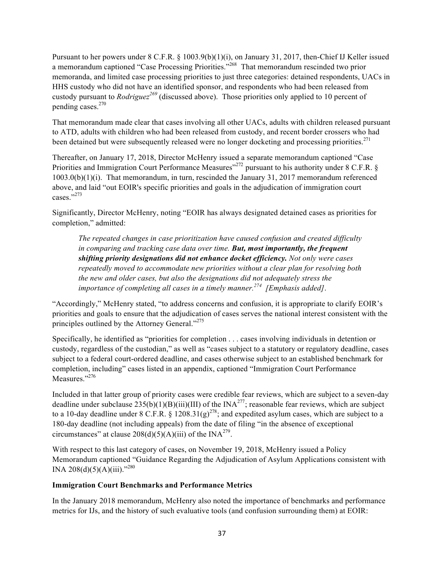Pursuant to her powers under 8 C.F.R. § 1003.9(b)(1)(i), on January 31, 2017, then-Chief IJ Keller issued a memorandum captioned "Case Processing Priorities."<sup>268</sup> That memorandum rescinded two prior memoranda, and limited case processing priorities to just three categories: detained respondents, UACs in HHS custody who did not have an identified sponsor, and respondents who had been released from custody pursuant to *Rodriguez <sup>269</sup>* (discussed above). Those priorities only applied to 10 percent of pending cases. 270

That memorandum made clear that cases involving all other UACs, adults with children released pursuant to ATD, adults with children who had been released from custody, and recent border crossers who had been detained but were subsequently released were no longer docketing and processing priorities.<sup>271</sup>

Thereafter, on January 17, 2018, Director McHenry issued a separate memorandum captioned "Case Priorities and Immigration Court Performance Measures"<sup>272</sup> pursuant to his authority under 8 C.F.R. § 1003.0(b)(1)(i). That memorandum, in turn, rescinded the January 31, 2017 memorandum referenced above, and laid "out EOIR's specific priorities and goals in the adjudication of immigration court cases." 273

Significantly, Director McHenry, noting "EOIR has always designated detained cases as priorities for completion," admitted:

*The repeated changes in case prioritization have caused confusion and created difficulty in comparing and tracking case data over time. But, most importantly, the frequent shifting priority designations did not enhance docket efficiency. Not only were cases repeatedly moved to accommodate new priorities without a clear plan for resolving both the new and older cases, but also the designations did not adequately stress the importance of completing all cases in a timely manner. 274 [Emphasis added]*.

"Accordingly," McHenry stated, "to address concerns and confusion, it is appropriate to clarify EOIR's priorities and goals to ensure that the adjudication of cases serves the national interest consistent with the principles outlined by the Attorney General."<sup>275</sup>

Specifically, he identified as "priorities for completion . . . cases involving individuals in detention or custody, regardless of the custodian," as well as "cases subject to a statutory or regulatory deadline, cases subject to a federal court-ordered deadline, and cases otherwise subject to an established benchmark for completion, including" cases listed in an appendix, captioned "Immigration Court Performance Measures."276

Included in that latter group of priority cases were credible fear reviews, which are subject to a seven-day deadline under subclause  $235(b)(1)(B)(iii)(III)$  of the INA<sup>277</sup>; reasonable fear reviews, which are subject to a 10-day deadline under 8 C.F.R. §  $1208.31(g)^{278}$ ; and expedited asylum cases, which are subject to a 180-day deadline (not including appeals) from the date of filing "in the absence of exceptional circumstances" at clause  $208(d)(5)(A)(iii)$  of the INA<sup>279</sup>.

With respect to this last category of cases, on November 19, 2018, McHenry issued a Policy Memorandum captioned "Guidance Regarding the Adjudication of Asylum Applications consistent with INA 208(d)(5)(A)(iii)."<sup>280</sup>

## **Immigration Court Benchmarks and Performance Metrics**

In the January 2018 memorandum, McHenry also noted the importance of benchmarks and performance metrics for IJs, and the history of such evaluative tools (and confusion surrounding them) at EOIR: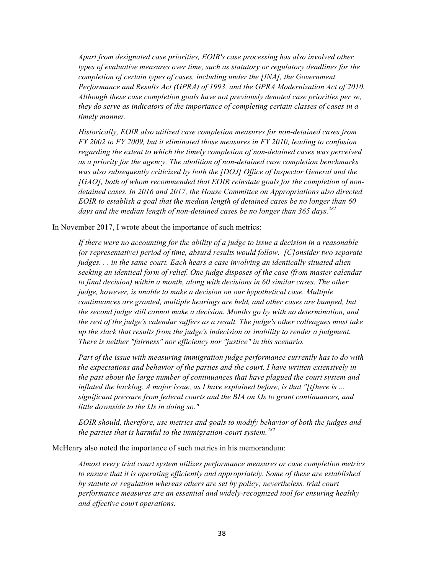*Apart from designated case priorities, EOIR's case processing has also involved other types of evaluative measures over time, such as statutory or regulatory deadlines for the completion of certain types of cases, including under the [INA], the Government Performance and Results Act (GPRA) of 1993, and the GPRA Modernization Act of 2010. Although these case completion goals have not previously denoted case priorities per se, they do serve as indicators of the importance of completing certain classes of cases in a timely manner.*

*Historically, EOIR also utilized case completion measures for non-detained cases from FY 2002 to FY 2009, but it eliminated those measures in FY 2010, leading to confusion regarding the extent to which the timely completion of non-detained cases was perceived as a priority for the agency. The abolition of non-detained case completion benchmarks was also subsequently criticized by both the [DOJ] Office of Inspector General and the [GAO], both of whom recommended that EOIR reinstate goals for the completion of nondetained cases. In 2016 and 2017, the House Committee on Appropriations also directed EOIR to establish a goal that the median length of detained cases be no longer than 60 days and the median length of non-detained cases be no longer than 365 days. 281*

In November 2017, I wrote about the importance of such metrics:

*If there were no accounting for the ability of a judge to issue a decision in a reasonable (or representative) period of time, absurd results would follow. [C]onsider two separate judges. . . in the same court. Each hears a case involving an identically situated alien seeking an identical form of relief. One judge disposes of the case (from master calendar to final decision) within a month, along with decisions in 60 similar cases. The other judge, however, is unable to make a decision on our hypothetical case. Multiple continuances are granted, multiple hearings are held, and other cases are bumped, but the second judge still cannot make a decision. Months go by with no determination, and the rest of the judge's calendar suffers as a result. The judge's other colleagues must take up the slack that results from the judge's indecision or inability to render a judgment. There is neither "fairness" nor efficiency nor "justice" in this scenario.*

*Part of the issue with measuring immigration judge performance currently has to do with the expectations and behavior of the parties and the court. I have written extensively in the past about the large number of continuances that have plagued the court system and inflated the backlog. A major issue, as I have explained before, is that "[t]here is ... significant pressure from federal courts and the BIA on IJs to grant continuances, and little downside to the IJs in doing so."*

*EOIR should, therefore, use metrics and goals to modify behavior of both the judges and the parties that is harmful to the immigration-court system. 282*

McHenry also noted the importance of such metrics in his memorandum:

*Almost every trial court system utilizes performance measures or case completion metrics to ensure that it is operating efficiently and appropriately. Some of these are established by statute or regulation whereas others are set by policy; nevertheless, trial court performance measures are an essential and widely-recognized tool for ensuring healthy and effective court operations.*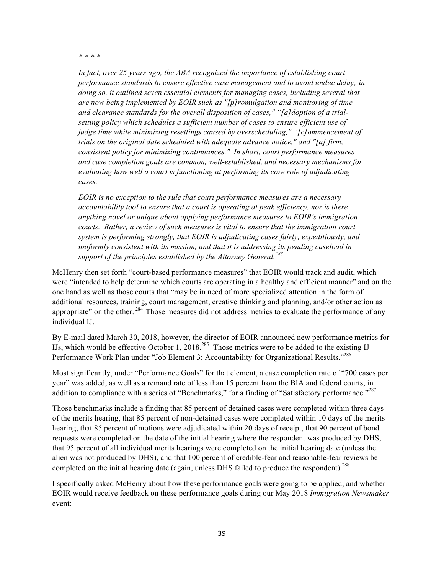#### *\* \* \* \**

*In fact, over 25 years ago, the ABA recognized the importance of establishing court performance standards to ensure effective case management and to avoid undue delay; in doing so, it outlined seven essential elements for managing cases, including several that are now being implemented by EOIR such as "[p]romulgation and monitoring of time and clearance standards for the overall disposition of cases," "[a]doption of a trialsetting policy which schedules a sufficient number of cases to ensure efficient use of judge time while minimizing resettings caused by overscheduling," "[c]ommencement of trials on the original date scheduled with adequate advance notice," and "[a] firm, consistent policy for minimizing continuances." In short, court performance measures and case completion goals are common, well-established, and necessary mechanisms for evaluating how well a court is functioning at performing its core role of adjudicating cases.*

*EOIR is no exception to the rule that court performance measures are a necessary accountability tool to ensure that a court is operating at peak efficiency, nor is there anything novel or unique about applying performance measures to EOIR's immigration courts. Rather, a review of such measures is vital to ensure that the immigration court system is performing strongly, that EOIR is adjudicating cases fairly, expeditiously, and uniformly consistent with its mission, and that it is addressing its pending caseload in support of the principles established by the Attorney General. 283*

McHenry then set forth "court-based performance measures" that EOIR would track and audit, which were "intended to help determine which courts are operating in a healthy and efficient manner" and on the one hand as well as those courts that "may be in need of more specialized attention in the form of additional resources, training, court management, creative thinking and planning, and/or other action as appropriate" on the other. <sup>284</sup> Those measures did not address metrics to evaluate the performance of any individual IJ.

By E-mail dated March 30, 2018, however, the director of EOIR announced new performance metrics for IJs, which would be effective October 1, 2018.<sup>285</sup> Those metrics were to be added to the existing IJ Performance Work Plan under "Job Element 3: Accountability for Organizational Results."<sup>286</sup>

Most significantly, under "Performance Goals" for that element, a case completion rate of "700 cases per year" was added, as well as a remand rate of less than 15 percent from the BIA and federal courts, in addition to compliance with a series of "Benchmarks," for a finding of "Satisfactory performance."<sup>287</sup>

Those benchmarks include a finding that 85 percent of detained cases were completed within three days of the merits hearing, that 85 percent of non-detained cases were completed within 10 days of the merits hearing, that 85 percent of motions were adjudicated within 20 days of receipt, that 90 percent of bond requests were completed on the date of the initial hearing where the respondent was produced by DHS, that 95 percent of all individual merits hearings were completed on the initial hearing date (unless the alien was not produced by DHS), and that 100 percent of credible-fear and reasonable-fear reviews be completed on the initial hearing date (again, unless DHS failed to produce the respondent).<sup>288</sup>

I specifically asked McHenry about how these performance goals were going to be applied, and whether EOIR would receive feedback on these performance goals during our May 2018 *Immigration Newsmaker* event: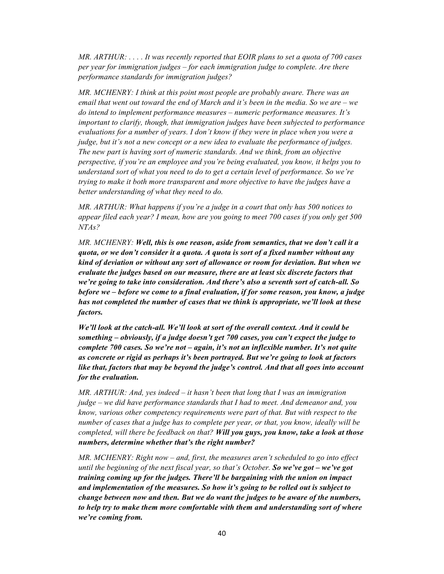*MR. ARTHUR: . . . . It was recently reported that EOIR plans to set a quota of 700 cases per year for immigration judges – for each immigration judge to complete. Are there performance standards for immigration judges?*

*MR. MCHENRY: I think at this point most people are probably aware. There was an email that went out toward the end of March and it's been in the media. So we are – we do intend to implement performance measures – numeric performance measures. It's important to clarify, though, that immigration judges have been subjected to performance evaluations for a number of years. I don't know if they were in place when you were a judge, but it's not a new concept or a new idea to evaluate the performance of judges. The new part is having sort of numeric standards. And we think, from an objective perspective, if you're an employee and you're being evaluated, you know, it helps you to understand sort of what you need to do to get a certain level of performance. So we're trying to make it both more transparent and more objective to have the judges have a better understanding of what they need to do.*

*MR. ARTHUR: What happens if you're a judge in a court that only has 500 notices to appear filed each year? I mean, how are you going to meet 700 cases if you only get 500 NTAs?*

*MR. MCHENRY: Well, this is one reason, aside from semantics, that we don't call it a quota, or we don't consider it a quota. A quota is sort of a fixed number without any kind of deviation or without any sort of allowance or room for deviation. But when we evaluate the judges based on our measure, there are at least six discrete factors that we're going to take into consideration. And there's also a seventh sort of catch-all. So before we – before we come to a final evaluation, if for some reason, you know, a judge has not completed the number of cases that we think is appropriate, we'll look at these factors.*

*We'll look at the catch-all. We'll look at sort of the overall context. And it could be something – obviously, if a judge doesn't get 700 cases, you can't expect the judge to complete 700 cases. So we're not – again, it's not an inflexible number. It's not quite as concrete or rigid as perhaps it's been portrayed. But we're going to look at factors like that, factors that may be beyond the judge's control. And that all goes into account for the evaluation.*

*MR. ARTHUR: And, yes indeed – it hasn't been that long that I was an immigration judge – we did have performance standards that I had to meet. And demeanor and, you know, various other competency requirements were part of that. But with respect to the number of cases that a judge has to complete per year, or that, you know, ideally will be completed, will there be feedback on that? Will you guys, you know, take a look at those numbers, determine whether that's the right number?*

*MR. MCHENRY: Right now – and, first, the measures aren't scheduled to go into effect until the beginning of the next fiscal year, so that's October. So we've got – we've got training coming up for the judges. There'll be bargaining with the union on impact and implementation of the measures. So how it's going to be rolled out is subject to change between now and then. But we do want the judges to be aware of the numbers, to help try to make them more comfortable with them and understanding sort of where we're coming from.*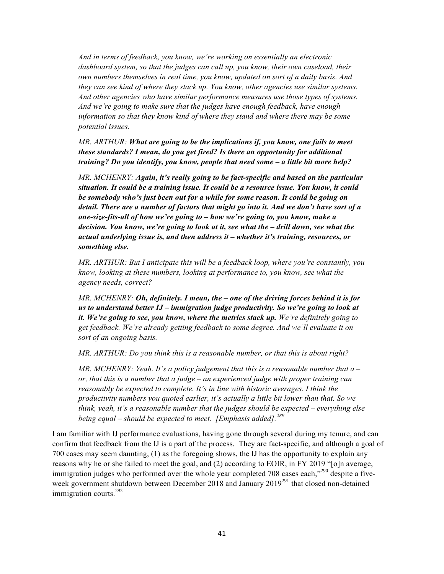*And in terms of feedback, you know, we're working on essentially an electronic dashboard system, so that the judges can call up, you know, their own caseload, their own numbers themselves in real time, you know, updated on sort of a daily basis. And they can see kind of where they stack up. You know, other agencies use similar systems. And other agencies who have similar performance measures use those types of systems. And we're going to make sure that the judges have enough feedback, have enough information so that they know kind of where they stand and where there may be some potential issues.*

*MR. ARTHUR: What are going to be the implications if, you know, one fails to meet these standards? I mean, do you get fired? Is there an opportunity for additional training? Do you identify, you know, people that need some – a little bit more help?*

*MR. MCHENRY: Again, it's really going to be fact-specific and based on the particular situation. It could be a training issue. It could be a resource issue. You know, it could be somebody who's just been out for a while for some reason. It could be going on detail. There are a number of factors that might go into it. And we don't have sort of a one-size-fits-all of how we're going to – how we're going to, you know, make a decision. You know, we're going to look at it, see what the – drill down, see what the actual underlying issue is, and then address it – whether it's training, resources, or something else.*

*MR. ARTHUR: But I anticipate this will be a feedback loop, where you're constantly, you know, looking at these numbers, looking at performance to, you know, see what the agency needs, correct?*

*MR. MCHENRY: Oh, definitely. I mean, the – one of the driving forces behind it is for us to understand better IJ – immigration judge productivity. So we're going to look at it. We're going to see, you know, where the metrics stack up. We're definitely going to get feedback. We're already getting feedback to some degree. And we'll evaluate it on sort of an ongoing basis.*

*MR. ARTHUR: Do you think this is a reasonable number, or that this is about right?*

*MR. MCHENRY: Yeah. It's a policy judgement that this is a reasonable number that a – or, that this is a number that a judge – an experienced judge with proper training can reasonably be expected to complete. It's in line with historic averages. I think the productivity numbers you quoted earlier, it's actually a little bit lower than that. So we think, yeah, it's a reasonable number that the judges should be expected – everything else being equal – should be expected to meet. [Emphasis added]. 289*

I am familiar with IJ performance evaluations, having gone through several during my tenure, and can confirm that feedback from the IJ is a part of the process. They are fact-specific, and although a goal of 700 cases may seem daunting, (1) as the foregoing shows, the IJ has the opportunity to explain any reasons why he or she failed to meet the goal, and (2) according to EOIR, in FY 2019 "[o]n average, immigration judges who performed over the whole year completed 708 cases each,"<sup>290</sup> despite a fiveweek government shutdown between December 2018 and January 2019<sup>291</sup> that closed non-detained immigration courts. $292$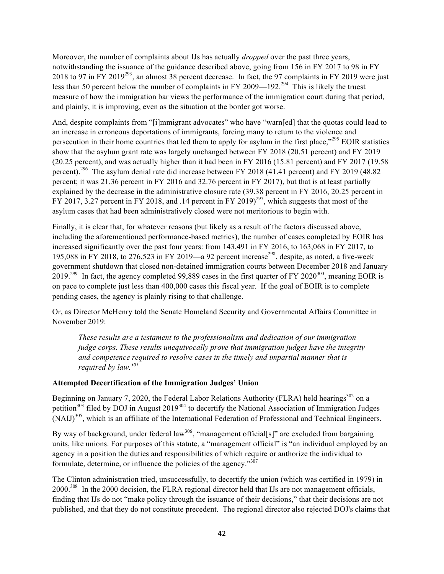Moreover, the number of complaints about IJs has actually *dropped* over the past three years, notwithstanding the issuance of the guidance described above, going from 156 in FY 2017 to 98 in FY 2018 to 97 in FY 2019<sup>293</sup>, an almost 38 percent decrease. In fact, the 97 complaints in FY 2019 were just less than 50 percent below the number of complaints in FY 2009—192.<sup>294</sup> This is likely the truest measure of how the immigration bar views the performance of the immigration court during that period, and plainly, it is improving, even as the situation at the border got worse.

And, despite complaints from "[i]mmigrant advocates" who have "warn[ed] that the quotas could lead to an increase in erroneous deportations of immigrants, forcing many to return to the violence and persecution in their home countries that led them to apply for asylum in the first place,"<sup>295</sup> EOIR statistics show that the asylum grant rate was largely unchanged between FY 2018 (20.51 percent) and FY 2019 (20.25 percent), and was actually higher than it had been in FY 2016 (15.81 percent) and FY 2017 (19.58 percent).<sup>296</sup> The asylum denial rate did increase between FY 2018 (41.41 percent) and FY 2019 (48.82 percent; it was 21.36 percent in FY 2016 and 32.76 percent in FY 2017), but that is at least partially explained by the decrease in the administrative closure rate (39.38 percent in FY 2016, 20.25 percent in FY 2017, 3.27 percent in FY 2018, and .14 percent in FY 2019)<sup>297</sup>, which suggests that most of the asylum cases that had been administratively closed were not meritorious to begin with.

Finally, it is clear that, for whatever reasons (but likely as a result of the factors discussed above, including the aforementioned performance-based metrics), the number of cases completed by EOIR has increased significantly over the past four years: from 143,491 in FY 2016, to 163,068 in FY 2017, to 195,088 in FY 2018, to 276,523 in FY 2019—a 92 percent increase 298, despite, as noted, a five-week government shutdown that closed non-detained immigration courts between December 2018 and January  $2019^{299}$  In fact, the agency completed 99,889 cases in the first quarter of FY 2020<sup>300</sup>, meaning EOIR is on pace to complete just less than 400,000 cases this fiscal year. If the goal of EOIR is to complete pending cases, the agency is plainly rising to that challenge.

Or, as Director McHenry told the Senate Homeland Security and Governmental Affairs Committee in November 2019:

*These results are a testament to the professionalism and dedication of our immigration judge corps. These results unequivocally prove that immigration judges have the integrity and competence required to resolve cases in the timely and impartial manner that is required by law. 301*

#### **Attempted Decertification of the Immigration Judges' Union**

Beginning on January 7, 2020, the Federal Labor Relations Authority (FLRA) held hearings<sup>302</sup> on a petition303 filed by DOJ in August 2019<sup>304</sup> to decertify the National Association of Immigration Judges (NAIJ)<sup>305</sup>, which is an affiliate of the International Federation of Professional and Technical Engineers.

By way of background, under federal law<sup>306</sup>, "management official<sup>[s]"</sup> are excluded from bargaining units, like unions. For purposes of this statute, a "management official" is "an individual employed by an agency in a position the duties and responsibilities of which require or authorize the individual to formulate, determine, or influence the policies of the agency."<sup>307</sup>

The Clinton administration tried, unsuccessfully, to decertify the union (which was certified in 1979) in 2000.<sup>308</sup> In the 2000 decision, the FLRA regional director held that IJs are not management officials, finding that IJs do not "make policy through the issuance of their decisions," that their decisions are not published, and that they do not constitute precedent. The regional director also rejected DOJ's claims that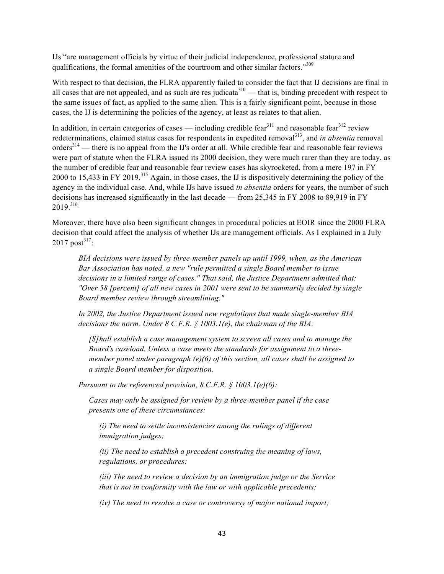IJs "are management officials by virtue of their judicial independence, professional stature and qualifications, the formal amenities of the courtroom and other similar factors."<sup>309</sup>

With respect to that decision, the FLRA apparently failed to consider the fact that IJ decisions are final in all cases that are not appealed, and as such are res judicata $310$  — that is, binding precedent with respect to the same issues of fact, as applied to the same alien. This is a fairly significant point, because in those cases, the IJ is determining the policies of the agency, at least as relates to that alien.

In addition, in certain categories of cases — including credible fear<sup>311</sup> and reasonable fear<sup>312</sup> review redeterminations, claimed status cases for respondents in expedited removal 313, and *in absentia* removal orders<sup>314</sup> — there is no appeal from the IJ's order at all. While credible fear and reasonable fear reviews were part of statute when the FLRA issued its 2000 decision, they were much rarer than they are today, as the number of credible fear and reasonable fear review cases has skyrocketed, from a mere 197 in FY 2000 to 15,433 in FY 2019.<sup>315</sup> Again, in those cases, the IJ is dispositively determining the policy of the agency in the individual case. And, while IJs have issued *in absentia* orders for years, the number of such decisions has increased significantly in the last decade — from 25,345 in FY 2008 to 89,919 in FY 2019. 316

Moreover, there have also been significant changes in procedural policies at EOIR since the 2000 FLRA decision that could affect the analysis of whether IJs are management officials. As I explained in a July  $2017$  post<sup>317</sup>:

*BIA decisions were issued by three-member panels up until 1999, when, as the American Bar Association has noted, a new "rule permitted a single Board member to issue decisions in a limited range of cases." That said, the Justice Department admitted that: "Over 58 [percent] of all new cases in 2001 were sent to be summarily decided by single Board member review through streamlining."*

*In 2002, the Justice Department issued new regulations that made single-member BIA decisions the norm. Under 8 C.F.R. § 1003.1(e), the chairman of the BIA:*

*[S]hall establish a case management system to screen all cases and to manage the Board's caseload. Unless a case meets the standards for assignment to a threemember panel under paragraph (e)(6) of this section, all cases shall be assigned to a single Board member for disposition.*

*Pursuant to the referenced provision, 8 C.F.R. § 1003.1(e)(6):*

*Cases may only be assigned for review by a three-member panel if the case presents one of these circumstances:*

*(i) The need to settle inconsistencies among the rulings of different immigration judges;*

*(ii) The need to establish a precedent construing the meaning of laws, regulations, or procedures;*

*(iii) The need to review a decision by an immigration judge or the Service that is not in conformity with the law or with applicable precedents;*

*(iv) The need to resolve a case or controversy of major national import;*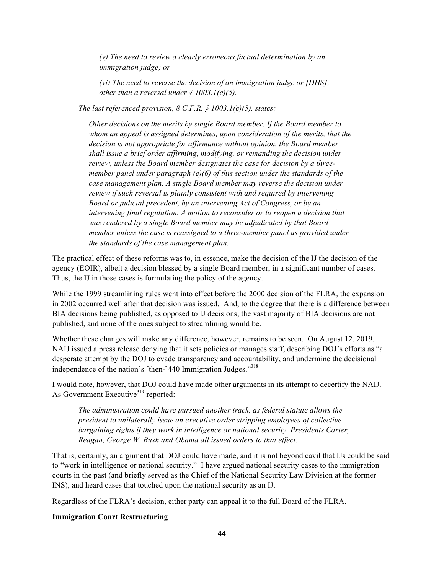*(v) The need to review a clearly erroneous factual determination by an immigration judge; or*

*(vi) The need to reverse the decision of an immigration judge or [DHS], other than a reversal under § 1003.1(e)(5).*

*The last referenced provision, 8 C.F.R. § 1003.1(e)(5), states:*

*Other decisions on the merits by single Board member. If the Board member to whom an appeal is assigned determines, upon consideration of the merits, that the decision is not appropriate for affirmance without opinion, the Board member shall issue a brief order affirming, modifying, or remanding the decision under review, unless the Board member designates the case for decision by a threemember panel under paragraph (e)(6) of this section under the standards of the case management plan. A single Board member may reverse the decision under review if such reversal is plainly consistent with and required by intervening Board or judicial precedent, by an intervening Act of Congress, or by an intervening final regulation. A motion to reconsider or to reopen a decision that was rendered by a single Board member may be adjudicated by that Board member unless the case is reassigned to a three-member panel as provided under the standards of the case management plan.*

The practical effect of these reforms was to, in essence, make the decision of the IJ the decision of the agency (EOIR), albeit a decision blessed by a single Board member, in a significant number of cases. Thus, the IJ in those cases is formulating the policy of the agency.

While the 1999 streamlining rules went into effect before the 2000 decision of the FLRA, the expansion in 2002 occurred well after that decision was issued. And, to the degree that there is a difference between BIA decisions being published, as opposed to IJ decisions, the vast majority of BIA decisions are not published, and none of the ones subject to streamlining would be.

Whether these changes will make any difference, however, remains to be seen. On August 12, 2019, NAIJ issued a press release denying that it sets policies or manages staff, describing DOJ's efforts as "a desperate attempt by the DOJ to evade transparency and accountability, and undermine the decisional independence of the nation's [then-]440 Immigration Judges."<sup>318</sup>

I would note, however, that DOJ could have made other arguments in its attempt to decertify the NAIJ. As Government Executive<sup>319</sup> reported:

*The administration could have pursued another track, as federal statute allows the president to unilaterally issue an executive order stripping employees of collective*  bargaining rights if they work in intelligence or national security. Presidents Carter, *Reagan, George W. Bush and Obama all issued orders to that effect.*

That is, certainly, an argument that DOJ could have made, and it is not beyond cavil that IJs could be said to "work in intelligence or national security." I have argued national security cases to the immigration courts in the past (and briefly served as the Chief of the National Security Law Division at the former INS), and heard cases that touched upon the national security as an IJ.

Regardless of the FLRA's decision, either party can appeal it to the full Board of the FLRA.

#### **Immigration Court Restructuring**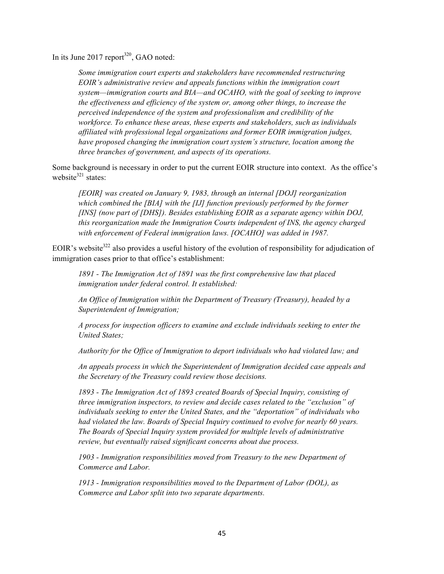In its June 2017 report<sup>320</sup>, GAO noted:

*Some immigration court experts and stakeholders have recommended restructuring EOIR's administrative review and appeals functions within the immigration court system—immigration courts and BIA—and OCAHO, with the goal of seeking to improve the effectiveness and efficiency of the system or, among other things, to increase the perceived independence of the system and professionalism and credibility of the workforce. To enhance these areas, these experts and stakeholders, such as individuals affiliated with professional legal organizations and former EOIR immigration judges, have proposed changing the immigration court system's structure, location among the three branches of government, and aspects of its operations.*

Some background is necessary in order to put the current EOIR structure into context. As the office's website<sup>321</sup> states:

*[EOIR] was created on January 9, 1983, through an internal [DOJ] reorganization which combined the [BIA] with the [IJ] function previously performed by the former [INS] (now part of [DHS]). Besides establishing EOIR as a separate agency within DOJ, this reorganization made the Immigration Courts independent of INS, the agency charged with enforcement of Federal immigration laws. [OCAHO] was added in 1987.*

EOIR's website<sup>322</sup> also provides a useful history of the evolution of responsibility for adjudication of immigration cases prior to that office's establishment:

*1891 - The Immigration Act of 1891 was the first comprehensive law that placed immigration under federal control. It established:*

*An Office of Immigration within the Department of Treasury (Treasury), headed by a Superintendent of Immigration;*

*A process for inspection officers to examine and exclude individuals seeking to enter the United States;*

*Authority for the Office of Immigration to deport individuals who had violated law; and*

*An appeals process in which the Superintendent of Immigration decided case appeals and the Secretary of the Treasury could review those decisions.*

*1893 - The Immigration Act of 1893 created Boards of Special Inquiry, consisting of three immigration inspectors, to review and decide cases related to the "exclusion" of individuals seeking to enter the United States, and the "deportation" of individuals who had violated the law. Boards of Special Inquiry continued to evolve for nearly 60 years. The Boards of Special Inquiry system provided for multiple levels of administrative review, but eventually raised significant concerns about due process.*

*1903 - Immigration responsibilities moved from Treasury to the new Department of Commerce and Labor.*

*1913 - Immigration responsibilities moved to the Department of Labor (DOL), as Commerce and Labor split into two separate departments.*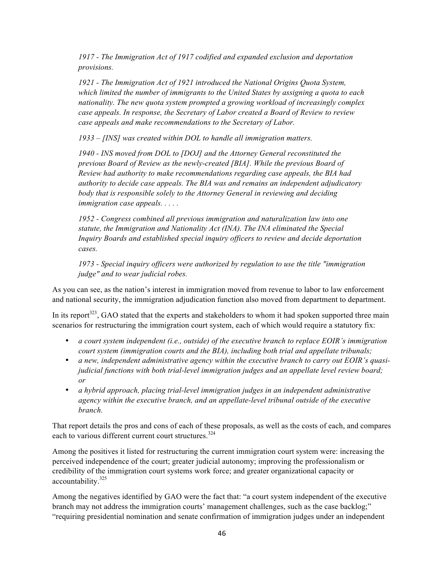*1917 - The Immigration Act of 1917 codified and expanded exclusion and deportation provisions.*

*1921 - The Immigration Act of 1921 introduced the National Origins Quota System, which limited the number of immigrants to the United States by assigning a quota to each nationality. The new quota system prompted a growing workload of increasingly complex case appeals. In response, the Secretary of Labor created a Board of Review to review case appeals and make recommendations to the Secretary of Labor.*

*1933 – [INS] was created within DOL to handle all immigration matters.*

*1940 - INS moved from DOL to [DOJ] and the Attorney General reconstituted the previous Board of Review as the newly-created [BIA]. While the previous Board of Review had authority to make recommendations regarding case appeals, the BIA had authority to decide case appeals. The BIA was and remains an independent adjudicatory body that is responsible solely to the Attorney General in reviewing and deciding immigration case appeals. . . . .* 

*1952 - Congress combined all previous immigration and naturalization law into one statute, the Immigration and Nationality Act (INA). The INA eliminated the Special Inquiry Boards and established special inquiry officers to review and decide deportation cases.*

*1973 - Special inquiry officers were authorized by regulation to use the title "immigration judge" and to wear judicial robes.*

As you can see, as the nation's interest in immigration moved from revenue to labor to law enforcement and national security, the immigration adjudication function also moved from department to department.

In its report<sup>323</sup>, GAO stated that the experts and stakeholders to whom it had spoken supported three main scenarios for restructuring the immigration court system, each of which would require a statutory fix:

- *a court system independent (i.e., outside) of the executive branch to replace EOIR's immigration court system (immigration courts and the BIA), including both trial and appellate tribunals;*
- *a new, independent administrative agency within the executive branch to carry out EOIR's quasijudicial functions with both trial-level immigration judges and an appellate level review board; or*
- *a hybrid approach, placing trial-level immigration judges in an independent administrative agency within the executive branch, and an appellate-level tribunal outside of the executive branch.*

That report details the pros and cons of each of these proposals, as well as the costs of each, and compares each to various different current court structures.<sup>324</sup>

Among the positives it listed for restructuring the current immigration court system were: increasing the perceived independence of the court; greater judicial autonomy; improving the professionalism or credibility of the immigration court systems work force; and greater organizational capacity or accountability.<sup>325</sup>

Among the negatives identified by GAO were the fact that: "a court system independent of the executive branch may not address the immigration courts' management challenges, such as the case backlog;" "requiring presidential nomination and senate confirmation of immigration judges under an independent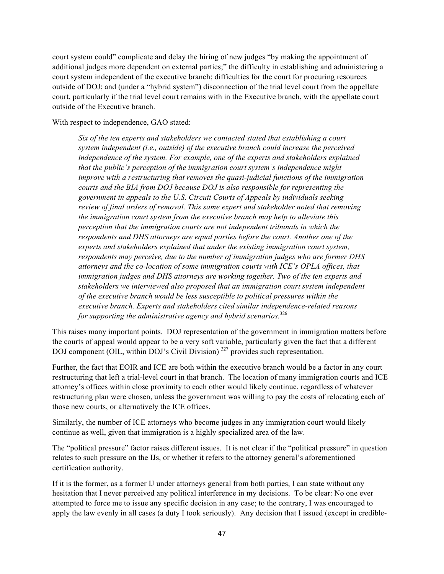court system could" complicate and delay the hiring of new judges "by making the appointment of additional judges more dependent on external parties;" the difficulty in establishing and administering a court system independent of the executive branch; difficulties for the court for procuring resources outside of DOJ; and (under a "hybrid system") disconnection of the trial level court from the appellate court, particularly if the trial level court remains with in the Executive branch, with the appellate court outside of the Executive branch.

With respect to independence, GAO stated:

*Six of the ten experts and stakeholders we contacted stated that establishing a court system independent (i.e., outside) of the executive branch could increase the perceived independence of the system. For example, one of the experts and stakeholders explained that the public's perception of the immigration court system's independence might improve with a restructuring that removes the quasi-judicial functions of the immigration courts and the BIA from DOJ because DOJ is also responsible for representing the government in appeals to the U.S. Circuit Courts of Appeals by individuals seeking review of final orders of removal. This same expert and stakeholder noted that removing the immigration court system from the executive branch may help to alleviate this perception that the immigration courts are not independent tribunals in which the respondents and DHS attorneys are equal parties before the court. Another one of the experts and stakeholders explained that under the existing immigration court system, respondents may perceive, due to the number of immigration judges who are former DHS attorneys and the co-location of some immigration courts with ICE's OPLA offices, that immigration judges and DHS attorneys are working together. Two of the ten experts and stakeholders we interviewed also proposed that an immigration court system independent of the executive branch would be less susceptible to political pressures within the executive branch. Experts and stakeholders cited similar independence-related reasons for supporting the administrative agency and hybrid scenarios.* 326

This raises many important points. DOJ representation of the government in immigration matters before the courts of appeal would appear to be a very soft variable, particularly given the fact that a different DOJ component (OIL, within DOJ's Civil Division)<sup>327</sup> provides such representation.

Further, the fact that EOIR and ICE are both within the executive branch would be a factor in any court restructuring that left a trial-level court in that branch. The location of many immigration courts and ICE attorney's offices within close proximity to each other would likely continue, regardless of whatever restructuring plan were chosen, unless the government was willing to pay the costs of relocating each of those new courts, or alternatively the ICE offices.

Similarly, the number of ICE attorneys who become judges in any immigration court would likely continue as well, given that immigration is a highly specialized area of the law.

The "political pressure" factor raises different issues. It is not clear if the "political pressure" in question relates to such pressure on the IJs, or whether it refers to the attorney general's aforementioned certification authority.

If it is the former, as a former IJ under attorneys general from both parties, I can state without any hesitation that I never perceived any political interference in my decisions. To be clear: No one ever attempted to force me to issue any specific decision in any case; to the contrary, I was encouraged to apply the law evenly in all cases (a duty I took seriously). Any decision that I issued (except in credible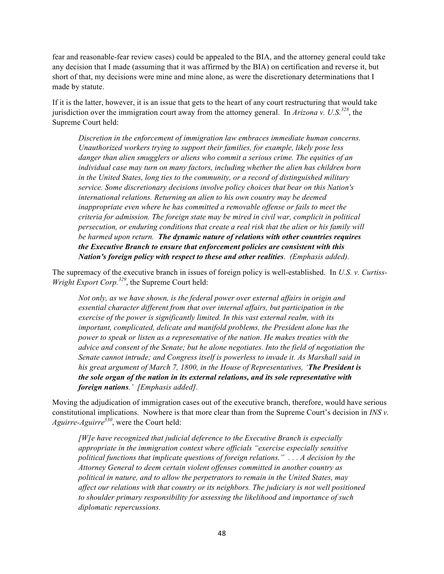fear and reasonable-fear review cases) could be appealed to the BIA, and the attorney general could take any decision that I made (assuming that it was affirmed by the BIA) on certification and reverse it, but short of that, my decisions were mine and mine alone, as were the discretionary determinations that I made by statute.

If it is the latter, however, it is an issue that gets to the heart of any court restructuring that would take jurisdiction over the immigration court away from the attorney general. In *Arizona v. U.S. <sup>328</sup>*, the Supreme Court held:

*Discretion in the enforcement of immigration law embraces immediate human concerns. Unauthorized workers trying to support their families, for example, likely pose less danger than alien smugglers or aliens who commit a serious crime. The equities of an individual case may turn on many factors, including whether the alien has children born in the United States, long ties to the community, or a record of distinguished military service. Some discretionary decisions involve policy choices that bear on this Nation's international relations. Returning an alien to his own country may be deemed inappropriate even where he has committed a removable offense or fails to meet the criteria for admission. The foreign state may be mired in civil war, complicit in political persecution, or enduring conditions that create a real risk that the alien or his family will be harmed upon return. The dynamic nature of relations with other countries requires the Executive Branch to ensure that enforcement policies are consistent with this Nation's foreign policy with respect to these and other realities*. *(Emphasis added).*

The supremacy of the executive branch in issues of foreign policy is well-established. In *U.S. v. Curtiss-Wright Export Corp. <sup>329</sup>*, the Supreme Court held:

*Not only, as we have shown, is the federal power over external affairs in origin and essential character different from that over internal affairs, but participation in the exercise of the power is significantly limited. In this vast external realm, with its important, complicated, delicate and manifold problems, the President alone has the power to speak or listen as a representative of the nation. He makes treaties with the advice and consent of the Senate; but he alone negotiates. Into the field of negotiation the Senate cannot intrude; and Congress itself is powerless to invade it. As Marshall said in his great argument of March 7, 1800, in the House of Representatives, 'The President is the sole organ of the nation in its external relations, and its sole representative with foreign nations.' [Emphasis added].*

Moving the adjudication of immigration cases out of the executive branch, therefore, would have serious constitutional implications. Nowhere is that more clear than from the Supreme Court's decision in *INS v. Aguirre-Aguirre <sup>330</sup>*, were the Court held:

*[W]e have recognized that judicial deference to the Executive Branch is especially appropriate in the immigration context where officials "exercise especially sensitive political functions that implicate questions of foreign relations." . . . A decision by the Attorney General to deem certain violent offenses committed in another country as political in nature, and to allow the perpetrators to remain in the United States, may affect our relations with that country or its neighbors. The judiciary is not well positioned to shoulder primary responsibility for assessing the likelihood and importance of such diplomatic repercussions.*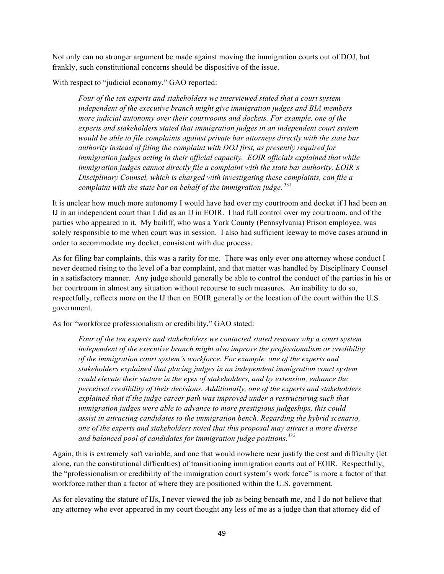Not only can no stronger argument be made against moving the immigration courts out of DOJ, but frankly, such constitutional concerns should be dispositive of the issue.

With respect to "judicial economy," GAO reported:

*Four of the ten experts and stakeholders we interviewed stated that a court system independent of the executive branch might give immigration judges and BIA members more judicial autonomy over their courtrooms and dockets. For example, one of the experts and stakeholders stated that immigration judges in an independent court system would be able to file complaints against private bar attorneys directly with the state bar authority instead of filing the complaint with DOJ first, as presently required for immigration judges acting in their official capacity. EOIR officials explained that while immigration judges cannot directly file a complaint with the state bar authority, EOIR's Disciplinary Counsel, which is charged with investigating these complaints, can file a complaint with the state bar on behalf of the immigration judge.* <sup>331</sup>

It is unclear how much more autonomy I would have had over my courtroom and docket if I had been an IJ in an independent court than I did as an IJ in EOIR. I had full control over my courtroom, and of the parties who appeared in it. My bailiff, who was a York County (Pennsylvania) Prison employee, was solely responsible to me when court was in session. I also had sufficient leeway to move cases around in order to accommodate my docket, consistent with due process.

As for filing bar complaints, this was a rarity for me. There was only ever one attorney whose conduct I never deemed rising to the level of a bar complaint, and that matter was handled by Disciplinary Counsel in a satisfactory manner. Any judge should generally be able to control the conduct of the parties in his or her courtroom in almost any situation without recourse to such measures. An inability to do so, respectfully, reflects more on the IJ then on EOIR generally or the location of the court within the U.S. government.

As for "workforce professionalism or credibility," GAO stated:

*Four of the ten experts and stakeholders we contacted stated reasons why a court system independent of the executive branch might also improve the professionalism or credibility of the immigration court system's workforce. For example, one of the experts and stakeholders explained that placing judges in an independent immigration court system could elevate their stature in the eyes of stakeholders, and by extension, enhance the perceived credibility of their decisions. Additionally, one of the experts and stakeholders*  explained that if the judge career path was improved under a restructuring such that *immigration judges were able to advance to more prestigious judgeships, this could assist in attracting candidates to the immigration bench. Regarding the hybrid scenario, one of the experts and stakeholders noted that this proposal may attract a more diverse and balanced pool of candidates for immigration judge positions. 332*

Again, this is extremely soft variable, and one that would nowhere near justify the cost and difficulty (let alone, run the constitutional difficulties) of transitioning immigration courts out of EOIR. Respectfully, the "professionalism or credibility of the immigration court system's work force" is more a factor of that workforce rather than a factor of where they are positioned within the U.S. government.

As for elevating the stature of IJs, I never viewed the job as being beneath me, and I do not believe that any attorney who ever appeared in my court thought any less of me as a judge than that attorney did of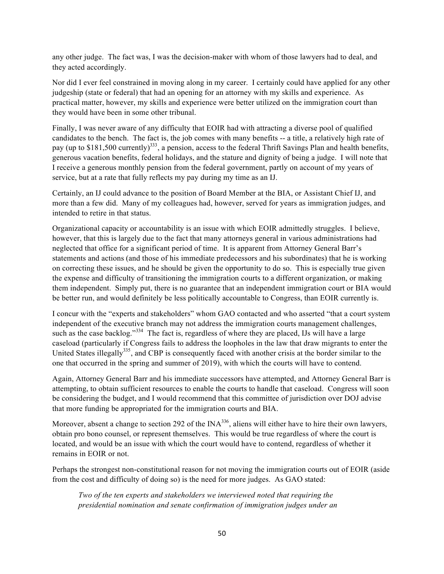any other judge. The fact was, I was the decision-maker with whom of those lawyers had to deal, and they acted accordingly.

Nor did I ever feel constrained in moving along in my career. I certainly could have applied for any other judgeship (state or federal) that had an opening for an attorney with my skills and experience. As practical matter, however, my skills and experience were better utilized on the immigration court than they would have been in some other tribunal.

Finally, I was never aware of any difficulty that EOIR had with attracting a diverse pool of qualified candidates to the bench. The fact is, the job comes with many benefits -- a title, a relatively high rate of pay (up to \$181,500 currently)<sup>333</sup>, a pension, access to the federal Thrift Savings Plan and health benefits, generous vacation benefits, federal holidays, and the stature and dignity of being a judge. I will note that I receive a generous monthly pension from the federal government, partly on account of my years of service, but at a rate that fully reflects my pay during my time as an IJ.

Certainly, an IJ could advance to the position of Board Member at the BIA, or Assistant Chief IJ, and more than a few did. Many of my colleagues had, however, served for years as immigration judges, and intended to retire in that status.

Organizational capacity or accountability is an issue with which EOIR admittedly struggles. I believe, however, that this is largely due to the fact that many attorneys general in various administrations had neglected that office for a significant period of time. It is apparent from Attorney General Barr's statements and actions (and those of his immediate predecessors and his subordinates) that he is working on correcting these issues, and he should be given the opportunity to do so. This is especially true given the expense and difficulty of transitioning the immigration courts to a different organization, or making them independent. Simply put, there is no guarantee that an independent immigration court or BIA would be better run, and would definitely be less politically accountable to Congress, than EOIR currently is.

I concur with the "experts and stakeholders" whom GAO contacted and who asserted "that a court system independent of the executive branch may not address the immigration courts management challenges, such as the case backlog."<sup>334</sup> The fact is, regardless of where they are placed, IJs will have a large caseload (particularly if Congress fails to address the loopholes in the law that draw migrants to enter the United States illegally<sup>335</sup>, and CBP is consequently faced with another crisis at the border similar to the one that occurred in the spring and summer of 2019), with which the courts will have to contend.

Again, Attorney General Barr and his immediate successors have attempted, and Attorney General Barr is attempting, to obtain sufficient resources to enable the courts to handle that caseload. Congress will soon be considering the budget, and I would recommend that this committee of jurisdiction over DOJ advise that more funding be appropriated for the immigration courts and BIA.

Moreover, absent a change to section 292 of the  $INA^{336}$ , aliens will either have to hire their own lawyers, obtain pro bono counsel, or represent themselves. This would be true regardless of where the court is located, and would be an issue with which the court would have to contend, regardless of whether it remains in EOIR or not.

Perhaps the strongest non-constitutional reason for not moving the immigration courts out of EOIR (aside from the cost and difficulty of doing so) is the need for more judges. As GAO stated:

*Two of the ten experts and stakeholders we interviewed noted that requiring the presidential nomination and senate confirmation of immigration judges under an*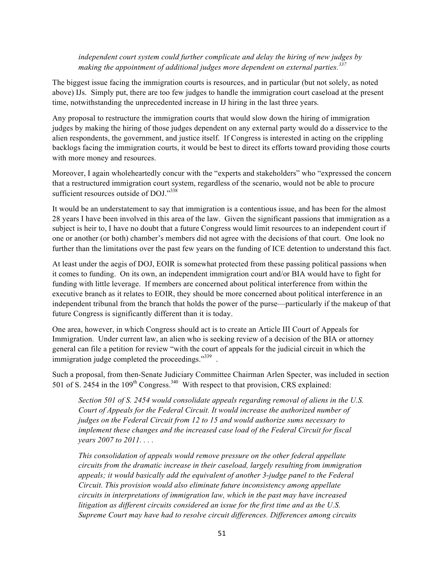*independent court system could further complicate and delay the hiring of new judges by making the appointment of additional judges more dependent on external parties. 337*

The biggest issue facing the immigration courts is resources, and in particular (but not solely, as noted above) IJs. Simply put, there are too few judges to handle the immigration court caseload at the present time, notwithstanding the unprecedented increase in IJ hiring in the last three years.

Any proposal to restructure the immigration courts that would slow down the hiring of immigration judges by making the hiring of those judges dependent on any external party would do a disservice to the alien respondents, the government, and justice itself. If Congress is interested in acting on the crippling backlogs facing the immigration courts, it would be best to direct its efforts toward providing those courts with more money and resources.

Moreover, I again wholeheartedly concur with the "experts and stakeholders" who "expressed the concern that a restructured immigration court system, regardless of the scenario, would not be able to procure sufficient resources outside of DOJ."338

It would be an understatement to say that immigration is a contentious issue, and has been for the almost 28 years I have been involved in this area of the law. Given the significant passions that immigration as a subject is heir to, I have no doubt that a future Congress would limit resources to an independent court if one or another (or both) chamber's members did not agree with the decisions of that court. One look no further than the limitations over the past few years on the funding of ICE detention to understand this fact.

At least under the aegis of DOJ, EOIR is somewhat protected from these passing political passions when it comes to funding. On its own, an independent immigration court and/or BIA would have to fight for funding with little leverage. If members are concerned about political interference from within the executive branch as it relates to EOIR, they should be more concerned about political interference in an independent tribunal from the branch that holds the power of the purse—particularly if the makeup of that future Congress is significantly different than it is today.

One area, however, in which Congress should act is to create an Article III Court of Appeals for Immigration. Under current law, an alien who is seeking review of a decision of the BIA or attorney general can file a petition for review "with the court of appeals for the judicial circuit in which the immigration judge completed the proceedings."<sup>339</sup>.

Such a proposal, from then-Senate Judiciary Committee Chairman Arlen Specter, was included in section 501 of S. 2454 in the  $109<sup>th</sup>$  Congress.<sup>340</sup> With respect to that provision, CRS explained:

*Section 501 of S. 2454 would consolidate appeals regarding removal of aliens in the U.S. Court of Appeals for the Federal Circuit. It would increase the authorized number of judges on the Federal Circuit from 12 to 15 and would authorize sums necessary to implement these changes and the increased case load of the Federal Circuit for fiscal years 2007 to 2011. . . .* 

*This consolidation of appeals would remove pressure on the other federal appellate circuits from the dramatic increase in their caseload, largely resulting from immigration appeals; it would basically add the equivalent of another 3-judge panel to the Federal Circuit. This provision would also eliminate future inconsistency among appellate circuits in interpretations of immigration law, which in the past may have increased litigation as different circuits considered an issue for the first time and as the U.S. Supreme Court may have had to resolve circuit differences. Differences among circuits*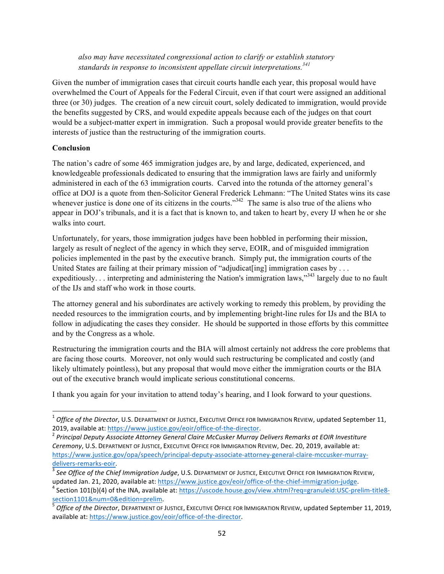*also may have necessitated congressional action to clarify or establish statutory standards in response to inconsistent appellate circuit interpretations. 341*

Given the number of immigration cases that circuit courts handle each year, this proposal would have overwhelmed the Court of Appeals for the Federal Circuit, even if that court were assigned an additional three (or 30) judges. The creation of a new circuit court, solely dedicated to immigration, would provide the benefits suggested by CRS, and would expedite appeals because each of the judges on that court would be a subject-matter expert in immigration. Such a proposal would provide greater benefits to the interests of justice than the restructuring of the immigration courts.

## **Conclusion**

<u> 1989 - Johann Stein, fransk politik (d. 1989)</u>

The nation's cadre of some 465 immigration judges are, by and large, dedicated, experienced, and knowledgeable professionals dedicated to ensuring that the immigration laws are fairly and uniformly administered in each of the 63 immigration courts. Carved into the rotunda of the attorney general's office at DOJ is a quote from then-Solicitor General Frederick Lehmann: "The United States wins its case whenever justice is done one of its citizens in the courts."<sup>342</sup> The same is also true of the aliens who appear in DOJ's tribunals, and it is a fact that is known to, and taken to heart by, every IJ when he or she walks into court.

Unfortunately, for years, those immigration judges have been hobbled in performing their mission, largely as result of neglect of the agency in which they serve, EOIR, and of misguided immigration policies implemented in the past by the executive branch. Simply put, the immigration courts of the United States are failing at their primary mission of "adjudicat[ing] immigration cases by  $\ldots$ expeditiously... interpreting and administering the Nation's immigration laws,"<sup>343</sup> largely due to no fault of the IJs and staff who work in those courts.

The attorney general and his subordinates are actively working to remedy this problem, by providing the needed resources to the immigration courts, and by implementing bright-line rules for IJs and the BIA to follow in adjudicating the cases they consider. He should be supported in those efforts by this committee and by the Congress as a whole.

Restructuring the immigration courts and the BIA will almost certainly not address the core problems that are facing those courts. Moreover, not only would such restructuring be complicated and costly (and likely ultimately pointless), but any proposal that would move either the immigration courts or the BIA out of the executive branch would implicate serious constitutional concerns.

I thank you again for your invitation to attend today's hearing, and I look forward to your questions.

<sup>&</sup>lt;sup>1</sup> Office of the Director, U.S. DEPARTMENT OF JUSTICE, EXECUTIVE OFFICE FOR IMMIGRATION REVIEW, updated September 11,<br>2019, available at: https://www.justice.gov/eoir/office-of-the-director.

<sup>&</sup>lt;sup>2</sup> Principal Deputy Associate Attorney General Claire McCusker Murray Delivers Remarks at EOIR Investiture *Ceremony*, U.S. DEPARTMENT OF JUSTICE, EXECUTIVE OFFICE FOR IMMIGRATION REVIEW, Dec. 20, 2019, available at: https://www.justice.gov/opa/speech/principal-deputy-associate-attorney-general-claire-mccusker-murraydelivers-remarks-eoir.<br><sup>3</sup> See Office of the Chief Immigration Judge, U.S. DEPARTMENT OF JUSTICE, EXECUTIVE OFFICE FOR IMMIGRATION REVIEW,

updated Jan. 21, 2020, available at: https://www.justice.gov/eoir/office-of-the-chief-immigration-judge.

<sup>&</sup>lt;sup>4</sup> Section 101(b)(4) of the INA, available at: https://uscode.house.gov/view.xhtml?req=granuleid:USC-prelim-title8section1101&num=0&edition=prelim.<br><sup>5</sup> Office of the Director, Department of Justice, Executive Office for Immigration Review, updated September 11, 2019,

available at: https://www.justice.gov/eoir/office-of-the-director.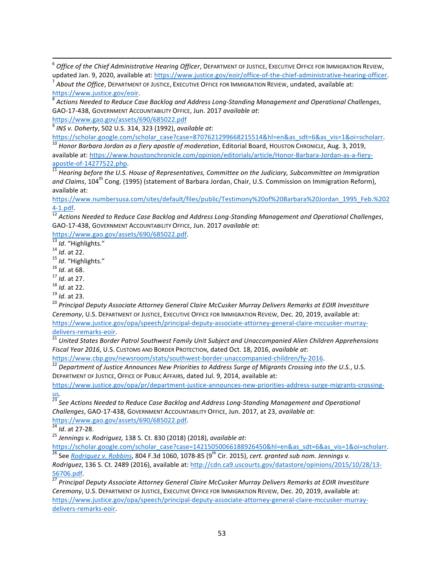<u> 1989 - Andrea Santa Andrea Andrea Andrea Andrea Andrea Andrea Andrea Andrea Andrea Andrea Andrea Andrea Andr</u> <sup>6</sup> Office of the Chief Administrative Hearing Officer, DEPARTMENT OF JUSTICE, EXECUTIVE OFFICE FOR IMMIGRATION REVIEW, updated Jan. 9, 2020, available at: https://www.justice.gov/eoir/office-of-the-chief-administrative-hearing-officer<br><sup>7</sup> About the Office, DEPARTMENT OF JUSTICE, EXECUTIVE OFFICE FOR IMMIGRATION REVIEW, undated, available a

https://www.justice.gov/eoir.<br><sup>8</sup> Actions Needed to Reduce Case Backlog and Address Long-Standing Management and Operational Challenges, GAO-17-438, GOVERNMENT ACCOUNTABILITY OFFICE, Jun. 2017 available at:

https://www.gao.gov/assets/690/685022.pdf

 $^{9}$  INS v. Doherty, 502 U.S. 314, 323 (1992), available at:

https://scholar.google.com/scholar\_case?case=8707621299668215514&hl=en&as\_sdt=6&as\_vis=1&oi=scholarr.<sup>10</sup> *Honor Barbara Jordan as a fiery apostle of moderation*, Editorial Board, Houston CHRONICLE, Aug. 3, 2019, available at: https://www.houstonchronicle.com/opinion/editorials/article/Honor-Barbara-Jordan-as-a-fiery-

apostle-of-14277522.php.<br><sup>11</sup> Hearing before the U.S. House of Representatives, Committee on the Judiciary, Subcommittee on Immigration and Claims, 104<sup>th</sup> Cong. (1995) (statement of Barbara Jordan, Chair, U.S. Commission on Immigration Reform), available at:

https://www.numbersusa.com/sites/default/files/public/Testimony%20of%20Barbara%20Jordan\_1995\_Feb.%202

4-1.pdf.<br><sup>12</sup> Actions Needed to Reduce Case Backlog and Address Long-Standing Management and Operational Challenges, GAO-17-438, GOVERNMENT ACCOUNTABILITY OFFICE, Jun. 2017 available at:

https://www.gao.gov/assets/690/685022.pdf.<br><sup>13</sup> Id. "Highlights."<br><sup>14</sup> Id. at 22.<br><sup>15</sup> Id. at 68.<br><sup>15</sup> Id. at 68.<br><sup>17</sup> Id. at 27.<br><sup>18</sup> Id. at 22.<br><sup>18</sup> Id. at 22.<br><sup>18</sup> Id. at 22.<br><sup>19</sup> Id. at 23. *Ceremony*, U.S. DEPARTMENT OF JUSTICE, EXECUTIVE OFFICE FOR IMMIGRATION REVIEW, Dec. 20, 2019, available at: https://www.justice.gov/opa/speech/principal-deputy-associate-attorney-general-claire-mccusker-murray-

delivers-remarks-eoir.<br><sup>21</sup> United States Border Patrol Southwest Family Unit Subject and Unaccompanied Alien Children Apprehensions *Fiscal Year 2016*, U.S. CUSTOMS AND BORDER PROTECTION, dated Oct. 18, 2016, *available at*:

https://www.cbp.gov/newsroom/stats/southwest-border-unaccompanied-children/fy-2016.<br><sup>22</sup> Department of Justice Announces New Priorities to Address Surge of Migrants Crossing into the U.S., U.S. DEPARTMENT OF JUSTICE, OFFICE OF PUBLIC AFFAIRS, dated Jul. 9, 2014, available at:

https://www.justice.gov/opa/pr/department-justice-announces-new-priorities-address-surge-migrants-crossing-

<u>us</u>.<br><sup>23</sup> See Actions Needed to Reduce Case Backlog and Address Long-Standing Management and Operational *Challenges*, GAO-17-438, GOVERNMENT ACCOUNTABILITY OFFICE, Jun. 2017, at 23, *available at*: 

https://www.gao.gov/assets/690/685022.pdf.<br><sup>24</sup> *Id.* at 27-28.<br><sup>25</sup> Jennings v. Rodriguez, 138 S. Ct. 830 (2018) (2018), *available at*:<br>https://scholar.google.com/scholar\_case?case=14215050066188926450&hl=en&as\_sdt=6&as\_ <sup>26</sup> See Rodriguez v. Robbins, 804 F.3d 1060, 1078-85 (9<sup>th</sup> Cir. 2015), cert. granted sub nom. Jennings v.

*Rodriguez*, 136 S. Ct. 2489 (2016), available at: http://cdn.ca9.uscourts.gov/datastore/opinions/2015/10/28/13-56706.pdf.<br><sup>27</sup> Principal Deputy Associate Attorney General Claire McCusker Murray Delivers Remarks at EOIR Investiture

Ceremony, U.S. DEPARTMENT OF JUSTICE, EXECUTIVE OFFICE FOR IMMIGRATION REVIEW, Dec. 20, 2019, available at: https://www.justice.gov/opa/speech/principal-deputy-associate-attorney-general-claire-mccusker-murraydelivers-remarks-eoir.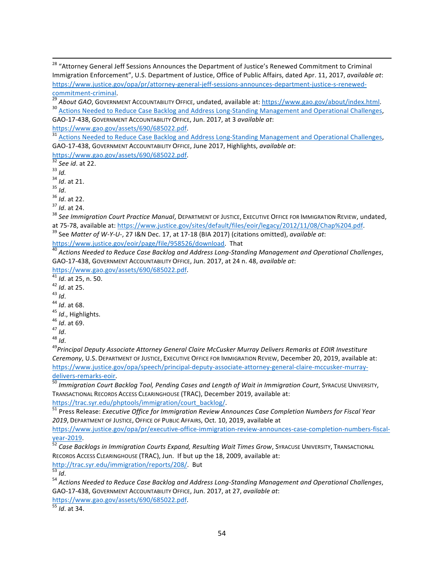<u> 1989 - Andrea Santa Andrea Andrea Andrea Andrea Andrea Andrea Andrea Andrea Andrea Andrea Andrea Andrea Andr</u>

<sup>31</sup> Actions Needed to Reduce Case Backlog and Address Long-Standing Management and Operational Challenges, GAO-17-438, GOVERNMENT ACCOUNTABILITY OFFICE, June 2017, Highlights, *available at*:

https://www.gao.gov/assets/690/685022.pdf.<br>
32 See id. at 22.<br>
33 Id.<br>
34 Id.<br>
35 Id.<br>
35 Id.<br>
36 Id. at 22.<br>
37 Id. at 24.<br>
37 Id. at 24. at 75-78, available at: https://www.justice.gov/sites/default/files/eoir/legacy/2012/11/08/Chap%204.pdf.<br><sup>39</sup> See *Matter of W-Y-U-*, 27 I&N Dec. 17, at 17-18 (BIA 2017) (citations omitted), *available at*:

https://www.justice.gov/eoir/page/file/958526/download. That<br><sup>40</sup> Actions Needed to Reduce Case Backlog and Address Long-Standing Management and Operational Challenges, GAO-17-438, GOVERNMENT ACCOUNTABILITY OFFICE, Jun. 2017, at 24 n. 48, *available at*:

- 
- 

11 Intersection of the Second Control of Automates (690/685022.pdf)<br>
<sup>41</sup> Id. at 25, n. 50.<br>
<sup>42</sup> Id. at 25.<br>
<sup>43</sup> Id.<br>
<sup>44</sup> Id. at 68.<br>
<sup>45</sup> Id., Highlights.<br>
<sup>46</sup> Id. at 69.<br>
<sup>47</sup> Id.<br>
<sup>48</sup> Id.<br>
<sup>48</sup> Id. *Ceremony*, U.S. DEPARTMENT OF JUSTICE, EXECUTIVE OFFICE FOR IMMIGRATION REVIEW, December 20, 2019, available at: https://www.justice.gov/opa/speech/principal-deputy-associate-attorney-general-claire-mccusker-murraydelivers-remarks-eoir.<br><sup>50</sup> Immiaration Court Backlog Tool, Pending Cases and Length of Wait in Immigration Court, SYRACUSE UNIVERSITY,

TRANSACTIONAL RECORDS ACCESS CLEARINGHOUSE (TRAC), December 2019, available at:

https://trac.syr.edu/phptools/immigration/court\_backlog/.<br><sup>51</sup> Press Release: *Executive Office for Immigration Review Announces Case Completion Numbers for Fiscal Year* 2019, DEPARTMENT OF JUSTICE, OFFICE OF PUBLIC AFFAIRS, Oct. 10, 2019, available at

https://www.justice.gov/opa/pr/executive-office-immigration-review-announces-case-completion-numbers-fiscal-

year-2019.<br><sup>52</sup> Case Backlogs in Immigration Courts Expand, Resulting Wait Times Grow, Syracuse UNIVERSITY, TRANSACTIONAL RECORDS ACCESS CLEARINGHOUSE (TRAC), Jun. If but up the 18, 2009, available at:

http://trac.syr.edu/immigration/reports/208/. But<br>
<sup>53</sup> *Id.*<br>
<sup>54</sup> Actions Needed to Reduce Case Backlog and Address Long-Standing Management and Operational Challenges, GAO-17-438, GOVERNMENT ACCOUNTABILITY OFFICE, Jun. 2017, at 27, *available at*:

https://www.gao.gov/assets/690/685022.pdf.<br><sup>55</sup> *Id.* at 34.

<sup>&</sup>lt;sup>28</sup> "Attorney General Jeff Sessions Announces the Department of Justice's Renewed Commitment to Criminal Immigration Enforcement", U.S. Department of Justice, Office of Public Affairs, dated Apr. 11, 2017, *available at*: https://www.justice.gov/opa/pr/attorney-general-jeff-sessions-announces-department-justice-s-renewed-

commitment-criminal.<br><sup>29</sup> About GAO, GOVERNMENT ACCOUNTABILITY OFFICE, undated, available at: https://www.gao.gov/about/index.html.<br><sup>30</sup> Act<u>ions Needed to Reduce Case Backlog and Address Long-Standing Management and Opera</u> GAO-17-438, GOVERNMENT ACCOUNTABILITY OFFICE, Jun. 2017, at 3 *available at*:<br>https://www.gao.gov/assets/690/685022.pdf.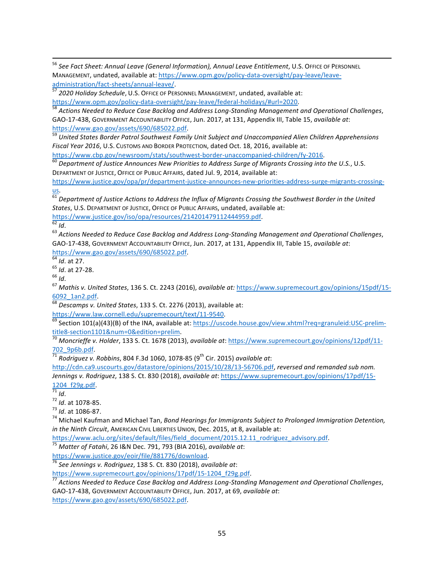<sup>56</sup> See Fact Sheet: Annual Leave (General Information), Annual Leave Entitlement, U.S. OFFICE OF PERSONNEL MANAGEMENT, undated, available at: https://www.opm.gov/policy-data-oversight/pay-leave/leaveadministration/fact-sheets/annual-leave/.<br><sup>57</sup> 2020 Holiday Schedule, U.S. OFFICE OF PERSONNEL MANAGEMENT, undated, available at:

https://www.opm.gov/policy-data-oversight/pay-leave/federal-holidays/#url=2020.<br><sup>58</sup> Actions Needed to Reduce Case Backlog and Address Long-Standing Management and Operational Challenges, GAO-17-438, GOVERNMENT ACCOUNTABILITY OFFICE, Jun. 2017, at 131, Appendix III, Table 15, *available at*:

<u> 1989 - Andrea Santa Andrea Andrea Andrea Andrea Andrea Andrea Andrea Andrea Andrea Andrea Andrea Andrea Andr</u>

https://www.gao.gov/assets/690/685022.pdf.<br><sup>59</sup> United States Border Patrol Southwest Family Unit Subject and Unaccompanied Alien Children Apprehensions Fiscal Year 2016, U.S. Customs AND BORDER PROTECTION, dated Oct. 18, 2016, available at:

https://www.cbp.gov/newsroom/stats/southwest-border-unaccompanied-children/fy-2016.<br><sup>60</sup> *Department of Justice Announces New Priorities to Address Surge of Migrants Crossing into the U.S.*, U.S. DEPARTMENT OF JUSTICE, OFFICE OF PUBLIC AFFAIRS, dated Jul. 9, 2014, available at:

https://www.justice.gov/opa/pr/department-justice-announces-new-priorities-address-surge-migrants-crossingus.<br><sup>61</sup> Department of Justice Actions to Address the Influx of Migrants Crossing the Southwest Border in the United

States, U.S. DEPARTMENT OF JUSTICE, OFFICE OF PUBLIC AFFAIRS, undated, available at:

https://www.justice.gov/iso/opa/resources/214201479112444959.pdf.<br><sup>62</sup> Id.<br><sup>63</sup> Actions Needed to Reduce Case Backlog and Address Long-Standing Management and Operational Challenges, GAO-17-438, GOVERNMENT ACCOUNTABILITY OFFICE, Jun. 2017, at 131, Appendix III, Table 15, *available at*:

https://www.gao.gov/assets/690/685022.pdf.<br><sup>64</sup> ld. at 27.<br><sup>65</sup> ld. at 27-28.<br><sup>66</sup> ld.<br><sup>67</sup> Mathis v. United States, 136 S. Ct. 2243 (2016), available at: https://www.supremecourt.gov/opinions/15pdf/15-6092\_1an2.pdf.<br><sup>68</sup> *Descamps v. United States*, 133 S. Ct. 2276 (2013), available at:

https://www.law.cornell.edu/supremecourt/text/11-9540.<br><sup>69</sup> Section 101(a)(43)(B) of the INA, available at: https://uscode.house.gov/view.xhtml?req=granuleid:USC-prelimtitle8-section1101&num=0&edition=prelim.<br><sup>70</sup> Moncrieffe v. Holder, 133 S. Ct. 1678 (2013), available at: https://www.supremecourt.gov/opinions/12pdf/11-

702\_9p6b.pdf.<br><sup>71</sup> Rodriguez v. Robbins, 804 F.3d 1060, 1078-85 (9<sup>th</sup> Cir. 2015) *available at*:

http://cdn.ca9.uscourts.gov/datastore/opinions/2015/10/28/13-56706.pdf, reversed and remanded sub nom. Jennings v. Rodriguez, 138 S. Ct. 830 (2018), *available at: https://www.supremecourt.gov/opinions/17pdf/15-*1204 f29g.pdf.<br>
<sup>71</sup> *Id.*<br>
<sup>72</sup> *Id.* at 1078-85.<br>
<sup>73</sup> *Id.* at 1086-87.<br>
<sup>74</sup> Michael Kaufman and Michael Tan, *Bond Hearings for Immigrants Subject to Prolonged Immigration Detention,* 

*in the Ninth Circuit*, AMERICAN CIVIL LIBERTIES UNION, Dec. 2015, at 8, available at:

https://www.aclu.org/sites/default/files/field document/2015.12.11 rodriguez advisory.pdf.<br><sup>75</sup> Matter of Fatahi, 26 I&N Dec. 791, 793 (BIA 2016), *available at*:

https://www.justice.gov/eoir/file/881776/download. <sup>76</sup> *See Jennings v. Rodriguez*, 138 S. Ct. 830 (2018), *available at*:

https://www.supremecourt.gov/opinions/17pdf/15-1204\_f29g.pdf.<br><sup>77</sup> Actions Needed to Reduce Case Backlog and Address Long-Standing Management and Operational Challenges, GAO-17-438, GOVERNMENT ACCOUNTABILITY OFFICE, Jun. 2017, at 69, *available at*:

https://www.gao.gov/assets/690/685022.pdf.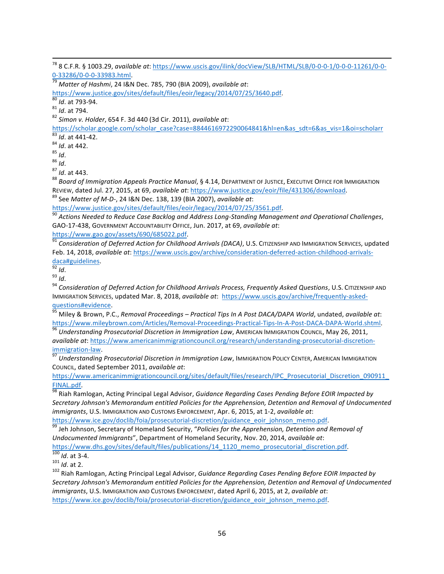<u> 1989 - Andrea Santa Andrea Andrea Andrea Andrea Andrea Andrea Andrea Andrea Andrea Andrea Andrea Andrea Andr</u> <sup>78</sup> 8 C.F.R. § 1003.29, *available at*: https://www.uscis.gov/ilink/docView/SLB/HTML/SLB/0-0-0-1/0-0-0-11261/0-0- 0-33286/0-0-0-33983.html.<br><sup>79</sup> Matter of Hashmi, 24 I&N Dec. 785, 790 (BIA 2009), available at:

https://www.justice.gov/sites/default/files/eoir/legacy/2014/07/25/3640.pdf.<br><sup>80</sup> *Id*. at 793-94.<br><sup>81</sup> *Id.* at 794.<br><sup>82</sup> *Simon v. Holder,* 654 F. 3d 440 (3d Cir. 2011), *available at*:

https://scholar.google.com/scholar\_case?case=8844616972290064841&hl=en&as\_sdt=6&as\_vis=1&oi=scholarr<br><sup>83</sup> Id. at 441-42.

84 *Id.* at 442.<br>
<sup>85</sup> *Id.*<br>
<sup>85</sup> *Id.*<br>
<sup>87</sup> *Id.* at 443.<br>
<sup>88</sup> Board of Immigration Appeals Practice Manual, § 4.14, DEPARTMENT OF JUSTICE, EXECUTIVE OFFICE FOR IMMIGRATION REVIEW, dated Jul. 27, 2015, at 69, *available at*: https://www.justice.gov/eoir/file/431306/download.<br><sup>89</sup> See *Matter of M-D-*, 24 I&N Dec. 138, 139 (BIA 2007), *available at*:

https://www.justice.gov/sites/default/files/eoir/legacy/2014/07/25/3561.pdf.<br><sup>90</sup> Actions Needed to Reduce Case Backlog and Address Long-Standing Management and Operational Challenges, GAO-17-438, GOVERNMENT ACCOUNTABILITY OFFICE, Jun. 2017, at 69, *available at*:

https://www.gao.gov/assets/690/685022.pdf.<br><sup>91</sup> Consideration of Deferred Action for Childhood Arrivals (DACA), U.S. CITIZENSHIP AND IMMIGRATION SERVICES, updated Feb. 14, 2018, *available at*: <u>https://www.uscis.gov/archive/consideration-deferred-action-childhood-arrivals-<br>daca#guidelines</u>.<br><sup>92</sup> *Id.* 

<sup>93</sup> Id.<br><sup>93</sup> Id.<br><sup>94</sup> Consideration of Deferred Action for Childhood Arrivals Process, Frequently Asked Questions, U.S. CITIZENSHIP AND IMMIGRATION SERVICES, updated Mar. 8, 2018, *available at:* https://www.uscis.gov/archive/frequently-asked-

questions#evidence.<br><sup>95</sup> Miley & Brown, P.C., *Removal Proceedings* – *Practical Tips In A Post DACA/DAPA World*, undated, *available at:*<br>https://www.mileybrown.com/Articles/Removal-Proceedings-Practical-Tips-In-A-Post-DA

<sup>96</sup> Understanding Prosecutorial Discretion in Immigration Law, American Immigration Council, May 26, 2011, *available at*: https://www.americanimmigrationcouncil.org/research/understanding-prosecutorial-discretionimmigration-law.<br><sup>97</sup> Understanding Prosecutorial Discretion in Immigration Law, IMMIGRATION POLICY CENTER, AMERICAN IMMIGRATION

COUNCIL, dated September 2011, *available at*:

https://www.americanimmigrationcouncil.org/sites/default/files/research/IPC\_Prosecutorial\_Discretion\_090911\_

FINAL.pdf.<br><sup>98</sup> Riah Ramlogan, Acting Principal Legal Advisor, *Guidance Regarding Cases Pending Before EOIR Impacted by* Secretary Johnson's Memorandum entitled Policies for the Apprehension, Detention and Removal of Undocumented *immigrants*, U.S. IMMIGRATION AND CUSTOMS ENFORCEMENT, Apr. 6, 2015, at 1-2, *available at*:

https://www.ice.gov/doclib/foia/prosecutorial-discretion/guidance\_eoir\_johnson\_memo.pdf.<br><sup>99</sup> Jeh Johnson, Secretary of Homeland Security, "*Policies for the Apprehension, Detention and Removal of* 

Undocumented Immigrants", Department of Homeland Security, Nov. 20, 2014, *available at:* https://www.dhs.gov/sites/default/files/publications/14 1120 memo prosecutorial discretion.pdf.<br>
100 Id. at 3-4.<br>
101 Id. at 2.<br>
<sup>101</sup> Riah Ramlogan, Acting Principal Legal Advisor, *Guidance Regarding Cases Pending Before* 

Secretary Johnson's Memorandum entitled Policies for the Apprehension, Detention and Removal of Undocumented *immigrants*, U.S. IMMIGRATION AND CUSTOMS ENFORCEMENT, dated April 6, 2015, at 2, *available at*: https://www.ice.gov/doclib/foia/prosecutorial-discretion/guidance\_eoir\_johnson\_memo.pdf.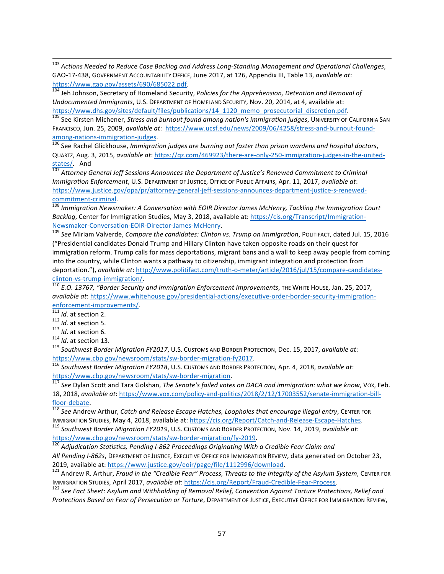<sup>103</sup> Actions Needed to Reduce Case Backlog and Address Long-Standing Management and Operational Challenges, GAO-17-438, GOVERNMENT ACCOUNTABILITY OFFICE, June 2017, at 126, Appendix III, Table 13, *available at*: https://www.gao.gov/assets/690/685022.pdf.<br><sup>104</sup> Jeh Johnson, Secretary of Homeland Security, *Policies for the Apprehension, Detention and Removal of* 

<u> 1989 - Andrea Santa Andrea Andrea Andrea Andrea Andrea Andrea Andrea Andrea Andrea Andrea Andrea Andrea Andr</u>

*Undocumented Immigrants*, U.S. DEPARTMENT OF HOMELAND SECURITY, Nov. 20, 2014, at 4, available at: https://www.dhs.gov/sites/default/files/publications/14\_1120\_memo\_prosecutorial\_discretion.pdf.<br><sup>105</sup> See Kirsten Michener, *Stress and burnout found among nation's immigration judges*, UNIVERSITY OF CALIFORNIA SAN

FRANCISCO, Jun. 25, 2009, *available at*: https://www.ucsf.edu/news/2009/06/4258/stress-and-burnout-foundamong-nations-immigration-judges.<br><sup>106</sup> See Rachel Glickhouse, *Immigration judges are burning out faster than prison wardens and hospital doctors*,

QUARTZ, Aug. 3, 2015, *available at*: https://qz.com/469923/there-are-only-250-immigration-judges-in-the-united-

states/. And<br><sup>107</sup> Attorney General Jeff Sessions Announces the Department of Justice's Renewed Commitment to Criminal *Immigration Enforcement*, U.S. DEPARTMENT OF JUSTICE, OFFICE OF PUBLIC AFFAIRS, Apr. 11, 2017, *available at:* https://www.justice.gov/opa/pr/attorney-general-jeff-sessions-announces-department-justice-s-renewedcommitment-criminal.<br><sup>108</sup> Immigration Newsmaker: A Conversation with EOIR Director James McHenry, Tackling the Immigration Court

*Backlog*, Center for Immigration Studies, May 3, 2018, available at: https://cis.org/Transcript/Immigration-

Newsmaker-Conversation-EOIR-Director-James-McHenry.<br><sup>109</sup> See Miriam Valverde, *Compare the candidates: Clinton vs. Trump on immigration*, POLITIFACT, dated Jul. 15, 2016 ("Presidential candidates Donald Trump and Hillary Clinton have taken opposite roads on their quest for immigration reform. Trump calls for mass deportations, migrant bans and a wall to keep away people from coming into the country, while Clinton wants a pathway to citizenship, immigrant integration and protection from deportation."), *available at:* http://www.politifact.com/truth-o-meter/article/2016/jul/15/compare-candidatesclinton-vs-trump-immigration/.<br><sup>110</sup> E.O. 13767, "Border Security and Immigration Enforcement Improvements, THE WHITE HOUSE, Jan. 25, 2017,

*available at*: https://www.whitehouse.gov/presidential-actions/executive-order-border-security-immigrationenforcement-improvements/.<br><sup>111</sup> /d. at section 2.<br><sup>112</sup> /d. at section 5.<br><sup>114</sup> /d. at section 6.<br><sup>114</sup> /d. at section 13.<br><sup>114</sup> *Id.* at section 13.<br><sup>115</sup> Southwest Border Migration FY2017, U.S. Customs and BORDER PROTEC

https://www.cbp.gov/newsroom/stats/sw-border-migration-fy2017.<br><sup>116</sup> Southwest Border Migration FY2018, U.S. Customs AND BORDER PROTECTION, Apr. 4, 2018, *available at*:

https://www.cbp.gov/newsroom/stats/sw-border-migration.<br><sup>117</sup> See Dylan Scott and Tara Golshan, *The Senate's failed votes on DACA and immigration:* what we know, Vox, Feb.

18, 2018, *available at:* https://www.vox.com/policy-and-politics/2018/2/12/17003552/senate-immigration-bill-

floor-debate.<br><sup>118</sup> See Andrew Arthur, *Catch and Release Escape Hatches, Loopholes that encourage illegal entry*, CENTER FOR IMMIGRATION STUDIES, May 4, 2018, available at: https://cis.org/Report/Catch-and-Release-Escape-Hatches.<br><sup>119</sup> Southwest Border Migration FY2019, U.S. CUSTOMS AND BORDER PROTECTION, Nov. 14, 2019, *available at*:

https://www.cbp.gov/newsroom/stats/sw-border-migration/fy-2019.<br><sup>120</sup> Adjudication Statistics, Pending I-862 Proceedings Originating With a Credible Fear Claim and

All Pending I-862s, DEPARTMENT OF JUSTICE, EXECUTIVE OFFICE FOR IMMIGRATION REVIEW, data generated on October 23, 2019, available at: https://www.justice.gov/eoir/page/file/1112996/download.<br><sup>121</sup> Andrew R. Arthur, *Fraud in the "Credible Fear" Process, Threats to the Integrity of the Asylum System, CENTER FOR* 

IMMIGRATION STUDIES, April 2017, available at: https://cis.org/Report/Fraud-Credible-Fear-Process.<br><sup>122</sup> See Fact Sheet: Asylum and Withholding of Removal Relief, Convention Against Torture Protections, Relief and

Protections Based on Fear of Persecution or Torture, DEPARTMENT OF JUSTICE, EXECUTIVE OFFICE FOR IMMIGRATION REVIEW,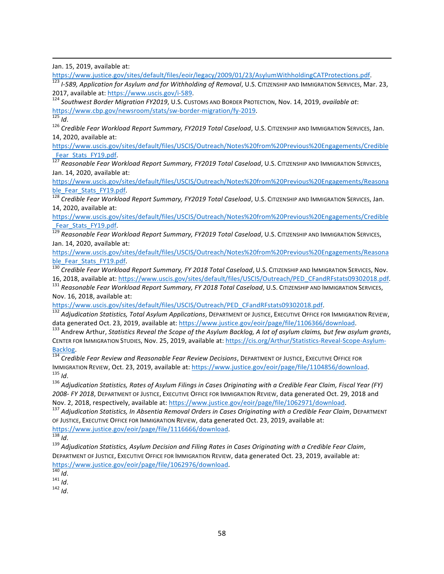Jan. 15, 2019, available at:<br>https://www.justice.gov/sites/default/files/eoir/legacy/2009/01/23/AsylumWithholdingCATProtections.pdf.

123 1-589, Application for Asylum and for Withholding of Removal, U.S. CITIZENSHIP AND IMMIGRATION SERVICES, Mar. 23,

<u> 1989 - Andrea Santa Andrea Andrea Andrea Andrea Andrea Andrea Andrea Andrea Andrea Andrea Andrea Andrea Andr</u>

2017, available at: <u>https://www.uscis.gov/i-589</u>.<br><sup>124</sup> Southwest Border Migration FY2019, U.S. Customs AND BORDER PROTECTION, Nov. 14, 2019, *available at*:<br>https://www.cbp.gov/newsroom/stats/sw-border-migration/fy-2019.

126 *Credible Fear Workload Report Summary, FY2019 Total Caseload, U.S. CITIZENSHIP AND IMMIGRATION SERVICES, Jan.* 14, 2020, available at:

https://www.uscis.gov/sites/default/files/USCIS/Outreach/Notes%20from%20Previous%20Engagements/Credible

Tear\_Stats\_FY19.pdf.<br><sup>127</sup> *Reasonable Fear Workload Report Summary, FY2019 Total Caseload,* U.S. CITIZENSHIP AND IMMIGRATION SERVICES, Jan. 14, 2020, available at:

https://www.uscis.gov/sites/default/files/USCIS/Outreach/Notes%20from%20Previous%20Engagements/Reasona

ble\_Fear\_Stats\_FY19.pdf.<br><sup>128</sup> Credible Fear Workload Report Summary, FY2019 Total Caseload, U.S. CITIZENSHIP AND IMMIGRATION SERVICES, Jan. 14, 2020, available at:

https://www.uscis.gov/sites/default/files/USCIS/Outreach/Notes%20from%20Previous%20Engagements/Credible

\_Fear\_Stats\_FY19.pdf. <sup>129</sup> *Reasonable Fear Workload Report Summary, FY2019 Total Caseload*, U.S. CITIZENSHIP AND IMMIGRATION SERVICES, Jan. 14, 2020, available at:

https://www.uscis.gov/sites/default/files/USCIS/Outreach/Notes%20from%20Previous%20Engagements/Reasona

ble\_Fear\_Stats\_FY19.pdf.<br><sup>130</sup> Credible Fear Workload Report Summary, FY 2018 Total Caseload, U.S. CITIZENSHIP AND IMMIGRATION SERVICES, Nov. 16, 2018, available at: https://www.uscis.gov/sites/default/files/USCIS/Outreach/PED\_CFandRFstats09302018.pdf.<br><sup>131</sup> Reasonable Fear Workload Report Summary, FY 2018 Total Caseload, U.S. CITIZENSHIP AND IMMIGRATION SERVICE

Nov. 16, 2018, available at:

https://www.uscis.gov/sites/default/files/USCIS/Outreach/PED\_CFandRFstats09302018.pdf.<br><sup>132</sup> Adjudication Statistics, Total Asylum Applications, DEPARTMENT OF JUSTICE, EXECUTIVE OFFICE FOR IMMIGRATION REVIEW,

data generated Oct. 23, 2019, available at: https://www.justice.gov/eoir/page/file/1106366/download.<br><sup>133</sup> Andrew Arthur, Statistics Reveal the Scope of the Asylum Backlog, A lot of asylum claims, but few asylum grants, CENTER FOR IMMIGRATION STUDIES, Nov. 25, 2019, available at: https://cis.org/Arthur/Statistics-Reveal-Scope-Asylum-

Backlog.<br><sup>134</sup> Credible Fear Review and Reasonable Fear Review Decisions, DEPARTMENT OF JUSTICE, EXECUTIVE OFFICE FOR IMMIGRATION REVIEW, Oct. 23, 2019, available at: https://www.justice.gov/eoir/page/file/1104856/download.<br><sup>135</sup> Id.<br><sup>136</sup> Adjudication Statistics, Rates of Asylum Filings in Cases Originating with a Credible Fear Claim, Fi

2008- FY 2018, DEPARTMENT OF JUSTICE, EXECUTIVE OFFICE FOR IMMIGRATION REVIEW, data generated Oct. 29, 2018 and Nov. 2, 2018, respectively, available at: https://www.justice.gov/eoir/page/file/1062971/download.<br><sup>137</sup> Adjudication Statistics, In Absentia Removal Orders in Cases Originating with a Credible Fear Claim, DEPARTMENT

OF JUSTICE, EXECUTIVE OFFICE FOR IMMIGRATION REVIEW, data generated Oct. 23, 2019, available at:<br>https://www.justice.gov/eoir/page/file/1116666/download.<br><sup>138</sup> Id.

<sup>139</sup> Adjudication Statistics, Asylum Decision and Filing Rates in Cases Originating with a Credible Fear Claim, DEPARTMENT OF JUSTICE, EXECUTIVE OFFICE FOR IMMIGRATION REVIEW, data generated Oct. 23, 2019, available at: https://www.justice.gov/eoir/page/file/1062976/download.<sup>140</sup> *Id*.<br><sup>141</sup> *Id*.<br><sup>141</sup> *Id*.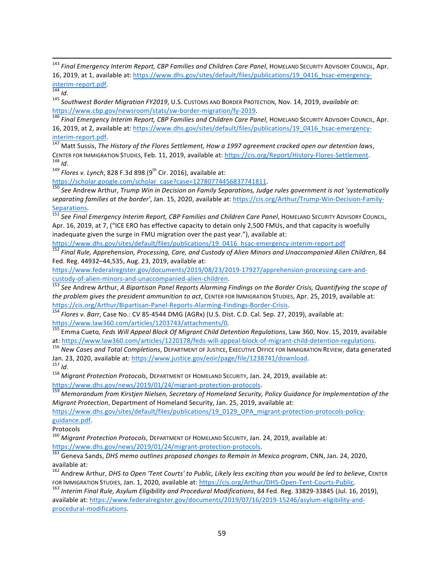<sup>143</sup> Final Emergency Interim Report, CBP Families and Children Care Panel, HOMELAND SECURITY ADVISORY COUNCIL, Apr. 16, 2019, at 1, available at: https://www.dhs.gov/sites/default/files/publications/19\_0416\_hsac-emergencyinterim-report.pdf.<br><sup>144</sup> *Id.*<br><sup>145</sup> Southwest Border Migration FY2019, U.S. Customs and Border Protection, Nov. 14, 2019, available at:

<u> 1989 - Andrea Santa Andrea Andrea Andrea Andrea Andrea Andrea Andrea Andrea Andrea Andrea Andrea Andrea Andr</u>

https://www.cbp.gov/newsroom/stats/sw-border-migration/fy-2019.<br><sup>146</sup> Final Emergency Interim Report, CBP Families and Children Care Panel, HOMELAND SECURITY ADVISORY COUNCIL, Apr.

16, 2019, at 2, available at: https://www.dhs.gov/sites/default/files/publications/19\_0416\_hsac-emergencyinterim-report.pdf.<br><sup>147</sup> Matt Sussis, *The History of the Flores Settlement, How a 1997 agreement cracked open our detention laws*,

CENTER FOR IMMIGRATION STUDIES, Feb. 11, 2019, available at: https://cis.org/Report/History-Flores-Settlement.<br><sup>148</sup> *Id*.<br><sup>149</sup> *Flores v. Lynch*, 828 F.3d 898 (9<sup>th</sup> Cir. 2016), available at:

https://scholar.google.com/scholar\_case?case=12780774456837741811.<br><sup>150</sup> See Andrew Arthur, *Trump Win in Decision on Family Separations, Judge rules government is not 'systematically* separating families at the border', Jan. 15, 2020, available at: https://cis.org/Arthur/Trump-Win-Decision-Family-

Separations.<br><sup>151</sup> See Final Emergency Interim Report, CBP Families and Children Care Panel, HOMELAND SECURITY ADVISORY COUNCIL, Apr. 16, 2019, at 7, ("ICE ERO has effective capacity to detain only 2,500 FMUs, and that capacity is woefully inadequate given the surge in FMU migration over the past year."), available at:<br>https://www.dhs.gov/sites/default/files/publications/19\_0416 hsac-emergency-interim-report.pdf

<sup>152</sup> Final Rule, Apprehension, Processing, Care, and Custody of Alien Minors and Unaccompanied Alien Children, 84 Fed. Reg. 44932-44,535, Aug. 23, 2019, available at:

https://www.federalregister.gov/documents/2019/08/23/2019-17927/apprehension-processing-care-and-

custody-of-alien-minors-and-unaccompanied-alien-children.<br><sup>153</sup> See Andrew Arthur, *A Bipartisan Panel Reports Alarming Findings on the Border Crisis, Quantifying the scope of the problem gives the president ammunition to act*, CENTER FOR IMMIGRATION STUDIES, Apr. 25, 2019, available at: https://cis.org/Arthur/Bipartisan-Panel-Reports-Alarming-Findings-Border-Crisis.<br><sup>154</sup> *Flores v. Barr*, Case No.: CV 85-4544 DMG (AGRx) (U.S. Dist. C.D. Cal. Sep. 27, 2019), available at:

https://www.law360.com/articles/1203743/attachments/0.<br><sup>155</sup> Emma Cueto, *Feds Will Appeal Block Of Migrant Child Detention Regulations*, Law 360, Nov. 15, 2019, available<br>at: https://www.law360.com/articles/1220178/feds-w

156 New Cases and Total Completions, DEPARTMENT OF JUSTICE, EXECUTIVE OFFICE FOR IMMIGRATION REVIEW, data generated

Jan. 23, 2020, available at: <u>https://www.justice.gov/eoir/page/file/1238741/download</u>.<br>
<sup>157</sup> *Id.*<br> *Migrant Protection Protocols*, DEPARTMENT OF HOMELAND SECURITY, Jan. 24, 2019, available at:<br>
https://www.dhs.gov/news/

159 Memorandum from Kirstjen Nielsen, Secretary of Homeland Security, Policy Guidance for Implementation of the *Migrant Protection*, Department of Homeland Security, Jan. 25, 2019, available at:

https://www.dhs.gov/sites/default/files/publications/19\_0129\_OPA\_migrant-protection-protocols-policyguidance.pdf. 

Protocols

<sup>160</sup> Migrant Protection Protocols, DEPARTMENT OF HOMELAND SECURITY, Jan. 24, 2019, available at:

https://www.dhs.gov/news/2019/01/24/migrant-protection-protocols.<br><sup>161</sup> Geneva Sands, *DHS memo outlines proposed changes to Remain in Mexico program*, CNN, Jan. 24, 2020, available at:

<sup>162</sup> Andrew Arthur, *DHS to Open 'Tent Courts' to Public, Likely less exciting than you would be led to believe, CENTER<br>FOR IMMIGRATION STUDIES, Jan. 1, 2020, available at: https://cis.org/Arthur/DHS-Open-Tent-Courts-Publ* 

<sup>163</sup> Interim Final Rule, Asylum Eligibility and Procedural Modifications, 84 Fed. Reg. 33829-33845 (Jul. 16, 2019), available at: https://www.federalregister.gov/documents/2019/07/16/2019-15246/asylum-eligibility-andprocedural-modifications.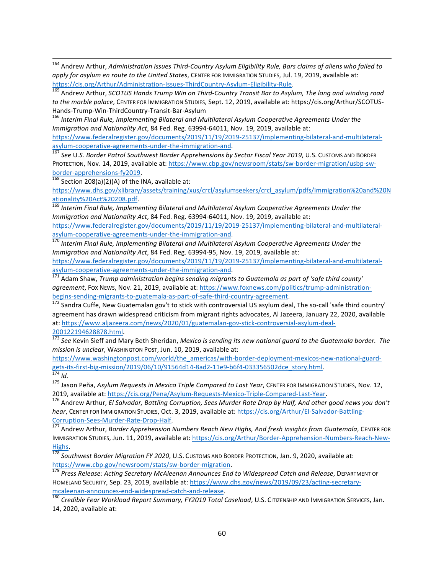<sup>164</sup> Andrew Arthur, Administration Issues Third-Country Asylum Eligibility Rule, Bars claims of aliens who failed to apply for asylum en route to the United States, CENTER FOR IMMIGRATION STUDIES, Jul. 19, 2019, available at: https://cis.org/Arthur/Administration-Issues-ThirdCountry-Asylum-Eligibility-Rule.<br><sup>165</sup> Andrew Arthur, *SCOTUS Hands Trump Win on Third-Country Transit Bar to Asylum, The long and winding road* 

<u> 1989 - Andrea Santa Andrea Andrea Andrea Andrea Andrea Andrea Andrea Andrea Andrea Andrea Andrea Andrea Andr</u>

to the marble palace, CENTER FOR IMMIGRATION STUDIES, Sept. 12, 2019, available at: https://cis.org/Arthur/SCOTUS-

Hands-Trump-Win-ThirdCountry-Transit-Bar-Asylum<br><sup>166</sup> Interim Final Rule, Implementing Bilateral and Multilateral Asylum Cooperative Agreements Under the *Immigration and Nationality Act*, 84 Fed. Reg. 63994-64011, Nov. 19, 2019, available at:

https://www.federalregister.gov/documents/2019/11/19/2019-25137/implementing-bilateral-and-multilateralasylum-cooperative-agreements-under-the-immigration-and.<br><sup>167</sup> See U.S. Border Patrol Southwest Border Apprehensions by Sector Fiscal Year 2019, U.S. Customs AND BORDER

PROTECTION, Nov. 14, 2019, available at: https://www.cbp.gov/newsroom/stats/sw-border-migration/usbp-swborder-apprehensions-fy2019.<br> $\frac{168}{168}$  Section 208(a)(2)(A) of the INA, available at:

https://www.dhs.gov/xlibrary/assets/training/xus/crcl/asylumseekers/crcl\_asylum/pdfs/Immigration%20and%20N ationality%20Act%20208.pdf.<br><sup>169</sup> Interim Final Rule, Implementing Bilateral and Multilateral Asylum Cooperative Agreements Under the

*Immigration and Nationality Act*, 84 Fed. Reg. 63994-64011, Nov. 19, 2019, available at:

https://www.federalregister.gov/documents/2019/11/19/2019-25137/implementing-bilateral-and-multilateral-<br>asylum-cooperative-agreements-under-the-immigration-and-<br><sup>170</sup> Interim Final Bula Junctus (i.e. 2011)

Interim Final Rule, Implementing Bilateral and Multilateral Asylum Cooperative Agreements Under the *Immigration and Nationality Act*, 84 Fed. Reg. 63994-95, Nov. 19, 2019, available at:

https://www.federalregister.gov/documents/2019/11/19/2019-25137/implementing-bilateral-and-multilateralasylum-cooperative-agreements-under-the-immigration-and.<br><sup>171</sup> Adam Shaw, *Trump administration begins sending migrants to Guatemala as part of 'safe third county'* 

agreement, Fox News, Nov. 21, 2019, available at: https://www.foxnews.com/politics/trump-administrationbegins-sending-migrants-to-guatemala-as-part-of-safe-third-country-agreement.<br><sup>172</sup> Sandra Cuffe, New Guatemalan gov't to stick with controversial US asylum deal, The so-call 'safe third country'

agreement has drawn widespread criticism from migrant rights advocates, Al Jazeera, January 22, 2020, available at: https://www.aljazeera.com/news/2020/01/guatemalan-gov-stick-controversial-asylum-deal-200122194628878.html.<br><sup>173</sup> See Kevin Sieff and Mary Beth Sheridan, *Mexico is sending its new national guard to the Guatemala border. The* 

*mission is unclear*, WASHINGTON POST, Jun. 10, 2019, available at:

https://www.washingtonpost.com/world/the\_americas/with-border-deployment-mexicos-new-national-guardgets-its-first-big-mission/2019/06/10/91564d14-8ad2-11e9-b6f4-033356502dce story.html.<br>174 Id.<br>175 Jason Peña, Asylum Requests in Mexico Triple Compared to Last Year, CENTER FOR IMMIGRATION STUDIES, Nov. 12,

2019, available at: https://cis.org/Pena/Asylum-Requests-Mexico-Triple-Compared-Last-Year.<br><sup>176</sup> Andrew Arthur, *El Salvador, Battling Corruption, Sees Murder Rate Drop by Half, And other good news you don't hear*, CENTER FOR IMMIGRATION STUDIES, Oct. 3, 2019, available at: https://cis.org/Arthur/El-Salvador-Battling-Corruption-Sees-Murder-Rate-Drop-Half.<br><sup>177</sup> Andrew Arthur, *Border Apprehension Numbers Reach New Highs, And fresh insights from Guatemala*, CENTER FOR

IMMIGRATION STUDIES, Jun. 11, 2019, available at: https://cis.org/Arthur/Border-Apprehension-Numbers-Reach-New-

Highs.<br><sup>178</sup> Southwest Border Migration FY 2020, U.S. Customs and Border Protection, Jan. 9, 2020, available at: https://www.cbp.gov/newsroom/stats/sw-border-migration.<br><sup>179</sup> Press Release: Acting Secretary McAleenan Announces End to Widespread Catch and Release, DEPARTMENT OF

HOMELAND SECURITY, Sep. 23, 2019, available at: https://www.dhs.gov/news/2019/09/23/acting-secretarymcaleenan-announces-end-widespread-catch-and-release.<br><sup>180</sup> Credible Fear Workload Report Summary, FY2019 Total Caseload, U.S. CITIZENSHIP AND IMMIGRATION SERVICES, Jan.

14, 2020, available at: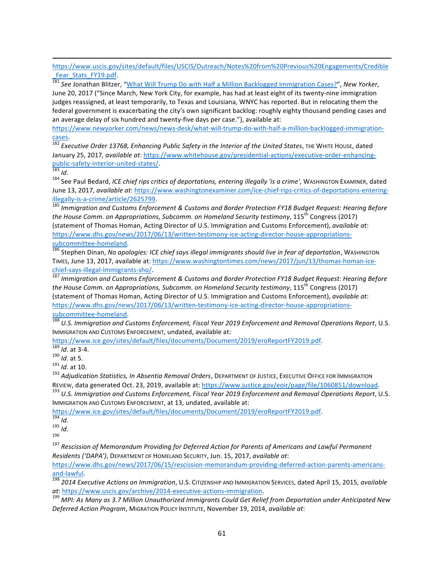<u> 1989 - Andrea Santa Andrea Andrea Andrea Andrea Andrea Andrea Andrea Andrea Andrea Andrea Andrea Andrea Andr</u> https://www.uscis.gov/sites/default/files/USCIS/Outreach/Notes%20from%20Previous%20Engagements/Credible

\_Fear\_Stats\_FY19.pdf. <sup>181</sup> *See* Jonathan Blitzer, "What Will Trump Do with Half a Million Backlogged Immigration Cases?", *New Yorker*, June 20, 2017 ("Since March, New York City, for example, has had at least eight of its twenty-nine immigration judges reassigned, at least temporarily, to Texas and Louisiana, WNYC has reported. But in relocating them the federal government is exacerbating the city's own significant backlog: roughly eighty thousand pending cases and an average delay of six hundred and twenty-five days per case."), available at:

https://www.newyorker.com/news/news-desk/what-will-trump-do-with-half-a-million-backlogged-immigration-

Cases.<br><sup>182</sup> Executive Order 13768, Enhancing Public Safety in the Interior of the United States, THE WHITE HOUSE, dated January 25, 2017, available at: https://www.whitehouse.gov/presidential-actions/executive-order-enhancing-<br>public-safety-interior-united-states/.

public-safety-interior-united-states-states-states-states-states-states-states-stated-stated-stated-stated-stated-stated-stated-stated-stated-stated-stated-stated-stated-stated-stated-stated-stated-stated-stated-stated-sta June 13, 2017, *available at*: https://www.washingtonexaminer.com/ice-chief-rips-critics-of-deportations-enteringillegally-is-a-crime/article/2625799.<br><sup>185</sup> Immigration and Customs Enforcement & Customs and Border Protection FY18 Budget Request: Hearing Before

*the House Comm. on Appropriations, Subcomm. on Homeland Security testimony,* 115<sup>th</sup> Congress (2017) (statement of Thomas Homan, Acting Director of U.S. Immigration and Customs Enforcement), *available at:* https://www.dhs.gov/news/2017/06/13/written-testimony-ice-acting-director-house-appropriationssubcommittee-homeland.<br><sup>186</sup> Stephen Dinan, *No apologies: ICE chief says illegal immigrants should live in fear of deportation*, WASHINGTON

TIMES, June 13, 2017, available at: https://www.washingtontimes.com/news/2017/jun/13/thomas-homan-icechief-says-illegal-immigrants-sho/.<br><sup>187</sup> Immigration and Customs Enforcement & Customs and Border Protection FY18 Budget Request: Hearing Before

the House Comm. on Appropriations, Subcomm. on Homeland Security testimony, 115<sup>th</sup> Congress (2017) (statement of Thomas Homan, Acting Director of U.S. Immigration and Customs Enforcement), *available at*: https://www.dhs.gov/news/2017/06/13/written-testimony-ice-acting-director-house-appropriationssubcommittee-homeland.<br><sup>188</sup> U.S. Immigration and Customs Enforcement, Fiscal Year 2019 Enforcement and Removal Operations Report, U.S.

IMMIGRATION AND CUSTOMS ENFORCEMENT, undated, available at:

https://www.ice.gov/sites/default/files/documents/Document/2019/eroReportFY2019.pdf.<br><sup>189</sup> *ld.* at 3-4.<br><sup>190</sup> *ld.* at 5.<br><sup>191</sup> *ld.* at 10.<br><sup>192</sup> Adjudication Statistics, In Absentia Removal Orders, DEPARTMENT OF JUSTICE REVIEW, data generated Oct. 23, 2019, available at: https://www.justice.gov/eoir/page/file/1060851/download.<br><sup>193</sup> U.S. Immigration and Customs Enforcement, Fiscal Year 2019 Enforcement and Removal Operations Report, U.S.

IMMIGRATION AND CUSTOMS ENFORCEMENT, at 13, undated, available at:

https://www.ice.gov/sites/default/files/documents/Document/2019/eroReportFY2019.pdf.<br>
194 *Id*.<br>
195 *Id*.

<sup>197</sup> Rescission of Memorandum Providing for Deferred Action for Parents of Americans and Lawful Permanent *Residents ('DAPA')*, DEPARTMENT OF HOMELAND SECURITY, Jun. 15, 2017, *available at:* 

https://www.dhs.gov/news/2017/06/15/rescission-memorandum-providing-deferred-action-parents-americansand-lawful.<br><sup>198</sup> 2014 Executive Actions on Immigration, U.S. CITIZENSHIP AND IMMIGRATION SERVICES, dated April 15, 2015, *available* 

at: <u>https://www.uscis.gov/archive/2014-executive-actions-immigration</u>.<br><sup>199</sup> MPI: As Many as 3.7 Million Unauthorized Immigrants Could Get Relief from Deportation under Anticipated New *Deferred Action Program*, MIGRATION POLICY INSTITUTE, November 19, 2014, *available at*: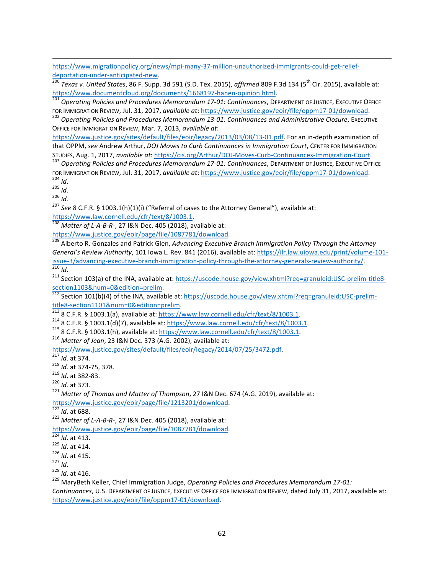https://www.migrationpolicy.org/news/mpi-many-37-million-unauthorized-immigrants-could-get-reliefdeportation-under-anticipated-new.<br><sup>200</sup> Texas v. United States, 86 F. Supp. 3d 591 (S.D. Tex. 2015), affirmed 809 F.3d 134 (5<sup>th</sup> Cir. 2015), available at:

https://www.documentcloud.org/documents/1668197-hanen-opinion.html.<br><sup>201</sup> Operating Policies and Procedures Memorandum 17-01: Continuances, DEPARTMENT OF JUSTICE, EXECUTIVE OFFICE

<u> 1989 - Andrea Santa Andrea Andrea Andrea Andrea Andrea Andrea Andrea Andrea Andrea Andrea Andrea Andrea Andr</u>

FOR IMMIGRATION REVIEW, Jul. 31, 2017, available at: https://www.justice.gov/eoir/file/oppm17-01/download.<br><sup>202</sup> Operating Policies and Procedures Memorandum 13-01: Continuances and Administrative Closure, Executive

OFFICE FOR IMMIGRATION REVIEW, Mar. 7, 2013, *available at*:

https://www.justice.gov/sites/default/files/eoir/legacy/2013/03/08/13-01.pdf. For an in-depth examination of that OPPM, see Andrew Arthur, *DOJ Moves to Curb Continuances in Immigration Court*, CENTER FOR IMMIGRATION

STUDIES, Aug. 1, 2017, available at: https://cis.org/Arthur/DOJ-Moves-Curb-Continuances-Immigration-Court.<br><sup>203</sup> Operating Policies and Procedures Memorandum 17-01: Continuances, DEPARTMENT OF JUSTICE, EXECUTIVE OFFICE<br>FOR

<sup>204</sup> *Id.*<br><sup>205</sup> *Id.*<br><sup>206</sup> *Id.*<br><sup>206</sup> *Id.*<br><sup>207</sup> See 8 C.F.R. § 1003.1(h)(1)(i) ("Referral of cases to the Attorney General"), available at:

https://www.law.cornell.edu/cfr/text/8/1003.1.<br><sup>208</sup> *Matter of L-A-B-R-*, 27 I&N Dec. 405 (2018), available at:<br>https://www.justice.gov/eoir/page/file/1087781/download.<br><sup>209</sup> Alberta D.C.

)<br>Alberto R. Gonzales and Patrick Glen, *Advancing Executive Branch Immigration Policy Through the Attorney* General's Review Authority, 101 Iowa L. Rev. 841 (2016), available at: https://ilr.law.uiowa.edu/print/volume-101issue-3/advancing-executive-branch-immigration-policy-through-the-attorney-generals-review-authority/<br>
210 Id.<br>
211 Section 103(a) of the INA, available at: https://uscode.house.gov/view.xhtml?req=granuleid:USC-prelim-titl

section1103&num=0&edition=prelim.<br><sup>212</sup> Section 101(b)(4) of the INA, available at: https://uscode.house.gov/view.xhtml?req=granuleid:USC-prelim-

title8-section1101&num=0&edition=prelim.<br>
<sup>213</sup> 8 C.F.R. § 1003.1(a), available at: https://www.law.cornell.edu/cfr/text/8/1003.1.<br>
<sup>214</sup> 8 C.F.R. § 1003.1(d)(7), available at: https://www.law.cornell.edu/cfr/text/8/1003.

https://www.justice.gov/sites/default/files/eoir/legacy/2014/07/25/3472.pdf.<br>
<sup>217</sup> Id. at 374-75, 378.<br>
<sup>218</sup> Id. at 382-83.<br>
<sup>219</sup> Id. at 382-83.<br>
<sup>219</sup> Id. at 373.<br>
<sup>210</sup> Id. at 373. https://www.justice.gov/eoir/page/file/1213201/download.<br><sup>222</sup> *Id.* at 688.<br><sup>223</sup> *Matter of L-A-B-R-*, 27 I&N Dec. 405 (2018), available at:

https://www.justice.gov/eoir/page/file/1087781/download.<br>
224 Id. at 413.<br>
225 Id. at 414.<br>
226 Id. at 415.<br>
227 Id.<br>
228 Id. at 416.<br>
228 Id. at 416.<br>
228 Id. at 416. *Continuances*, U.S. DEPARTMENT OF JUSTICE, EXECUTIVE OFFICE FOR IMMIGRATION REVIEW, dated July 31, 2017, available at: https://www.justice.gov/eoir/file/oppm17-01/download.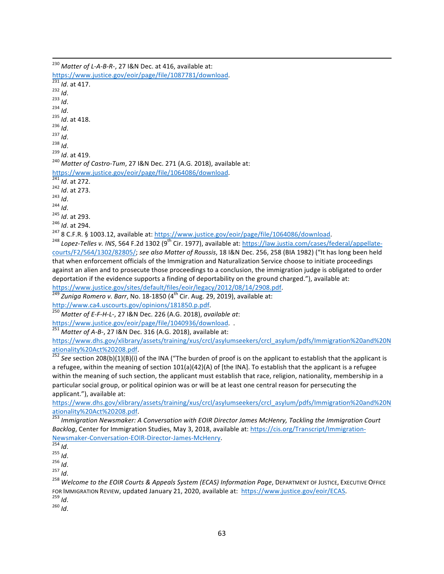<sup>230</sup> Matter of L-A-B-R-, 27 I&N Dec. at 416, available at: https://www.justice.gov/eoir/page/file/1087781/download.<br>
231 /d. at 417.<br>
232 /d.<br>
233 /d.<br>
234 /d.<br>
236 /d.<br>
236 /d.<br>
236 /d.<br>
236 /d.<br>
237 /d.<br>
238 /d.<br>
238 /d.<br>
238 /d.<br>
238 /d.<br>
238 /d.<br>
239 /d.<br>
238 /d.<br>
239 /d.<br>
238 <sup>242</sup> *Id.* at 273.<br>
<sup>243</sup> *Id.*<br>
<sup>244</sup> *Id.*<br>
<sup>245</sup> *Id.* at 293.<br>
<sup>246</sup> *Id.* at 294.<br>
<sup>247</sup> 8 C.F.R. § 1003.12, available at: <u>https://www.justice.gov/eoir/page/file/1064086/download.</u><br>
<sup>247</sup> 8 C.F.R. § 1003.12, availa courts/F2/564/1302/82805/; see also Matter of Roussis, 18 I&N Dec. 256, 258 (BIA 1982) ("It has long been held that when enforcement officials of the Immigration and Naturalization Service choose to initiate proceedings against an alien and to prosecute those proceedings to a conclusion, the immigration judge is obligated to order deportation if the evidence supports a finding of deportability on the ground charged."), available at: https://www.justice.gov/sites/default/files/eoir/legacy/2012/08/14/2908.pdf.<br><sup>249</sup> *Zuniga Romero v. Barr*, No. 18-1850 (4<sup>th</sup> Cir. Aug. 29, 2019), available at: http://www.ca4.uscourts.gov/opinions/181850.p.pdf.<br><sup>250</sup> *Matter of E-F-H-L-*, 27 I&N Dec. 226 (A.G. 2018), *available at*:<br>https://www.justice.gov/eoir/page/file/1040936/download. <sup>251</sup> Matter of A-B-, 27 I&N Dec. 316 (A.G. 2018), available at: https://www.dhs.gov/xlibrary/assets/training/xus/crcl/asylumseekers/crcl\_asylum/pdfs/Immigration%20and%20N ationality%20Act%20208.pdf.<br>
<sup>252</sup> See section 208(b)(1)(B)(i) of the INA ("The burden of proof is on the applicant to establish that the applicant is a refugee, within the meaning of section  $101(a)(42)(A)$  of [the INA]. To establish that the applicant is a refugee within the meaning of such section, the applicant must establish that race, religion, nationality, membership in a particular social group, or political opinion was or will be at least one central reason for persecuting the applicant."), available at: https://www.dhs.gov/xlibrary/assets/training/xus/crcl/asylumseekers/crcl\_asylum/pdfs/Immigration%20and%20N<br>ationality%20Act%20208.pdf. <sup>253</sup> Immigration Newsmaker: A Conversation with EOIR Director James McHenry, Tackling the Immigration Court *Backlog*, Center for Immigration Studies, May 3, 2018, available at: https://cis.org/Transcript/Immigration-Newsmaker-Conversation-EOIR-Director-James-McHenry.<br>
<sup>254</sup> Id.<br>
<sup>255</sup> Id.<br>
<sup>257</sup> Id.<br>
<sup>257</sup> Id.<br>
<sup>258</sup> Welcome to the EOIR Courts & Appeals System (ECAS) Information Page, DEPARTMENT OF JUSTICE, EXECUTIVE OFFICE

<u> 1989 - Andrea Santa Alemania, amerikana amerikana amerikana amerikana amerikana amerikana amerikana amerikan</u>

FOR IMMIGRATION REVIEW, updated January 21, 2020, available at: https://www.justice.gov/eoir/ECAS.<br><sup>259</sup> *Id*.<br><sup>260</sup> *Id*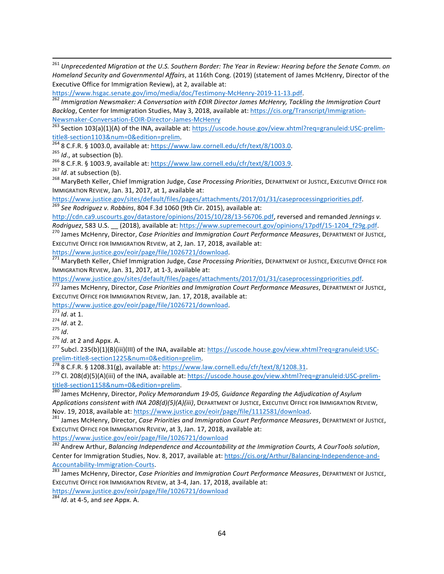<sup>261</sup> Unprecedented Migration at the U.S. Southern Border: The Year in Review: Hearing before the Senate Comm. on *Homeland Security and Governmental Affairs*, at 116th Cong. (2019) (statement of James McHenry, Director of the Executive Office for Immigration Review), at 2, available at:

<u> 1989 - Andrea Santa Alemania, amerikana amerikana amerikana amerikana amerikana amerikana amerikana amerikan</u>

https://www.hsgac.senate.gov/imo/media/doc/Testimony-McHenry-2019-11-13.pdf.<br><sup>262</sup> Immigration Newsmaker: A Conversation with EOIR Director James McHenry, Tackling the Immigration Court *Backlog*, Center for Immigration Studies, May 3, 2018, available at: https://cis.org/Transcript/Immigration-

Newsmaker-Conversation-EOIR-Director-James-McHenry<br><sup>263</sup> Section 103(a)(1)(A) of the INA, available at: <u>https://uscode.house.gov/view.xhtml?req=granuleid:USC-prelim-</u><br>title8-section1103&num=0&edition=prelim.

 $\frac{264}{264}$  8 C.F.R. § 1003.0, available at: https://www.law.cornell.edu/cfr/text/8/1003.0.<br>
265 *Id.*, at subsection (b).<br>
<sup>265</sup> 8 C.F.R. § 1003.9, available at: https://www.law.cornell.edu/cfr/text/8/1003.9.<br>
<sup>267</sup> *I* IMMIGRATION REVIEW, Jan. 31, 2017, at 1, available at:

https://www.justice.gov/sites/default/files/pages/attachments/2017/01/31/caseprocessingpriorities.pdf.<br><sup>269</sup> See *Rodriguez* v. *Robbins*, 804 F.3d 1060 (9th Cir. 2015), available at:

http://cdn.ca9.uscourts.gov/datastore/opinions/2015/10/28/13-56706.pdf, reversed and remanded *Jennings v.* Rodriguez, 583 U.S. \_\_ (2018), available at: https://www.supremecourt.gov/opinions/17pdf/15-1204 f29g.pdf.<br><sup>270</sup> James McHenry, Director, Case Priorities and Immigration Court Performance Measures, DEPARTMENT OF JUSTICE,

EXECUTIVE OFFICE FOR IMMIGRATION REVIEW, at 2, Jan. 17, 2018, available at:

https://www.justice.gov/eoir/page/file/1026721/download.<br><sup>271</sup> MaryBeth Keller, Chief Immigration Judge, *Case Processing Priorities*, DEPARTMENT OF JUSTICE, EXECUTIVE OFFICE FOR IMMIGRATION REVIEW, Jan. 31, 2017, at 1-3, available at:<br>https://www.justice.gov/sites/default/files/pages/attachments/2017/01/31/caseprocessingpriorities.pdf.

**https://www.fries/defaulter/files/defaulter/files/andingages/attachments/**<br><sup>272</sup> James McHenry, Director, Case Priorities and Immigration Court Performance Measures, DEPARTMENT OF JUSTICE, EXECUTIVE OFFICE FOR IMMIGRATION REVIEW, Jan. 17, 2018, available at:

https://www.justice.gov/eoir/page/file/1026721/download.<br>
273 Id. at 1.<br>
274 Id. at 2.<br>
275 Id.<br>
276 Id. at 2 and Appx. A.<br>
277 Subcl. 235(b)(1)(B)(iii)(III) of the INA, available at: https://uscode.house.gov/view.xhtml?re prelim-title8-section1225&num=0&edition=prelim.<br><sup>278</sup> 8 C.F.R. § 1208.31(g), available at: https://www.law.cornell.edu/cfr/text/8/1208.31.<br><sup>279</sup> Cl. 208(d)(5)(A)(iii) of the INA, available at: https://uscode.house.gov/view

title8-section1158&num=0&edition=prelim.<br><sup>280</sup> James McHenry, Director, *Policy Memorandum 19-05, Guidance Regarding the Adjudication of Asylum* Applications consistent with INA 208(d)(5)(A)(iii), DEPARTMENT OF JUSTICE, EXECUTIVE OFFICE FOR IMMIGRATION REVIEW, Nov. 19, 2018, available at: *https://www.justice.gov/eoir/page/file/1112581/download.*<br><sup>281</sup> James McHenry, Director, *Case Priorities and Immigration Court Performance Measures*, DEPARTMENT OF JUSTICE,

EXECUTIVE OFFICE FOR IMMIGRATION REVIEW, at 3, Jan. 17, 2018, available at:

https://www.justice.gov/eoir/page/file/1026721/download

<sup>282</sup> Andrew Arthur, Balancing Independence and Accountability at the Immigration Courts, A CourTools solution, Center for Immigration Studies, Nov. 8, 2017, available at: https://cis.org/Arthur/Balancing-Independence-and-Accountability-Immigration-Courts.<br><sup>283</sup> James McHenry, Director, *Case Priorities and Immigration Court Performance Measures*, DEPARTMENT OF JUSTICE,

EXECUTIVE OFFICE FOR IMMIGRATION REVIEW, at 3-4, Jan. 17, 2018, available at:

https://www.justice.gov/eoir/page/file/1026721/download

 $\overline{^{284}$  *Id.* at 4-5, and *see* Appx. A.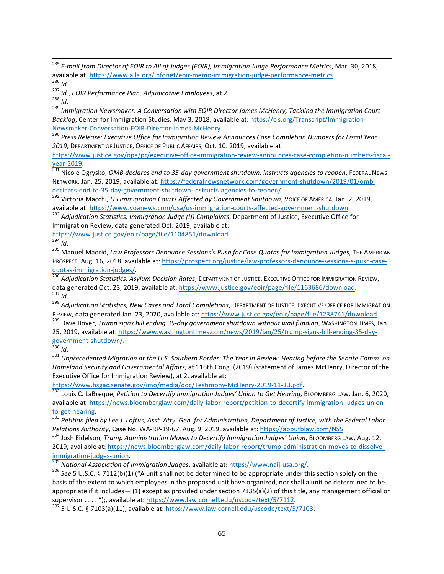<sup>285</sup> E-mail from Director of EOIR to All of Judges (EOIR), Immigration Judge Performance Metrics, Mar. 30, 2018, available at: https://www.aila.org/infonet/eoir-memo-immigration-judge-performance-metrics.<br>
<sup>286</sup> Id.<br>
<sup>287</sup> Id., EOIR Performance Plan, Adjudicative Employees, at 2.<br>
<sup>283</sup> Id.<br>
<sup>289</sup> Immigration Newsmaker: A Conversatio

<u> 1989 - Andrea Santa Alemania, amerikana amerikana amerikana amerikana amerikana amerikana amerikana amerikan</u>

*Backlog*, Center for Immigration Studies, May 3, 2018, available at: https://cis.org/Transcript/Immigration-Newsmaker-Conversation-EOIR-Director-James-McHenry.<br><sup>290</sup> Press Release: Executive Office for Immigration Review Announces Case Completion Numbers for Fiscal Year

2019, DEPARTMENT OF JUSTICE, OFFICE OF PUBLIC AFFAIRS, Oct. 10. 2019, available at:

https://www.justice.gov/opa/pr/executive-office-immigration-review-announces-case-completion-numbers-fiscalyear-2019.<br><sup>291</sup> Nicole Ogrysko, *OMB declares end to 35-day government shutdown, instructs agencies to reopen, FEDERAL NEWS* 

NETWORK, Jan. 25, 2019, available at: https://federalnewsnetwork.com/government-shutdown/2019/01/omb-

declares-end-to-35-day-government-shutdown-instructs-agencies-to-reopen/.<br><sup>292</sup> Victoria Macchi, *US Immigration Courts Affected by Government Shutdown*, Voice of America, Jan. 2, 2019,<br>available at: https://www.voanews.co

<sup>293</sup> Adiudication Statistics, Immigration Judge (IJ) Complaints, Department of Justice, Executive Office for

Immigration Review, data generated Oct. 2019, available at:<br>
https://www.justice.gov/eoir/page/file/1104851/download.<br>
<sup>294</sup> Id.

<sup>295</sup> Manuel Madrid, Law Professors Denounce Sessions's Push for Case Quotas for Immigration Judges, THE AMERICAN PROSPECT, Aug. 16, 2018, available at: https://prospect.org/justice/law-professors-denounce-sessions-s-push-case-

quotas-immigration-judges/.<br><sup>296</sup> *Adjudication Statistics, Asylum Decision Rates*, DEPARTMENT OF JUSTICE, EXECUTIVE OFFICE FOR IMMIGRATION REVIEW,<br>data generated Oct. 23, 2019, available at: https://www.justice.gov/eoir/p

<sup>297</sup> Id.<br><sup>298</sup> Adjudication Statistics, New Cases and Total Completions, DEPARTMENT OF JUSTICE, EXECUTIVE OFFICE FOR IMMIGRATION REVIEW, data generated Jan. 23, 2020, available at: https://www.justice.gov/eoir/page/file/1238741/download.<br><sup>299</sup> Dave Boyer, *Trump signs bill ending 35-day government shutdown without wall funding*, WASHINGTON TIMES, Ja

25, 2019, available at: https://www.washingtontimes.com/news/2019/jan/25/trump-signs-bill-ending-35-day-

government-shutdown/.<br><sup>300</sup> Id.<br><sup>301</sup> Unprecedented Migration at the U.S. Southern Border: The Year in Review: Hearing before the Senate Comm. on *Homeland Security and Governmental Affairs*, at 116th Cong. (2019) (statement of James McHenry, Director of the Executive Office for Immigration Review), at 2, available at:<br>https://www.hsgac.senate.gov/imo/media/doc/Testimony-McHenry-2019-11-13.pdf.

<sup>302</sup> Louis C. LaBreque, *Petition to Decertify Immigration Judges' Union to Get Hearing*, BLOOMBERG LAW, Jan. 6, 2020, available at: https://news.bloomberglaw.com/daily-labor-report/petition-to-decertify-immigration-judges-unionto-get-hearing.<br><sup>303</sup> Petition filed by Lee J. Loftus, Asst. Atty. Gen. for Administration, Department of Justice, with the Federal Labor

*Relations Authority*, Case No. WA-RP-19-67, Aug. 9, 2019, available at: *https://aboutblaw.com/NS5.* 304 Josh Eidelson, *Trump Administration Moves to Decertify Immigration Judges' Union*, BLOOMBERG LAW, Aug. 12, 2019, available at: https://news.bloomberglaw.com/daily-labor-report/trump-administration-moves-to-dissolveimmigration-judges-union.<br><sup>305</sup> National Association of Immigration Judges, available at: https://www.naij-usa.org/.<br><sup>306</sup> See 5 U.S.C. § 7112(b)(1) ("A unit shall not be determined to be appropriate under this section sol

basis of the extent to which employees in the proposed unit have organized, nor shall a unit be determined to be appropriate if it includes— (1) except as provided under section 7135(a)(2) of this title, any management official or supervisor . . . . ");, available at: https://www.law.cornell.edu/uscode/text/5/7112.<br><sup>307</sup> 5 U.S.C. § 7103(a)(11), available at: https://www.law.cornell.edu/uscode/text/5/7103.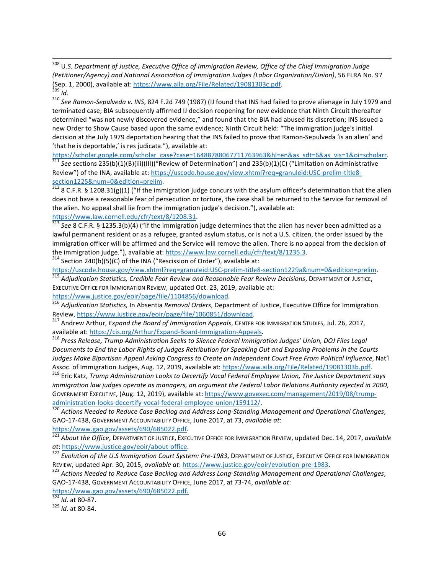<sup>308</sup> U.S. Department of Justice, Executive Office of Immigration Review, Office of the Chief Immigration Judge *(Petitioner/Agency) and National Association of Immigration Judges (Labor Organization/Union)*, 56 FLRA No. 97 (Sep. 1, 2000), available at:  $\frac{https://www.aila.org/File/Related/19081303c.pdf}{100}$ .<br>
309 Id.<br>
310 See Ramon-Sepulveda v. INS, 824 F.2d 749 (1987) (IJ found that INS had failed to prove alienage in July 1979 and

<u> 1989 - Andrea Santa Alemania, amerikana amerikana amerikana amerikana amerikana amerikana amerikana amerikan</u>

terminated case; BIA subsequently affirmed IJ decision reopening for new evidence that Ninth Circuit thereafter determined "was not newly discovered evidence," and found that the BIA had abused its discretion; INS issued a new Order to Show Cause based upon the same evidence; Ninth Circuit held: "The immigration judge's initial decision at the July 1979 deportation hearing that the INS failed to prove that Ramon-Sepulveda 'is an alien' and 'that he is deportable,' is res judicata."), available at:

https://scholar.google.com/scholar\_case?case=16488788067711763963&hl=en&as\_sdt=6&as\_vis=1&oi=scholarr.<br><sup>311</sup> See sections 235(b)(1)(B)(iii)(III)("Review of Determination") and 235(b)(1)(C) ("Limitation on Administrative Review") of the INA, available at: https://uscode.house.gov/view.xhtml?req=granuleid:USC-prelim-title8section1225&num=0&edition=prelim.<br><sup>312</sup> 8 C.F.R. § 1208.31(g)(1) ("If the immigration judge concurs with the asylum officer's determination that the alien

does not have a reasonable fear of persecution or torture, the case shall be returned to the Service for removal of the alien. No appeal shall lie from the immigration judge's decision."), available at:

https://www.law.cornell.edu/cfr/text/8/1208.31.<br><sup>313</sup> See 8 C.F.R. § 1235.3(b)(4) ("If the immigration judge determines that the alien has never been admitted as a lawful permanent resident or as a refugee, granted asylum status, or is not a U.S. citizen, the order issued by the immigration officer will be affirmed and the Service will remove the alien. There is no appeal from the decision of the immigration judge."), available at:  $\frac{h}{b}$  https://www.law.cornell.edu/cfr/text/8/1235.3. 3<sup>14</sup> Section 240(b)(5)(C) of the INA ("Rescission of Order"), available at:

https://uscode.house.gov/view.xhtml?req=granuleid:USC-prelim-title8-section1229a&num=0&edition=prelim.<br><sup>315</sup> Adjudication Statistics, Credible Fear Review and Reasonable Fear Review Decisions, DEPARTMENT OF JUSTICE,

EXECUTIVE OFFICE FOR IMMIGRATION REVIEW, updated Oct. 23, 2019, available at:

https://www.justice.gov/eoir/page/file/1104856/download.<br><sup>316</sup> Adjudication Statistics, In Absentia *Removal Orders*, Department of Justice, Executive Office for Immigration Review, https://www.justice.gov/eoir/page/file/1060851/download.<br><sup>317</sup> Andrew Arthur, *Expand the Board of Immigration Appeals*, CENTER FOR IMMIGRATION STUDIES, Jul. 26, 2017,

available at: https://cis.org/Arthur/Expand-Board-Immigration-Appeals.<br><sup>318</sup> Press Release, Trump Administration Seeks to Silence Federal Immigration Judges' Union, DOJ Files Legal Documents to End the Labor Rights of Judges Retribution for Speaking Out and Exposing Problems in the Courts Judges Make Bipartisan Appeal Asking Congress to Create an Independent Court Free From Political Influence, Nat'l Assoc. of Immigration Judges, Aug. 12, 2019, available at: https://www.aila.org/File/Related/19081303b.pdf.<br><sup>319</sup> Eric Katz, Trump Administration Looks to Decertify Vocal Federal Employee Union, The Justice Department says

*immigration law judges operate as managers, an argument the Federal Labor Relations Authority rejected in 2000,* GOVERNMENT EXECUTIVE, (Aug. 12, 2019), available at: https://www.govexec.com/management/2019/08/trumpadministration-looks-decertify-vocal-federal-employee-union/159112/.<br><sup>320</sup> Actions Needed to Reduce Case Backlog and Address Long-Standing Management and Operational Challenges,

GAO-17-438, GOVERNMENT ACCOUNTABILITY OFFICE, June 2017, at 73, *available at*:

https://www.gao.gov/assets/690/685022.pdf.<br><sup>321</sup> About the Office, DEPARTMENT OF JUSTICE, EXECUTIVE OFFICE FOR IMMIGRATION REVIEW, updated Dec. 14, 2017, *available* at: https://www.justice.gov/eoir/about-office.<br><sup>322</sup> *Evolution of the U.S Immigration Court System: Pre-1983, DEPARTMENT OF JUSTICE, EXECUTIVE OFFICE FOR IMMIGRATION* 

REVIEW, updated Apr. 30, 2015, *available at:* https://www.justice.gov/eoir/evolution-pre-1983.<br><sup>323</sup> Actions Needed to Reduce Case Backlog and Address Long-Standing Management and Operational Challenges,

GAO-17-438, GOVERNMENT ACCOUNTABILITY OFFICE, June 2017, at 73-74, *available at*:

https://www.gao.gov/assets/690/685022.pdf.<br><sup>324</sup> *Id.* at 80-87.<br><sup>325</sup> *Id.* at 80-84.